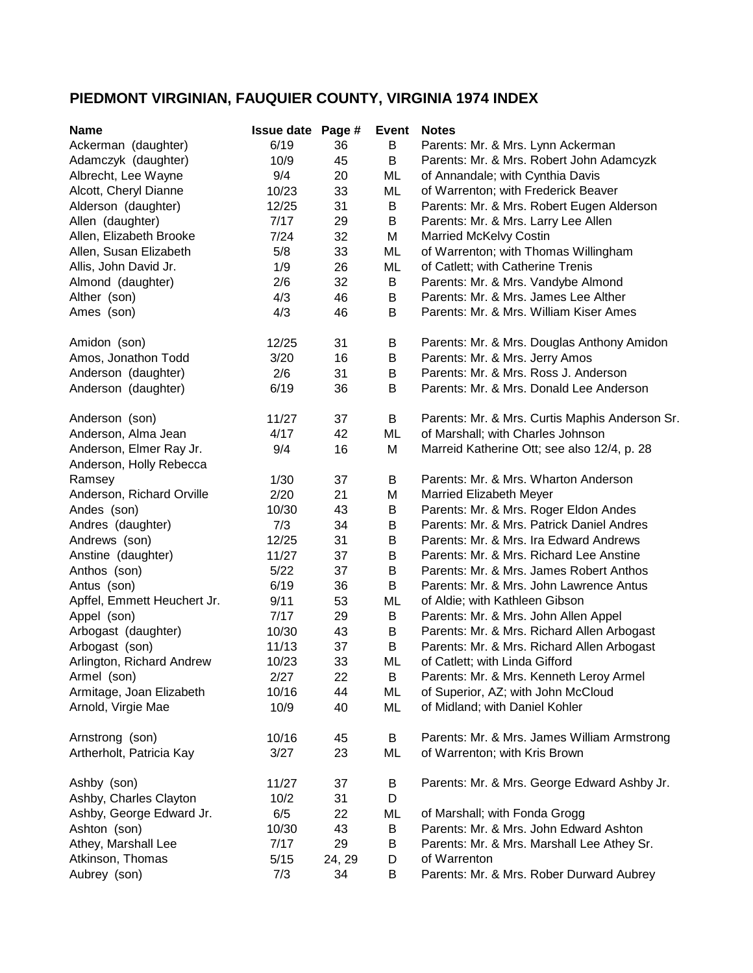## **PIEDMONT VIRGINIAN, FAUQUIER COUNTY, VIRGINIA 1974 INDEX**

| <b>Name</b>                 | <b>Issue date Page #</b> |        | Event | <b>Notes</b>                                   |
|-----------------------------|--------------------------|--------|-------|------------------------------------------------|
| Ackerman (daughter)         | 6/19                     | 36     | B     | Parents: Mr. & Mrs. Lynn Ackerman              |
| Adamczyk (daughter)         | 10/9                     | 45     | B     | Parents: Mr. & Mrs. Robert John Adamcyzk       |
| Albrecht, Lee Wayne         | 9/4                      | 20     | ML    | of Annandale; with Cynthia Davis               |
| Alcott, Cheryl Dianne       | 10/23                    | 33     | ML    | of Warrenton; with Frederick Beaver            |
| Alderson (daughter)         | 12/25                    | 31     | B     | Parents: Mr. & Mrs. Robert Eugen Alderson      |
| Allen (daughter)            | 7/17                     | 29     | B     | Parents: Mr. & Mrs. Larry Lee Allen            |
| Allen, Elizabeth Brooke     | 7/24                     | 32     | M     | Married McKelvy Costin                         |
| Allen, Susan Elizabeth      | 5/8                      | 33     | ML    | of Warrenton; with Thomas Willingham           |
| Allis, John David Jr.       | 1/9                      | 26     | ML    | of Catlett; with Catherine Trenis              |
| Almond (daughter)           | 2/6                      | 32     | B     | Parents: Mr. & Mrs. Vandybe Almond             |
| Alther (son)                | 4/3                      | 46     | B     | Parents: Mr. & Mrs. James Lee Alther           |
| Ames (son)                  | 4/3                      | 46     | B     | Parents: Mr. & Mrs. William Kiser Ames         |
|                             |                          |        |       |                                                |
| Amidon (son)                | 12/25                    | 31     | B     | Parents: Mr. & Mrs. Douglas Anthony Amidon     |
| Amos, Jonathon Todd         | 3/20                     | 16     | B     | Parents: Mr. & Mrs. Jerry Amos                 |
| Anderson (daughter)         | 2/6                      | 31     | B     | Parents: Mr. & Mrs. Ross J. Anderson           |
| Anderson (daughter)         | 6/19                     | 36     | B     | Parents: Mr. & Mrs. Donald Lee Anderson        |
|                             |                          |        |       |                                                |
| Anderson (son)              | 11/27                    | 37     | B     | Parents: Mr. & Mrs. Curtis Maphis Anderson Sr. |
| Anderson, Alma Jean         | 4/17                     | 42     | ML    | of Marshall; with Charles Johnson              |
| Anderson, Elmer Ray Jr.     | 9/4                      | 16     | M     | Marreid Katherine Ott; see also 12/4, p. 28    |
| Anderson, Holly Rebecca     |                          |        |       |                                                |
| Ramsey                      | 1/30                     | 37     | B     | Parents: Mr. & Mrs. Wharton Anderson           |
| Anderson, Richard Orville   | 2/20                     | 21     | M     | Married Elizabeth Meyer                        |
| Andes (son)                 | 10/30                    | 43     | B     | Parents: Mr. & Mrs. Roger Eldon Andes          |
| Andres (daughter)           | 7/3                      | 34     | B     | Parents: Mr. & Mrs. Patrick Daniel Andres      |
| Andrews (son)               | 12/25                    | 31     | B     | Parents: Mr. & Mrs. Ira Edward Andrews         |
| Anstine (daughter)          | 11/27                    | 37     | B     | Parents: Mr. & Mrs. Richard Lee Anstine        |
| Anthos (son)                | 5/22                     | 37     | B     | Parents: Mr. & Mrs. James Robert Anthos        |
| Antus (son)                 | 6/19                     | 36     | B     | Parents: Mr. & Mrs. John Lawrence Antus        |
| Apffel, Emmett Heuchert Jr. | 9/11                     | 53     | ML    | of Aldie; with Kathleen Gibson                 |
| Appel (son)                 | 7/17                     | 29     | B     | Parents: Mr. & Mrs. John Allen Appel           |
| Arbogast (daughter)         | 10/30                    | 43     | В     | Parents: Mr. & Mrs. Richard Allen Arbogast     |
| Arbogast (son)              | 11/13                    | 37     | B     | Parents: Mr. & Mrs. Richard Allen Arbogast     |
| Arlington, Richard Andrew   | 10/23                    | 33     | ML    | of Catlett; with Linda Gifford                 |
| Armel (son)                 | 2/27                     | 22     | B     | Parents: Mr. & Mrs. Kenneth Leroy Armel        |
| Armitage, Joan Elizabeth    | 10/16                    | 44     | ML    | of Superior, AZ; with John McCloud             |
| Arnold, Virgie Mae          | 10/9                     | 40     | ML    | of Midland; with Daniel Kohler                 |
|                             |                          |        |       |                                                |
| Arnstrong (son)             | 10/16                    | 45     | B     | Parents: Mr. & Mrs. James William Armstrong    |
| Artherholt, Patricia Kay    | 3/27                     | 23     | ML    | of Warrenton; with Kris Brown                  |
|                             |                          |        |       |                                                |
| Ashby (son)                 | 11/27                    | 37     | Β     | Parents: Mr. & Mrs. George Edward Ashby Jr.    |
| Ashby, Charles Clayton      | 10/2                     | 31     | D     |                                                |
| Ashby, George Edward Jr.    | 6/5                      | 22     | ML    | of Marshall; with Fonda Grogg                  |
| Ashton (son)                | 10/30                    | 43     | B     | Parents: Mr. & Mrs. John Edward Ashton         |
| Athey, Marshall Lee         | 7/17                     | 29     | В     | Parents: Mr. & Mrs. Marshall Lee Athey Sr.     |
| Atkinson, Thomas            | 5/15                     | 24, 29 | D     | of Warrenton                                   |
| Aubrey (son)                | 7/3                      | 34     | B     | Parents: Mr. & Mrs. Rober Durward Aubrey       |
|                             |                          |        |       |                                                |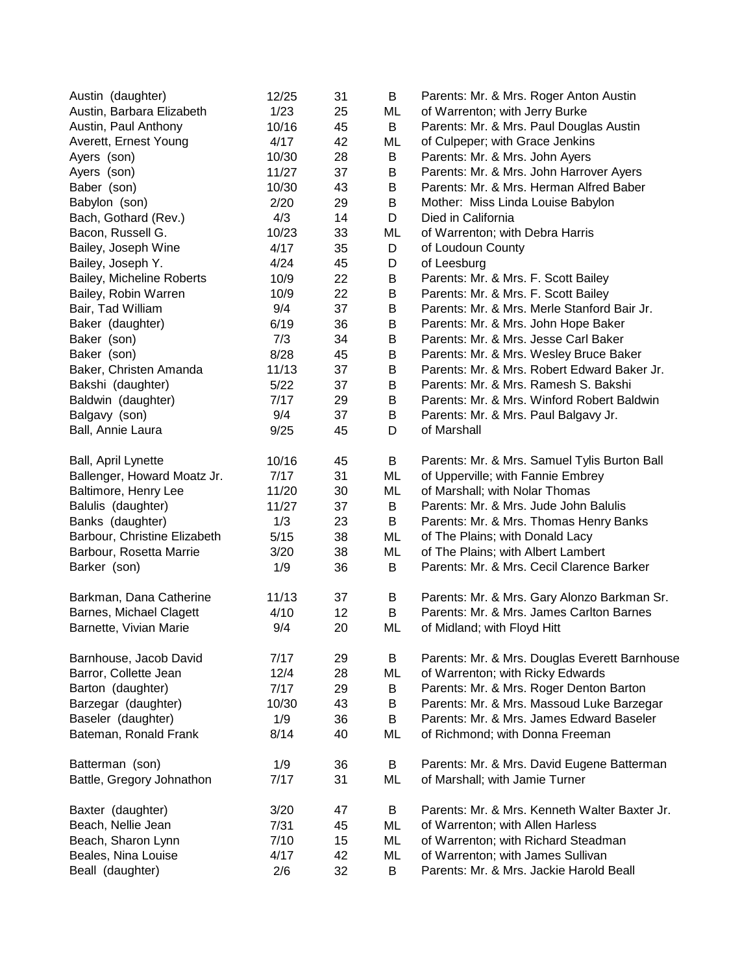| Austin (daughter)            | 12/25 | 31 | B  | Parents: Mr. & Mrs. Roger Anton Austin        |
|------------------------------|-------|----|----|-----------------------------------------------|
| Austin, Barbara Elizabeth    | 1/23  | 25 | ML | of Warrenton; with Jerry Burke                |
| Austin, Paul Anthony         | 10/16 | 45 | B  | Parents: Mr. & Mrs. Paul Douglas Austin       |
| Averett, Ernest Young        | 4/17  | 42 | ML | of Culpeper; with Grace Jenkins               |
| Ayers (son)                  | 10/30 | 28 | B  | Parents: Mr. & Mrs. John Ayers                |
| Ayers (son)                  | 11/27 | 37 | B  | Parents: Mr. & Mrs. John Harrover Ayers       |
| Baber (son)                  | 10/30 | 43 | B  | Parents: Mr. & Mrs. Herman Alfred Baber       |
| Babylon (son)                | 2/20  | 29 | B  | Mother: Miss Linda Louise Babylon             |
| Bach, Gothard (Rev.)         | 4/3   | 14 | D  | Died in California                            |
| Bacon, Russell G.            | 10/23 | 33 | ML | of Warrenton; with Debra Harris               |
| Bailey, Joseph Wine          | 4/17  | 35 | D  | of Loudoun County                             |
| Bailey, Joseph Y.            | 4/24  | 45 | D  | of Leesburg                                   |
| Bailey, Micheline Roberts    | 10/9  | 22 | B  | Parents: Mr. & Mrs. F. Scott Bailey           |
| Bailey, Robin Warren         | 10/9  | 22 | B  | Parents: Mr. & Mrs. F. Scott Bailey           |
| Bair, Tad William            | 9/4   | 37 | B  | Parents: Mr. & Mrs. Merle Stanford Bair Jr.   |
| Baker (daughter)             | 6/19  | 36 | B  | Parents: Mr. & Mrs. John Hope Baker           |
| Baker (son)                  | 7/3   | 34 | B  | Parents: Mr. & Mrs. Jesse Carl Baker          |
| Baker (son)                  | 8/28  | 45 | B  | Parents: Mr. & Mrs. Wesley Bruce Baker        |
| Baker, Christen Amanda       | 11/13 | 37 | B  | Parents: Mr. & Mrs. Robert Edward Baker Jr.   |
| Bakshi (daughter)            | 5/22  | 37 | B  | Parents: Mr. & Mrs. Ramesh S. Bakshi          |
| Baldwin (daughter)           | 7/17  | 29 | B  | Parents: Mr. & Mrs. Winford Robert Baldwin    |
| Balgavy (son)                | 9/4   | 37 | B  | Parents: Mr. & Mrs. Paul Balgavy Jr.          |
| Ball, Annie Laura            | 9/25  | 45 | D  | of Marshall                                   |
|                              |       |    |    |                                               |
| Ball, April Lynette          | 10/16 | 45 | B  | Parents: Mr. & Mrs. Samuel Tylis Burton Ball  |
| Ballenger, Howard Moatz Jr.  | 7/17  | 31 | ML | of Upperville; with Fannie Embrey             |
| Baltimore, Henry Lee         | 11/20 | 30 | ML | of Marshall; with Nolar Thomas                |
| Balulis (daughter)           | 11/27 | 37 | B  | Parents: Mr. & Mrs. Jude John Balulis         |
| Banks (daughter)             | 1/3   | 23 | B  | Parents: Mr. & Mrs. Thomas Henry Banks        |
| Barbour, Christine Elizabeth | 5/15  | 38 | ML | of The Plains; with Donald Lacy               |
| Barbour, Rosetta Marrie      | 3/20  | 38 | ML | of The Plains; with Albert Lambert            |
| Barker (son)                 | 1/9   | 36 | В  | Parents: Mr. & Mrs. Cecil Clarence Barker     |
| Barkman, Dana Catherine      | 11/13 | 37 | B  | Parents: Mr. & Mrs. Gary Alonzo Barkman Sr.   |
| Barnes, Michael Clagett      | 4/10  | 12 | В  | Parents: Mr. & Mrs. James Carlton Barnes      |
| Barnette, Vivian Marie       | 9/4   | 20 | ML | of Midland; with Floyd Hitt                   |
|                              |       |    |    |                                               |
| Barnhouse, Jacob David       | 7/17  | 29 | B  | Parents: Mr. & Mrs. Douglas Everett Barnhouse |
| Barror, Collette Jean        | 12/4  | 28 | ML | of Warrenton; with Ricky Edwards              |
| Barton (daughter)            | 7/17  | 29 | B  | Parents: Mr. & Mrs. Roger Denton Barton       |
| Barzegar (daughter)          | 10/30 | 43 | B  | Parents: Mr. & Mrs. Massoud Luke Barzegar     |
| Baseler (daughter)           | 1/9   | 36 | B  | Parents: Mr. & Mrs. James Edward Baseler      |
| Bateman, Ronald Frank        | 8/14  | 40 | ML | of Richmond; with Donna Freeman               |
| Batterman (son)              | 1/9   | 36 | B  | Parents: Mr. & Mrs. David Eugene Batterman    |
| Battle, Gregory Johnathon    | 7/17  | 31 | ML | of Marshall; with Jamie Turner                |
| Baxter (daughter)            | 3/20  | 47 | B  | Parents: Mr. & Mrs. Kenneth Walter Baxter Jr. |
| Beach, Nellie Jean           | 7/31  | 45 | ML | of Warrenton; with Allen Harless              |
| Beach, Sharon Lynn           | 7/10  | 15 | ML | of Warrenton; with Richard Steadman           |
| Beales, Nina Louise          | 4/17  | 42 | ML | of Warrenton; with James Sullivan             |
| Beall (daughter)             | 2/6   | 32 | B  | Parents: Mr. & Mrs. Jackie Harold Beall       |
|                              |       |    |    |                                               |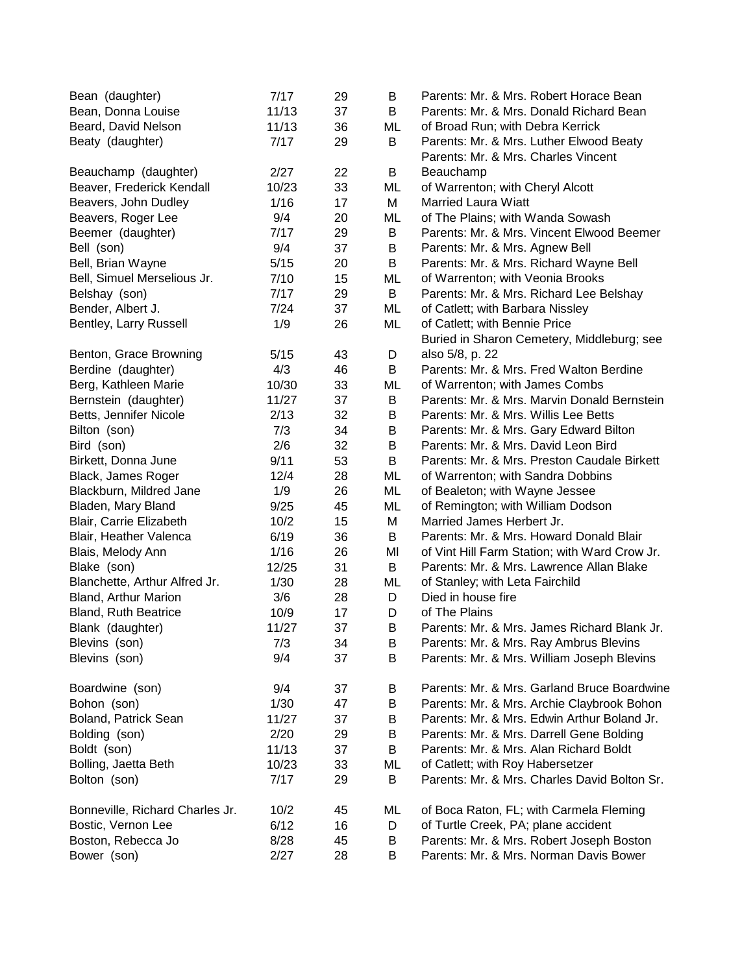| Bean (daughter)                 | 7/17  | 29 | В  | Parents: Mr. & Mrs. Robert Horace Bean                                         |
|---------------------------------|-------|----|----|--------------------------------------------------------------------------------|
| Bean, Donna Louise              | 11/13 | 37 | B  | Parents: Mr. & Mrs. Donald Richard Bean                                        |
| Beard, David Nelson             | 11/13 | 36 | ML | of Broad Run; with Debra Kerrick                                               |
| Beaty (daughter)                | 7/17  | 29 | B  | Parents: Mr. & Mrs. Luther Elwood Beaty<br>Parents: Mr. & Mrs. Charles Vincent |
| Beauchamp (daughter)            | 2/27  | 22 | B  | Beauchamp                                                                      |
| Beaver, Frederick Kendall       | 10/23 | 33 | ML | of Warrenton; with Cheryl Alcott                                               |
| Beavers, John Dudley            | 1/16  | 17 | М  | <b>Married Laura Wiatt</b>                                                     |
| Beavers, Roger Lee              | 9/4   | 20 | ML | of The Plains; with Wanda Sowash                                               |
| Beemer (daughter)               | 7/17  | 29 | В  | Parents: Mr. & Mrs. Vincent Elwood Beemer                                      |
| Bell (son)                      | 9/4   | 37 | Β  | Parents: Mr. & Mrs. Agnew Bell                                                 |
| Bell, Brian Wayne               | 5/15  | 20 | B  | Parents: Mr. & Mrs. Richard Wayne Bell                                         |
| Bell, Simuel Merselious Jr.     | 7/10  | 15 | ML | of Warrenton; with Veonia Brooks                                               |
| Belshay (son)                   | 7/17  | 29 | B  | Parents: Mr. & Mrs. Richard Lee Belshay                                        |
| Bender, Albert J.               | 7/24  | 37 | ML | of Catlett; with Barbara Nissley                                               |
| Bentley, Larry Russell          | 1/9   | 26 | ML | of Catlett; with Bennie Price                                                  |
|                                 |       |    |    | Buried in Sharon Cemetery, Middleburg; see                                     |
| Benton, Grace Browning          | 5/15  | 43 | D  | also 5/8, p. 22                                                                |
| Berdine (daughter)              | 4/3   | 46 | B  | Parents: Mr. & Mrs. Fred Walton Berdine                                        |
| Berg, Kathleen Marie            | 10/30 | 33 | ML | of Warrenton; with James Combs                                                 |
| Bernstein (daughter)            | 11/27 | 37 | B  | Parents: Mr. & Mrs. Marvin Donald Bernstein                                    |
| Betts, Jennifer Nicole          | 2/13  | 32 | B  | Parents: Mr. & Mrs. Willis Lee Betts                                           |
| Bilton (son)                    | 7/3   | 34 | В  | Parents: Mr. & Mrs. Gary Edward Bilton                                         |
| Bird (son)                      | 2/6   | 32 | B  | Parents: Mr. & Mrs. David Leon Bird                                            |
| Birkett, Donna June             | 9/11  | 53 | B  | Parents: Mr. & Mrs. Preston Caudale Birkett                                    |
| Black, James Roger              | 12/4  | 28 | ML | of Warrenton; with Sandra Dobbins                                              |
| Blackburn, Mildred Jane         | 1/9   | 26 | ML | of Bealeton; with Wayne Jessee                                                 |
| Bladen, Mary Bland              | 9/25  | 45 | ML | of Remington; with William Dodson                                              |
| Blair, Carrie Elizabeth         | 10/2  | 15 | M  | Married James Herbert Jr.                                                      |
| Blair, Heather Valenca          | 6/19  | 36 | B  | Parents: Mr. & Mrs. Howard Donald Blair                                        |
| Blais, Melody Ann               | 1/16  | 26 | MI | of Vint Hill Farm Station; with Ward Crow Jr.                                  |
| Blake (son)                     | 12/25 | 31 | B  | Parents: Mr. & Mrs. Lawrence Allan Blake                                       |
| Blanchette, Arthur Alfred Jr.   | 1/30  | 28 | ML | of Stanley; with Leta Fairchild                                                |
| Bland, Arthur Marion            | 3/6   | 28 | D  | Died in house fire                                                             |
| Bland, Ruth Beatrice            | 10/9  | 17 | D  | of The Plains                                                                  |
| Blank (daughter)                | 11/27 | 37 | В  | Parents: Mr. & Mrs. James Richard Blank Jr.                                    |
| Blevins (son)                   | 7/3   | 34 | В  | Parents: Mr. & Mrs. Ray Ambrus Blevins                                         |
| Blevins (son)                   | 9/4   | 37 | В  | Parents: Mr. & Mrs. William Joseph Blevins                                     |
| Boardwine (son)                 | 9/4   | 37 | B  | Parents: Mr. & Mrs. Garland Bruce Boardwine                                    |
| Bohon (son)                     | 1/30  | 47 | Β  | Parents: Mr. & Mrs. Archie Claybrook Bohon                                     |
| Boland, Patrick Sean            | 11/27 | 37 | B  | Parents: Mr. & Mrs. Edwin Arthur Boland Jr.                                    |
| Bolding (son)                   | 2/20  | 29 | Β  | Parents: Mr. & Mrs. Darrell Gene Bolding                                       |
| Boldt (son)                     | 11/13 | 37 | B  | Parents: Mr. & Mrs. Alan Richard Boldt                                         |
| Bolling, Jaetta Beth            | 10/23 | 33 | ML | of Catlett; with Roy Habersetzer                                               |
| Bolton (son)                    | 7/17  | 29 | В  | Parents: Mr. & Mrs. Charles David Bolton Sr.                                   |
| Bonneville, Richard Charles Jr. | 10/2  | 45 | ML | of Boca Raton, FL; with Carmela Fleming                                        |
| Bostic, Vernon Lee              | 6/12  | 16 | D  | of Turtle Creek, PA; plane accident                                            |
| Boston, Rebecca Jo              | 8/28  | 45 | B  | Parents: Mr. & Mrs. Robert Joseph Boston                                       |
| Bower (son)                     | 2/27  | 28 | В  | Parents: Mr. & Mrs. Norman Davis Bower                                         |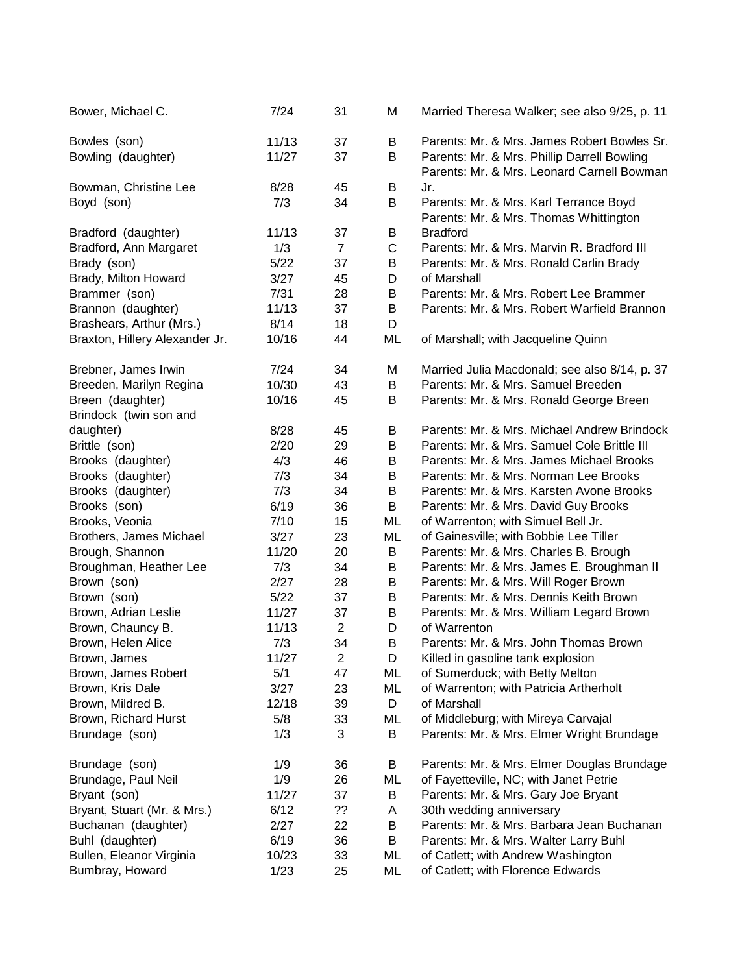| Bower, Michael C.              | 7/24   | 31             | M           | Married Theresa Walker; see also 9/25, p. 11                                              |
|--------------------------------|--------|----------------|-------------|-------------------------------------------------------------------------------------------|
| Bowles (son)                   | 11/13  | 37             | В           | Parents: Mr. & Mrs. James Robert Bowles Sr.                                               |
| Bowling (daughter)             | 11/27  | 37             | В           | Parents: Mr. & Mrs. Phillip Darrell Bowling<br>Parents: Mr. & Mrs. Leonard Carnell Bowman |
| Bowman, Christine Lee          | 8/28   | 45             | B           | Jr.                                                                                       |
| Boyd (son)                     | 7/3    | 34             | B           | Parents: Mr. & Mrs. Karl Terrance Boyd                                                    |
|                                |        |                |             | Parents: Mr. & Mrs. Thomas Whittington                                                    |
| Bradford (daughter)            | 11/13  | 37             | В           | <b>Bradford</b>                                                                           |
| Bradford, Ann Margaret         | 1/3    | $\overline{7}$ | $\mathsf C$ | Parents: Mr. & Mrs. Marvin R. Bradford III                                                |
| Brady (son)                    | 5/22   | 37             | B           | Parents: Mr. & Mrs. Ronald Carlin Brady                                                   |
| Brady, Milton Howard           | 3/27   | 45             | D           | of Marshall                                                                               |
| Brammer (son)                  | 7/31   | 28             | B           | Parents: Mr. & Mrs. Robert Lee Brammer                                                    |
| Brannon (daughter)             | 11/13  | 37             | B           | Parents: Mr. & Mrs. Robert Warfield Brannon                                               |
| Brashears, Arthur (Mrs.)       | 8/14   | 18             | D           |                                                                                           |
| Braxton, Hillery Alexander Jr. | 10/16  | 44             | ML          | of Marshall; with Jacqueline Quinn                                                        |
| Brebner, James Irwin           | 7/24   | 34             | Μ           | Married Julia Macdonald; see also 8/14, p. 37                                             |
| Breeden, Marilyn Regina        | 10/30  | 43             | B           | Parents: Mr. & Mrs. Samuel Breeden                                                        |
| Breen (daughter)               | 10/16  | 45             | B           | Parents: Mr. & Mrs. Ronald George Breen                                                   |
| Brindock (twin son and         |        |                |             |                                                                                           |
| daughter)                      | 8/28   | 45             | B           | Parents: Mr. & Mrs. Michael Andrew Brindock                                               |
| Brittle (son)                  | 2/20   | 29             | B           | Parents: Mr. & Mrs. Samuel Cole Brittle III                                               |
| Brooks (daughter)              | 4/3    | 46             | B           | Parents: Mr. & Mrs. James Michael Brooks                                                  |
| Brooks (daughter)              | 7/3    | 34             | B           | Parents: Mr. & Mrs. Norman Lee Brooks                                                     |
| Brooks (daughter)              | 7/3    | 34             | B           | Parents: Mr. & Mrs. Karsten Avone Brooks                                                  |
| Brooks (son)                   | 6/19   | 36             | B           | Parents: Mr. & Mrs. David Guy Brooks                                                      |
| Brooks, Veonia                 | 7/10   | 15             | ML          | of Warrenton; with Simuel Bell Jr.                                                        |
| Brothers, James Michael        | 3/27   | 23             | ML          | of Gainesville; with Bobbie Lee Tiller                                                    |
| Brough, Shannon                | 11/20  | 20             | B           | Parents: Mr. & Mrs. Charles B. Brough                                                     |
| Broughman, Heather Lee         | 7/3    | 34             | B           | Parents: Mr. & Mrs. James E. Broughman II                                                 |
| Brown (son)                    | 2/27   | 28             | B           | Parents: Mr. & Mrs. Will Roger Brown                                                      |
| Brown (son)                    | $5/22$ | 37             | B           | Parents: Mr. & Mrs. Dennis Keith Brown                                                    |
| Brown, Adrian Leslie           | 11/27  | 37             | B           | Parents: Mr. & Mrs. William Legard Brown                                                  |
| Brown, Chauncy B.              | 11/13  | $\overline{2}$ | D           | of Warrenton                                                                              |
| Brown, Helen Alice             | 7/3    | 34             | B           | Parents: Mr. & Mrs. John Thomas Brown                                                     |
| Brown, James                   | 11/27  | $\overline{c}$ | D           | Killed in gasoline tank explosion                                                         |
| Brown, James Robert            | 5/1    | 47             | ML          | of Sumerduck; with Betty Melton                                                           |
| Brown, Kris Dale               | 3/27   | 23             | ML          | of Warrenton; with Patricia Artherholt                                                    |
| Brown, Mildred B.              | 12/18  | 39             | D           | of Marshall                                                                               |
| Brown, Richard Hurst           | 5/8    | 33             | ML          | of Middleburg; with Mireya Carvajal                                                       |
| Brundage (son)                 | 1/3    | 3              | В           | Parents: Mr. & Mrs. Elmer Wright Brundage                                                 |
|                                |        |                |             |                                                                                           |
| Brundage (son)                 | 1/9    | 36             | B           | Parents: Mr. & Mrs. Elmer Douglas Brundage                                                |
| Brundage, Paul Neil            | 1/9    | 26             | ML          | of Fayetteville, NC; with Janet Petrie                                                    |
| Bryant (son)                   | 11/27  | 37             | B           | Parents: Mr. & Mrs. Gary Joe Bryant                                                       |
| Bryant, Stuart (Mr. & Mrs.)    | 6/12   | ??             | A           | 30th wedding anniversary                                                                  |
| Buchanan (daughter)            | 2/27   | 22             | B           | Parents: Mr. & Mrs. Barbara Jean Buchanan                                                 |
| Buhl (daughter)                | 6/19   | 36             | B           | Parents: Mr. & Mrs. Walter Larry Buhl                                                     |
| Bullen, Eleanor Virginia       | 10/23  | 33             | ML          | of Catlett; with Andrew Washington                                                        |
| Bumbray, Howard                | 1/23   | 25             | ML          | of Catlett; with Florence Edwards                                                         |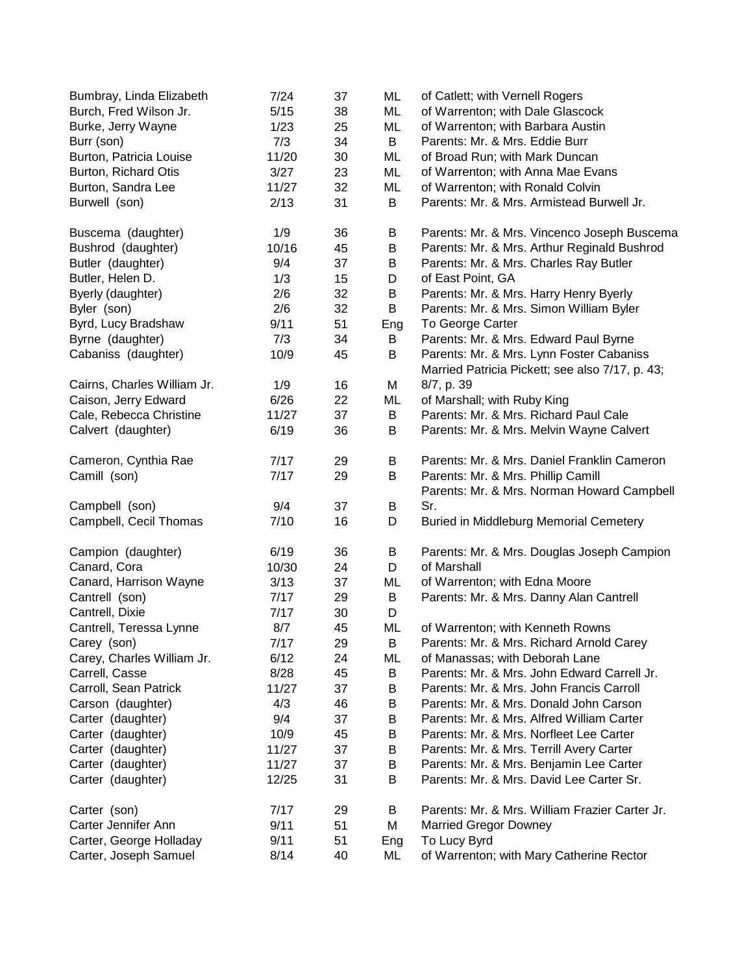| Bumbray, Linda Elizabeth    | 7/24  | 37 | ML  | of Catlett; with Vernell Rogers                 |
|-----------------------------|-------|----|-----|-------------------------------------------------|
| Burch, Fred Wilson Jr.      | 5/15  | 38 | ML  | of Warrenton; with Dale Glascock                |
| Burke, Jerry Wayne          | 1/23  | 25 | ML  | of Warrenton; with Barbara Austin               |
| Burr (son)                  | 7/3   | 34 | B   | Parents: Mr. & Mrs. Eddie Burr                  |
| Burton, Patricia Louise     | 11/20 | 30 | ML  | of Broad Run; with Mark Duncan                  |
| Burton, Richard Otis        | 3/27  | 23 | ML  | of Warrenton; with Anna Mae Evans               |
| Burton, Sandra Lee          | 11/27 | 32 | ML  | of Warrenton; with Ronald Colvin                |
| Burwell (son)               | 2/13  | 31 | B   | Parents: Mr. & Mrs. Armistead Burwell Jr.       |
| Buscema (daughter)          | 1/9   | 36 | B   | Parents: Mr. & Mrs. Vincenco Joseph Buscema     |
| Bushrod (daughter)          | 10/16 | 45 | B   | Parents: Mr. & Mrs. Arthur Reginald Bushrod     |
| Butler (daughter)           | 9/4   | 37 | B   | Parents: Mr. & Mrs. Charles Ray Butler          |
| Butler, Helen D.            | 1/3   | 15 | D   | of East Point, GA                               |
| Byerly (daughter)           | 2/6   | 32 | B   | Parents: Mr. & Mrs. Harry Henry Byerly          |
| Byler (son)                 | 2/6   | 32 | B   | Parents: Mr. & Mrs. Simon William Byler         |
| Byrd, Lucy Bradshaw         | 9/11  | 51 | Eng | To George Carter                                |
| Byrne (daughter)            | 7/3   | 34 | B   | Parents: Mr. & Mrs. Edward Paul Byrne           |
| Cabaniss (daughter)         | 10/9  | 45 | B   | Parents: Mr. & Mrs. Lynn Foster Cabaniss        |
|                             |       |    |     | Married Patricia Pickett; see also 7/17, p. 43; |
| Cairns, Charles William Jr. | 1/9   | 16 | M   | 8/7, p. 39                                      |
| Caison, Jerry Edward        | 6/26  | 22 | ML  | of Marshall; with Ruby King                     |
| Cale, Rebecca Christine     | 11/27 | 37 | B   | Parents: Mr. & Mrs. Richard Paul Cale           |
| Calvert (daughter)          | 6/19  | 36 | B   | Parents: Mr. & Mrs. Melvin Wayne Calvert        |
| Cameron, Cynthia Rae        | 7/17  | 29 | B   | Parents: Mr. & Mrs. Daniel Franklin Cameron     |
| Camill (son)                | 7/17  | 29 | B   | Parents: Mr. & Mrs. Phillip Camill              |
|                             |       |    |     | Parents: Mr. & Mrs. Norman Howard Campbell      |
| Campbell (son)              | 9/4   | 37 | B   | Sr.                                             |
| Campbell, Cecil Thomas      | 7/10  | 16 | D   | <b>Buried in Middleburg Memorial Cemetery</b>   |
| Campion (daughter)          | 6/19  | 36 | B   | Parents: Mr. & Mrs. Douglas Joseph Campion      |
| Canard, Cora                | 10/30 | 24 | D   | of Marshall                                     |
| Canard, Harrison Wayne      | 3/13  | 37 | ML  | of Warrenton; with Edna Moore                   |
| Cantrell (son)              | 7/17  | 29 | B   | Parents: Mr. & Mrs. Danny Alan Cantrell         |
| Cantrell, Dixie             | 7/17  | 30 | D   |                                                 |
| Cantrell, Teressa Lynne     | 8/7   | 45 | ML  | of Warrenton; with Kenneth Rowns                |
| Carey (son)                 | 7/17  | 29 | B   | Parents: Mr. & Mrs. Richard Arnold Carey        |
| Carey, Charles William Jr.  | 6/12  | 24 | ML  | of Manassas; with Deborah Lane                  |
| Carrell, Casse              | 8/28  | 45 | B   | Parents: Mr. & Mrs. John Edward Carrell Jr.     |
| Carroll, Sean Patrick       | 11/27 | 37 | B   | Parents: Mr. & Mrs. John Francis Carroll        |
| Carson (daughter)           | 4/3   | 46 | B   | Parents: Mr. & Mrs. Donald John Carson          |
| Carter (daughter)           | 9/4   | 37 | B   | Parents: Mr. & Mrs. Alfred William Carter       |
| Carter (daughter)           | 10/9  | 45 | B   | Parents: Mr. & Mrs. Norfleet Lee Carter         |
| Carter (daughter)           | 11/27 | 37 | B   | Parents: Mr. & Mrs. Terrill Avery Carter        |
| Carter (daughter)           | 11/27 | 37 | B   | Parents: Mr. & Mrs. Benjamin Lee Carter         |
| Carter (daughter)           | 12/25 | 31 | B   | Parents: Mr. & Mrs. David Lee Carter Sr.        |
|                             |       |    |     |                                                 |
| Carter (son)                | 7/17  | 29 | B   | Parents: Mr. & Mrs. William Frazier Carter Jr.  |
| Carter Jennifer Ann         | 9/11  | 51 | M   | <b>Married Gregor Downey</b>                    |
| Carter, George Holladay     | 9/11  | 51 | Eng | To Lucy Byrd                                    |
| Carter, Joseph Samuel       | 8/14  | 40 | ML  | of Warrenton; with Mary Catherine Rector        |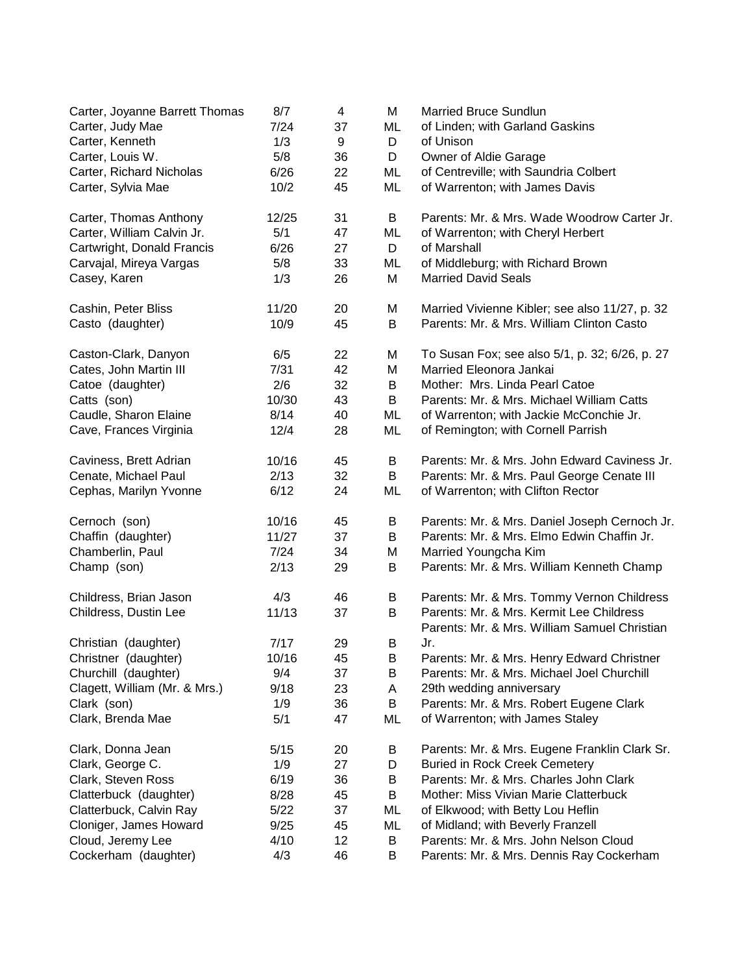| Carter, Joyanne Barrett Thomas | 8/7   | 4  | M  | <b>Married Bruce Sundlun</b>                                                             |
|--------------------------------|-------|----|----|------------------------------------------------------------------------------------------|
| Carter, Judy Mae               | 7/24  | 37 | ML | of Linden; with Garland Gaskins                                                          |
| Carter, Kenneth                | 1/3   | 9  | D  | of Unison                                                                                |
| Carter, Louis W.               | 5/8   | 36 | D  | Owner of Aldie Garage                                                                    |
| Carter, Richard Nicholas       | 6/26  | 22 | ML | of Centreville; with Saundria Colbert                                                    |
| Carter, Sylvia Mae             | 10/2  | 45 | ML | of Warrenton; with James Davis                                                           |
| Carter, Thomas Anthony         | 12/25 | 31 | B  | Parents: Mr. & Mrs. Wade Woodrow Carter Jr.                                              |
| Carter, William Calvin Jr.     | 5/1   | 47 | ML | of Warrenton; with Cheryl Herbert                                                        |
| Cartwright, Donald Francis     | 6/26  | 27 | D  | of Marshall                                                                              |
| Carvajal, Mireya Vargas        | 5/8   | 33 | ML | of Middleburg; with Richard Brown                                                        |
| Casey, Karen                   | 1/3   | 26 | M  | <b>Married David Seals</b>                                                               |
| Cashin, Peter Bliss            | 11/20 | 20 | M  | Married Vivienne Kibler; see also 11/27, p. 32                                           |
| Casto (daughter)               | 10/9  | 45 | B  | Parents: Mr. & Mrs. William Clinton Casto                                                |
| Caston-Clark, Danyon           | 6/5   | 22 | M  | To Susan Fox; see also 5/1, p. 32; 6/26, p. 27                                           |
| Cates, John Martin III         | 7/31  | 42 | M  | Married Eleonora Jankai                                                                  |
| Catoe (daughter)               | 2/6   | 32 | B  | Mother: Mrs. Linda Pearl Catoe                                                           |
| Catts (son)                    | 10/30 | 43 | B  | Parents: Mr. & Mrs. Michael William Catts                                                |
| Caudle, Sharon Elaine          | 8/14  | 40 | ML | of Warrenton; with Jackie McConchie Jr.                                                  |
| Cave, Frances Virginia         | 12/4  | 28 | ML | of Remington; with Cornell Parrish                                                       |
| Caviness, Brett Adrian         | 10/16 | 45 | B  | Parents: Mr. & Mrs. John Edward Caviness Jr.                                             |
| Cenate, Michael Paul           | 2/13  | 32 | B  | Parents: Mr. & Mrs. Paul George Cenate III                                               |
| Cephas, Marilyn Yvonne         | 6/12  | 24 | ML | of Warrenton; with Clifton Rector                                                        |
| Cernoch (son)                  | 10/16 | 45 | B  | Parents: Mr. & Mrs. Daniel Joseph Cernoch Jr.                                            |
| Chaffin (daughter)             | 11/27 | 37 | B  | Parents: Mr. & Mrs. Elmo Edwin Chaffin Jr.                                               |
| Chamberlin, Paul               | 7/24  | 34 | M  | Married Youngcha Kim                                                                     |
| Champ (son)                    | 2/13  | 29 | B  | Parents: Mr. & Mrs. William Kenneth Champ                                                |
| Childress, Brian Jason         | 4/3   | 46 | B  | Parents: Mr. & Mrs. Tommy Vernon Childress                                               |
| Childress, Dustin Lee          | 11/13 | 37 | B  | Parents: Mr. & Mrs. Kermit Lee Childress<br>Parents: Mr. & Mrs. William Samuel Christian |
| Christian (daughter)           | 7/17  | 29 | В  | Jr.                                                                                      |
| Christner (daughter)           | 10/16 | 45 | В  | Parents: Mr. & Mrs. Henry Edward Christner                                               |
| Churchill (daughter)           | 9/4   | 37 | B  | Parents: Mr. & Mrs. Michael Joel Churchill                                               |
| Clagett, William (Mr. & Mrs.)  | 9/18  | 23 | Α  | 29th wedding anniversary                                                                 |
| Clark (son)                    | 1/9   | 36 | B  | Parents: Mr. & Mrs. Robert Eugene Clark                                                  |
| Clark, Brenda Mae              | 5/1   | 47 | ML | of Warrenton; with James Staley                                                          |
| Clark, Donna Jean              | 5/15  | 20 | B  | Parents: Mr. & Mrs. Eugene Franklin Clark Sr.                                            |
| Clark, George C.               | 1/9   | 27 | D  | <b>Buried in Rock Creek Cemetery</b>                                                     |
| Clark, Steven Ross             | 6/19  | 36 | Β  | Parents: Mr. & Mrs. Charles John Clark                                                   |
| Clatterbuck (daughter)         | 8/28  | 45 | В  | Mother: Miss Vivian Marie Clatterbuck                                                    |
| Clatterbuck, Calvin Ray        | 5/22  | 37 | ML | of Elkwood; with Betty Lou Heflin                                                        |
| Cloniger, James Howard         | 9/25  | 45 | ML | of Midland; with Beverly Franzell                                                        |
| Cloud, Jeremy Lee              | 4/10  | 12 | B  | Parents: Mr. & Mrs. John Nelson Cloud                                                    |
| Cockerham (daughter)           | 4/3   | 46 | B  | Parents: Mr. & Mrs. Dennis Ray Cockerham                                                 |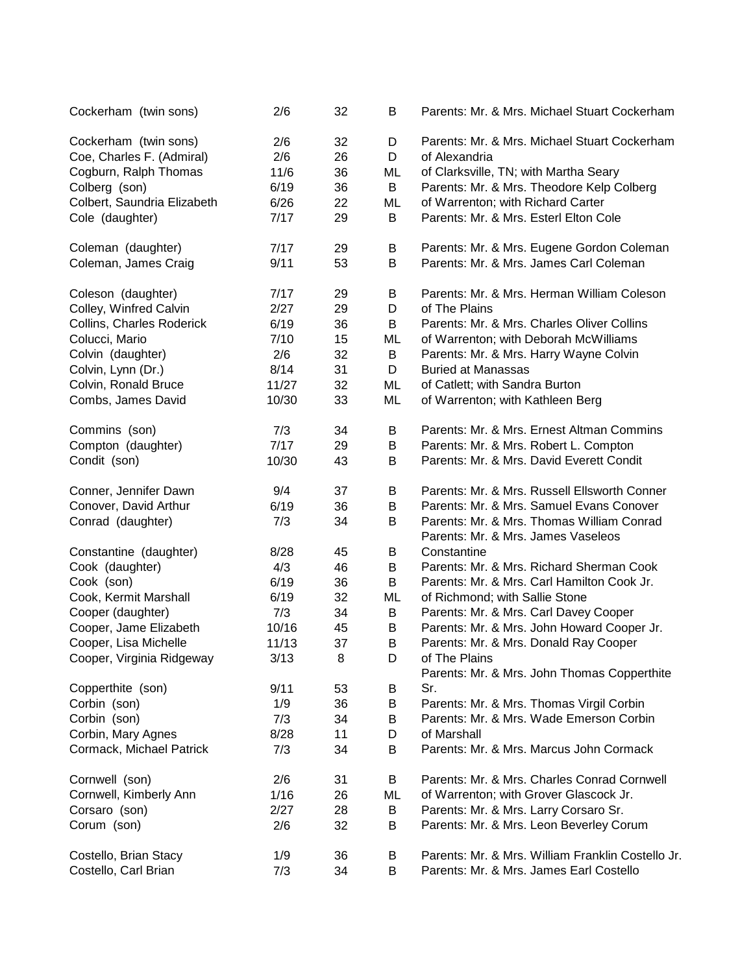| Cockerham (twin sons)       | 2/6   | 32 | B  | Parents: Mr. & Mrs. Michael Stuart Cockerham                 |
|-----------------------------|-------|----|----|--------------------------------------------------------------|
| Cockerham (twin sons)       | 2/6   | 32 | D  | Parents: Mr. & Mrs. Michael Stuart Cockerham                 |
| Coe, Charles F. (Admiral)   | 2/6   | 26 | D  | of Alexandria                                                |
| Cogburn, Ralph Thomas       | 11/6  | 36 | ML | of Clarksville, TN; with Martha Seary                        |
| Colberg (son)               | 6/19  | 36 | B  | Parents: Mr. & Mrs. Theodore Kelp Colberg                    |
| Colbert, Saundria Elizabeth | 6/26  | 22 | ML | of Warrenton; with Richard Carter                            |
| Cole (daughter)             | 7/17  | 29 | B  | Parents: Mr. & Mrs. Esterl Elton Cole                        |
| Coleman (daughter)          | 7/17  | 29 | B  | Parents: Mr. & Mrs. Eugene Gordon Coleman                    |
| Coleman, James Craig        | 9/11  | 53 | B  | Parents: Mr. & Mrs. James Carl Coleman                       |
| Coleson (daughter)          | 7/17  | 29 | B  | Parents: Mr. & Mrs. Herman William Coleson                   |
| Colley, Winfred Calvin      | 2/27  | 29 | D  | of The Plains                                                |
| Collins, Charles Roderick   | 6/19  | 36 | B  | Parents: Mr. & Mrs. Charles Oliver Collins                   |
| Colucci, Mario              | 7/10  | 15 | ML | of Warrenton; with Deborah McWilliams                        |
| Colvin (daughter)           | 2/6   | 32 | B  | Parents: Mr. & Mrs. Harry Wayne Colvin                       |
| Colvin, Lynn (Dr.)          | 8/14  | 31 | D  | <b>Buried at Manassas</b>                                    |
| Colvin, Ronald Bruce        | 11/27 | 32 | ML | of Catlett; with Sandra Burton                               |
| Combs, James David          | 10/30 | 33 | ML | of Warrenton; with Kathleen Berg                             |
| Commins (son)               | 7/3   | 34 | B  | Parents: Mr. & Mrs. Ernest Altman Commins                    |
| Compton (daughter)          | 7/17  | 29 | B  | Parents: Mr. & Mrs. Robert L. Compton                        |
| Condit (son)                | 10/30 | 43 | B  | Parents: Mr. & Mrs. David Everett Condit                     |
| Conner, Jennifer Dawn       | 9/4   | 37 | B  | Parents: Mr. & Mrs. Russell Ellsworth Conner                 |
| Conover, David Arthur       | 6/19  | 36 | B  | Parents: Mr. & Mrs. Samuel Evans Conover                     |
| Conrad (daughter)           | 7/3   | 34 | B  | Parents: Mr. & Mrs. Thomas William Conrad                    |
|                             |       |    |    | Parents: Mr. & Mrs. James Vaseleos                           |
| Constantine (daughter)      | 8/28  | 45 | B  | Constantine                                                  |
| Cook (daughter)             | 4/3   | 46 | B  | Parents: Mr. & Mrs. Richard Sherman Cook                     |
| Cook (son)                  | 6/19  | 36 | B  | Parents: Mr. & Mrs. Carl Hamilton Cook Jr.                   |
| Cook, Kermit Marshall       | 6/19  | 32 | ML | of Richmond; with Sallie Stone                               |
| Cooper (daughter)           | 7/3   | 34 | B  | Parents: Mr. & Mrs. Carl Davey Cooper                        |
| Cooper, Jame Elizabeth      | 10/16 | 45 | B  | Parents: Mr. & Mrs. John Howard Cooper Jr.                   |
| Cooper, Lisa Michelle       | 11/13 | 37 | B  | Parents: Mr. & Mrs. Donald Ray Cooper                        |
| Cooper, Virginia Ridgeway   | 3/13  | 8  | D  | of The Plains<br>Parents: Mr. & Mrs. John Thomas Copperthite |
| Copperthite (son)           | 9/11  | 53 | Β  | Sr.                                                          |
| Corbin (son)                | 1/9   | 36 | B  | Parents: Mr. & Mrs. Thomas Virgil Corbin                     |
| Corbin (son)                | 7/3   | 34 | B  | Parents: Mr. & Mrs. Wade Emerson Corbin                      |
| Corbin, Mary Agnes          | 8/28  | 11 | D  | of Marshall                                                  |
| Cormack, Michael Patrick    | 7/3   | 34 | B  | Parents: Mr. & Mrs. Marcus John Cormack                      |
| Cornwell (son)              | 2/6   | 31 | B  | Parents: Mr. & Mrs. Charles Conrad Cornwell                  |
| Cornwell, Kimberly Ann      | 1/16  | 26 | ML | of Warrenton; with Grover Glascock Jr.                       |
| Corsaro (son)               | 2/27  | 28 | B  | Parents: Mr. & Mrs. Larry Corsaro Sr.                        |
| Corum (son)                 | 2/6   | 32 | B  | Parents: Mr. & Mrs. Leon Beverley Corum                      |
| Costello, Brian Stacy       | 1/9   | 36 | В  | Parents: Mr. & Mrs. William Franklin Costello Jr.            |
| Costello, Carl Brian        | 7/3   | 34 | B  | Parents: Mr. & Mrs. James Earl Costello                      |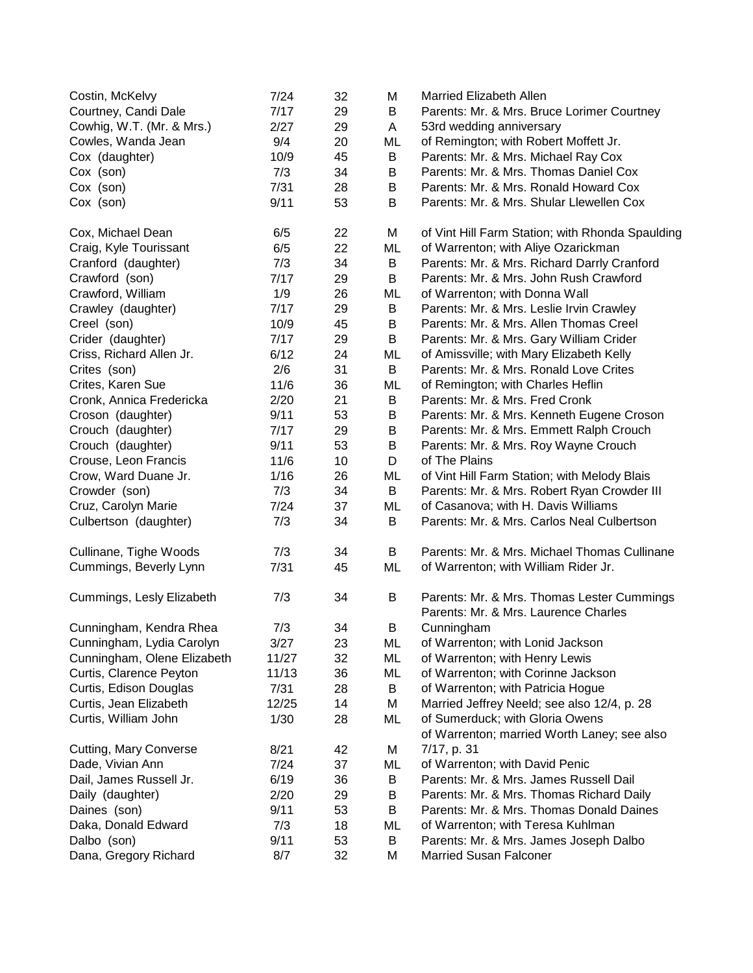| Costin, McKelvy               | 7/24  | 32 | Μ  | Married Elizabeth Allen                                                            |
|-------------------------------|-------|----|----|------------------------------------------------------------------------------------|
| Courtney, Candi Dale          | 7/17  | 29 | B  | Parents: Mr. & Mrs. Bruce Lorimer Courtney                                         |
| Cowhig, W.T. (Mr. & Mrs.)     | 2/27  | 29 | A  | 53rd wedding anniversary                                                           |
| Cowles, Wanda Jean            | 9/4   | 20 | ML | of Remington; with Robert Moffett Jr.                                              |
| Cox (daughter)                | 10/9  | 45 | B  | Parents: Mr. & Mrs. Michael Ray Cox                                                |
| Cox (son)                     | 7/3   | 34 | B  | Parents: Mr. & Mrs. Thomas Daniel Cox                                              |
| Cox (son)                     | 7/31  | 28 | B  | Parents: Mr. & Mrs. Ronald Howard Cox                                              |
| Cox (son)                     | 9/11  | 53 | B  | Parents: Mr. & Mrs. Shular Llewellen Cox                                           |
| Cox, Michael Dean             | 6/5   | 22 | M  | of Vint Hill Farm Station; with Rhonda Spaulding                                   |
| Craig, Kyle Tourissant        | 6/5   | 22 | ML | of Warrenton; with Aliye Ozarickman                                                |
| Cranford (daughter)           | 7/3   | 34 | B  | Parents: Mr. & Mrs. Richard Darrly Cranford                                        |
| Crawford (son)                | 7/17  | 29 | B  | Parents: Mr. & Mrs. John Rush Crawford                                             |
| Crawford, William             | 1/9   | 26 | ML | of Warrenton; with Donna Wall                                                      |
| Crawley (daughter)            | 7/17  | 29 | B  | Parents: Mr. & Mrs. Leslie Irvin Crawley                                           |
| Creel (son)                   | 10/9  | 45 | B  | Parents: Mr. & Mrs. Allen Thomas Creel                                             |
| Crider (daughter)             | 7/17  | 29 | B  | Parents: Mr. & Mrs. Gary William Crider                                            |
| Criss, Richard Allen Jr.      | 6/12  | 24 | ML | of Amissville; with Mary Elizabeth Kelly                                           |
| Crites (son)                  | 2/6   | 31 | B  | Parents: Mr. & Mrs. Ronald Love Crites                                             |
| Crites, Karen Sue             | 11/6  | 36 | ML | of Remington; with Charles Heflin                                                  |
| Cronk, Annica Fredericka      | 2/20  | 21 | B  | Parents: Mr. & Mrs. Fred Cronk                                                     |
| Croson (daughter)             | 9/11  | 53 | B  | Parents: Mr. & Mrs. Kenneth Eugene Croson                                          |
| Crouch (daughter)             | 7/17  | 29 | B  | Parents: Mr. & Mrs. Emmett Ralph Crouch                                            |
| Crouch (daughter)             | 9/11  | 53 | B  | Parents: Mr. & Mrs. Roy Wayne Crouch                                               |
| Crouse, Leon Francis          | 11/6  | 10 | D  | of The Plains                                                                      |
| Crow, Ward Duane Jr.          | 1/16  | 26 | ML | of Vint Hill Farm Station; with Melody Blais                                       |
| Crowder (son)                 | 7/3   | 34 | B  | Parents: Mr. & Mrs. Robert Ryan Crowder III                                        |
| Cruz, Carolyn Marie           | 7/24  | 37 | ML | of Casanova; with H. Davis Williams                                                |
| Culbertson (daughter)         | 7/3   | 34 | B  | Parents: Mr. & Mrs. Carlos Neal Culbertson                                         |
| Cullinane, Tighe Woods        | 7/3   | 34 | B  | Parents: Mr. & Mrs. Michael Thomas Cullinane                                       |
| Cummings, Beverly Lynn        | 7/31  | 45 | ML | of Warrenton; with William Rider Jr.                                               |
| Cummings, Lesly Elizabeth     | 7/3   | 34 | B  | Parents: Mr. & Mrs. Thomas Lester Cummings<br>Parents: Mr. & Mrs. Laurence Charles |
| Cunningham, Kendra Rhea       | 7/3   | 34 | B  | Cunningham                                                                         |
| Cunningham, Lydia Carolyn     | 3/27  | 23 | ML | of Warrenton; with Lonid Jackson                                                   |
| Cunningham, Olene Elizabeth   | 11/27 | 32 | ML | of Warrenton; with Henry Lewis                                                     |
| Curtis, Clarence Peyton       | 11/13 | 36 | ML | of Warrenton; with Corinne Jackson                                                 |
| Curtis, Edison Douglas        | 7/31  | 28 | B  | of Warrenton; with Patricia Hogue                                                  |
| Curtis, Jean Elizabeth        | 12/25 | 14 | M  | Married Jeffrey Neeld; see also 12/4, p. 28                                        |
| Curtis, William John          | 1/30  | 28 | ML | of Sumerduck; with Gloria Owens                                                    |
| <b>Cutting, Mary Converse</b> | 8/21  | 42 | M  | of Warrenton; married Worth Laney; see also<br>7/17, p. 31                         |
| Dade, Vivian Ann              | 7/24  | 37 | ML | of Warrenton; with David Penic                                                     |
| Dail, James Russell Jr.       | 6/19  | 36 | B  | Parents: Mr. & Mrs. James Russell Dail                                             |
| Daily (daughter)              | 2/20  | 29 | B  | Parents: Mr. & Mrs. Thomas Richard Daily                                           |
| Daines (son)                  | 9/11  | 53 | В  | Parents: Mr. & Mrs. Thomas Donald Daines                                           |
| Daka, Donald Edward           | 7/3   | 18 | ML | of Warrenton; with Teresa Kuhlman                                                  |
| Dalbo (son)                   | 9/11  | 53 | B  | Parents: Mr. & Mrs. James Joseph Dalbo                                             |
| Dana, Gregory Richard         | 8/7   | 32 | Μ  | <b>Married Susan Falconer</b>                                                      |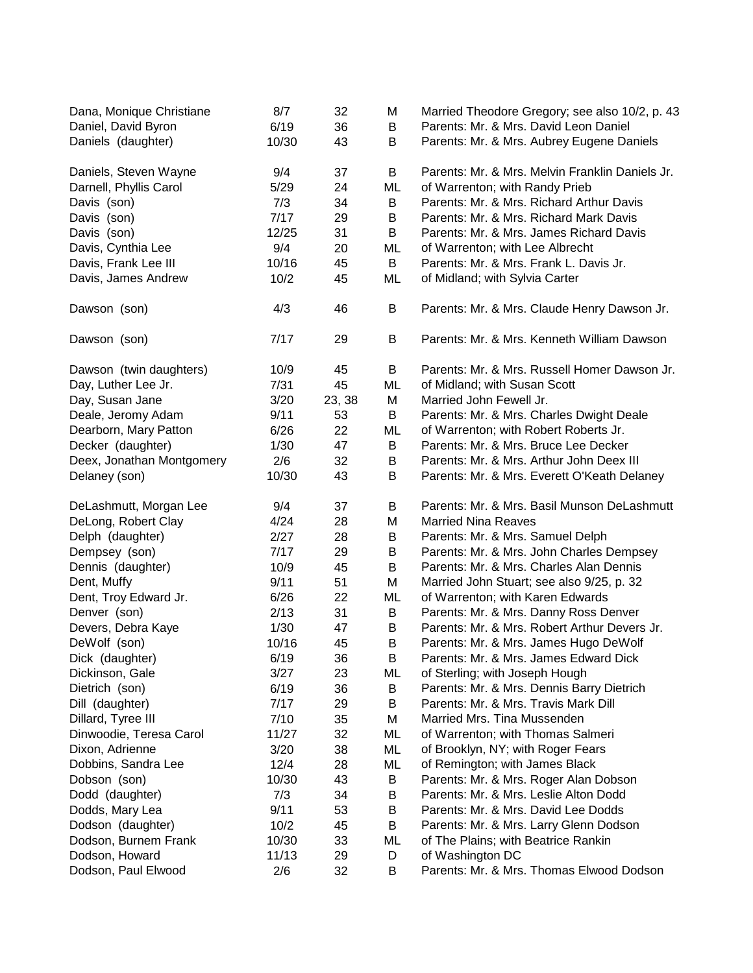| Dana, Monique Christiane  | 8/7   | 32     | M  | Married Theodore Gregory; see also 10/2, p. 43  |
|---------------------------|-------|--------|----|-------------------------------------------------|
| Daniel, David Byron       | 6/19  | 36     | B  | Parents: Mr. & Mrs. David Leon Daniel           |
| Daniels (daughter)        | 10/30 | 43     | В  | Parents: Mr. & Mrs. Aubrey Eugene Daniels       |
| Daniels, Steven Wayne     | 9/4   | 37     | B  | Parents: Mr. & Mrs. Melvin Franklin Daniels Jr. |
| Darnell, Phyllis Carol    | 5/29  | 24     | ML | of Warrenton; with Randy Prieb                  |
| Davis (son)               | 7/3   | 34     | B  | Parents: Mr. & Mrs. Richard Arthur Davis        |
| Davis (son)               | 7/17  | 29     | B  | Parents: Mr. & Mrs. Richard Mark Davis          |
| Davis (son)               | 12/25 | 31     | B  | Parents: Mr. & Mrs. James Richard Davis         |
| Davis, Cynthia Lee        | 9/4   | 20     | ML | of Warrenton; with Lee Albrecht                 |
| Davis, Frank Lee III      | 10/16 | 45     | B  | Parents: Mr. & Mrs. Frank L. Davis Jr.          |
| Davis, James Andrew       | 10/2  | 45     | ML | of Midland; with Sylvia Carter                  |
| Dawson (son)              | 4/3   | 46     | B  | Parents: Mr. & Mrs. Claude Henry Dawson Jr.     |
| Dawson (son)              | 7/17  | 29     | B  | Parents: Mr. & Mrs. Kenneth William Dawson      |
| Dawson (twin daughters)   | 10/9  | 45     | B  | Parents: Mr. & Mrs. Russell Homer Dawson Jr.    |
| Day, Luther Lee Jr.       | 7/31  | 45     | ML | of Midland; with Susan Scott                    |
| Day, Susan Jane           | 3/20  | 23, 38 | M  | Married John Fewell Jr.                         |
| Deale, Jeromy Adam        | 9/11  | 53     | B  | Parents: Mr. & Mrs. Charles Dwight Deale        |
| Dearborn, Mary Patton     | 6/26  | 22     | ML | of Warrenton; with Robert Roberts Jr.           |
| Decker (daughter)         | 1/30  | 47     | B  | Parents: Mr. & Mrs. Bruce Lee Decker            |
| Deex, Jonathan Montgomery | 2/6   | 32     | B  | Parents: Mr. & Mrs. Arthur John Deex III        |
| Delaney (son)             | 10/30 | 43     | B  | Parents: Mr. & Mrs. Everett O'Keath Delaney     |
| DeLashmutt, Morgan Lee    | 9/4   | 37     | B  | Parents: Mr. & Mrs. Basil Munson DeLashmutt     |
| DeLong, Robert Clay       | 4/24  | 28     | M  | <b>Married Nina Reaves</b>                      |
| Delph (daughter)          | 2/27  | 28     | B  | Parents: Mr. & Mrs. Samuel Delph                |
| Dempsey (son)             | 7/17  | 29     | B  | Parents: Mr. & Mrs. John Charles Dempsey        |
| Dennis (daughter)         | 10/9  | 45     | B  | Parents: Mr. & Mrs. Charles Alan Dennis         |
| Dent, Muffy               | 9/11  | 51     | M  | Married John Stuart; see also 9/25, p. 32       |
| Dent, Troy Edward Jr.     | 6/26  | 22     | ML | of Warrenton; with Karen Edwards                |
| Denver (son)              | 2/13  | 31     | B  | Parents: Mr. & Mrs. Danny Ross Denver           |
| Devers, Debra Kaye        | 1/30  | 47     | B  | Parents: Mr. & Mrs. Robert Arthur Devers Jr.    |
| DeWolf (son)              | 10/16 | 45     | В  | Parents: Mr. & Mrs. James Hugo DeWolf           |
| Dick (daughter)           | 6/19  | 36     | В  | Parents: Mr. & Mrs. James Edward Dick           |
| Dickinson, Gale           | 3/27  | 23     | ML | of Sterling; with Joseph Hough                  |
| Dietrich (son)            | 6/19  | 36     | B  | Parents: Mr. & Mrs. Dennis Barry Dietrich       |
| Dill (daughter)           | 7/17  | 29     | В  | Parents: Mr. & Mrs. Travis Mark Dill            |
| Dillard, Tyree III        | 7/10  | 35     | M  | Married Mrs. Tina Mussenden                     |
| Dinwoodie, Teresa Carol   | 11/27 | 32     | ML | of Warrenton; with Thomas Salmeri               |
| Dixon, Adrienne           | 3/20  | 38     | ML | of Brooklyn, NY; with Roger Fears               |
| Dobbins, Sandra Lee       | 12/4  | 28     | ML | of Remington; with James Black                  |
| Dobson (son)              | 10/30 | 43     | В  | Parents: Mr. & Mrs. Roger Alan Dobson           |
| Dodd (daughter)           | 7/3   | 34     | В  | Parents: Mr. & Mrs. Leslie Alton Dodd           |
| Dodds, Mary Lea           | 9/11  | 53     | В  | Parents: Mr. & Mrs. David Lee Dodds             |
| Dodson (daughter)         | 10/2  | 45     | В  | Parents: Mr. & Mrs. Larry Glenn Dodson          |
| Dodson, Burnem Frank      | 10/30 | 33     | ML | of The Plains; with Beatrice Rankin             |
| Dodson, Howard            | 11/13 | 29     | D  | of Washington DC                                |
| Dodson, Paul Elwood       | 2/6   | 32     | B  | Parents: Mr. & Mrs. Thomas Elwood Dodson        |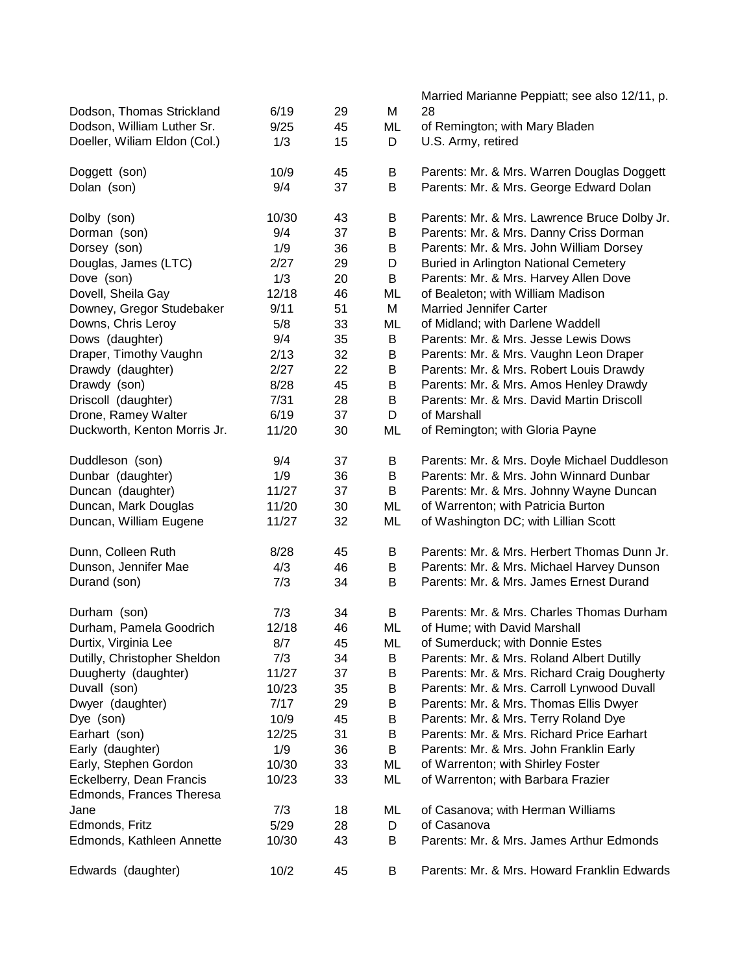|                              |       |    |    | Married Marianne Peppiatt; see also 12/11, p. |
|------------------------------|-------|----|----|-----------------------------------------------|
| Dodson, Thomas Strickland    | 6/19  | 29 | M  | 28                                            |
| Dodson, William Luther Sr.   | 9/25  | 45 | ML | of Remington; with Mary Bladen                |
| Doeller, Wiliam Eldon (Col.) | 1/3   | 15 | D  | U.S. Army, retired                            |
| Doggett (son)                | 10/9  | 45 | B  | Parents: Mr. & Mrs. Warren Douglas Doggett    |
| Dolan (son)                  | 9/4   | 37 | B  | Parents: Mr. & Mrs. George Edward Dolan       |
| Dolby (son)                  | 10/30 | 43 | B  | Parents: Mr. & Mrs. Lawrence Bruce Dolby Jr.  |
| Dorman (son)                 | 9/4   | 37 | B  | Parents: Mr. & Mrs. Danny Criss Dorman        |
| Dorsey (son)                 | 1/9   | 36 | B  | Parents: Mr. & Mrs. John William Dorsey       |
| Douglas, James (LTC)         | 2/27  | 29 | D  | <b>Buried in Arlington National Cemetery</b>  |
| Dove (son)                   | 1/3   | 20 | B  | Parents: Mr. & Mrs. Harvey Allen Dove         |
| Dovell, Sheila Gay           | 12/18 | 46 | ML | of Bealeton; with William Madison             |
| Downey, Gregor Studebaker    | 9/11  | 51 | M  | <b>Married Jennifer Carter</b>                |
| Downs, Chris Leroy           | 5/8   | 33 | ML | of Midland; with Darlene Waddell              |
| Dows (daughter)              | 9/4   | 35 | B  | Parents: Mr. & Mrs. Jesse Lewis Dows          |
| Draper, Timothy Vaughn       | 2/13  | 32 | B  | Parents: Mr. & Mrs. Vaughn Leon Draper        |
| Drawdy (daughter)            | 2/27  | 22 | B  | Parents: Mr. & Mrs. Robert Louis Drawdy       |
| Drawdy (son)                 | 8/28  | 45 | B  | Parents: Mr. & Mrs. Amos Henley Drawdy        |
| Driscoll (daughter)          | 7/31  | 28 | B  | Parents: Mr. & Mrs. David Martin Driscoll     |
| Drone, Ramey Walter          | 6/19  | 37 | D  | of Marshall                                   |
| Duckworth, Kenton Morris Jr. | 11/20 | 30 | ML | of Remington; with Gloria Payne               |
| Duddleson (son)              | 9/4   | 37 | B  | Parents: Mr. & Mrs. Doyle Michael Duddleson   |
| Dunbar (daughter)            | 1/9   | 36 | B  | Parents: Mr. & Mrs. John Winnard Dunbar       |
| Duncan (daughter)            | 11/27 | 37 | B  | Parents: Mr. & Mrs. Johnny Wayne Duncan       |
| Duncan, Mark Douglas         | 11/20 | 30 | ML | of Warrenton; with Patricia Burton            |
| Duncan, William Eugene       | 11/27 | 32 | ML | of Washington DC; with Lillian Scott          |
| Dunn, Colleen Ruth           | 8/28  | 45 | В  | Parents: Mr. & Mrs. Herbert Thomas Dunn Jr.   |
| Dunson, Jennifer Mae         | 4/3   | 46 | B  | Parents: Mr. & Mrs. Michael Harvey Dunson     |
| Durand (son)                 | 7/3   | 34 | В  | Parents: Mr. & Mrs. James Ernest Durand       |
| Durham (son)                 | 7/3   | 34 | B  | Parents: Mr. & Mrs. Charles Thomas Durham     |
| Durham, Pamela Goodrich      | 12/18 | 46 | ML | of Hume; with David Marshall                  |
| Durtix, Virginia Lee         | 8/7   | 45 | ML | of Sumerduck; with Donnie Estes               |
| Dutilly, Christopher Sheldon | 7/3   | 34 | В  | Parents: Mr. & Mrs. Roland Albert Dutilly     |
| Duugherty (daughter)         | 11/27 | 37 | Β  | Parents: Mr. & Mrs. Richard Craig Dougherty   |
| Duvall (son)                 | 10/23 | 35 | B  | Parents: Mr. & Mrs. Carroll Lynwood Duvall    |
| Dwyer (daughter)             | 7/17  | 29 | B  | Parents: Mr. & Mrs. Thomas Ellis Dwyer        |
| Dye (son)                    | 10/9  | 45 | B  | Parents: Mr. & Mrs. Terry Roland Dye          |
| Earhart (son)                | 12/25 | 31 | B  | Parents: Mr. & Mrs. Richard Price Earhart     |
| Early (daughter)             | 1/9   | 36 | B  | Parents: Mr. & Mrs. John Franklin Early       |
| Early, Stephen Gordon        | 10/30 | 33 | ML | of Warrenton; with Shirley Foster             |
| Eckelberry, Dean Francis     | 10/23 | 33 | ML | of Warrenton; with Barbara Frazier            |
| Edmonds, Frances Theresa     |       |    |    |                                               |
| Jane                         | 7/3   | 18 | ML | of Casanova; with Herman Williams             |
| Edmonds, Fritz               | 5/29  | 28 | D  | of Casanova                                   |
| Edmonds, Kathleen Annette    | 10/30 | 43 | В  | Parents: Mr. & Mrs. James Arthur Edmonds      |
| Edwards (daughter)           | 10/2  | 45 | B  | Parents: Mr. & Mrs. Howard Franklin Edwards   |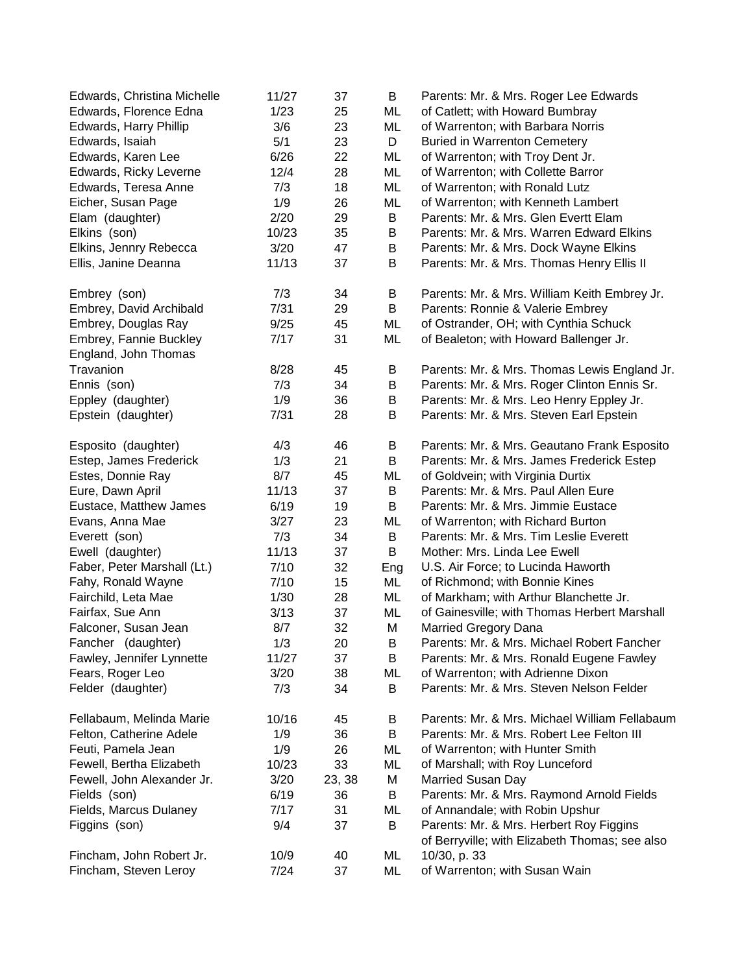| Edwards, Florence Edna<br>1/23<br>of Catlett; with Howard Bumbray<br>25<br>ML<br>3/6<br>ML<br>Edwards, Harry Phillip<br>23<br>of Warrenton; with Barbara Norris<br>5/1<br>23<br>D<br>Edwards, Isaiah<br><b>Buried in Warrenton Cemetery</b><br>6/26<br>22<br>ML<br>Edwards, Karen Lee<br>of Warrenton; with Troy Dent Jr.<br>ML<br>Edwards, Ricky Leverne<br>12/4<br>28<br>of Warrenton; with Collette Barror<br>7/3<br>ML<br>Edwards, Teresa Anne<br>18<br>of Warrenton; with Ronald Lutz<br>1/9<br>Eicher, Susan Page<br>26<br>ML<br>of Warrenton; with Kenneth Lambert<br>2/20<br>29<br>Elam (daughter)<br>B<br>Parents: Mr. & Mrs. Glen Evertt Elam<br>10/23<br>Elkins (son)<br>35<br>B<br>Parents: Mr. & Mrs. Warren Edward Elkins<br>Elkins, Jennry Rebecca<br>3/20<br>47<br>B<br>Parents: Mr. & Mrs. Dock Wayne Elkins<br>11/13<br>B<br>37<br>Parents: Mr. & Mrs. Thomas Henry Ellis II<br>Ellis, Janine Deanna<br>7/3<br>Parents: Mr. & Mrs. William Keith Embrey Jr.<br>Embrey (son)<br>34<br>Β<br>Embrey, David Archibald<br>7/31<br>B<br>Parents: Ronnie & Valerie Embrey<br>29<br>Embrey, Douglas Ray<br>9/25<br>of Ostrander, OH; with Cynthia Schuck<br>45<br>ML<br>Embrey, Fannie Buckley<br>7/17<br>31<br>of Bealeton; with Howard Ballenger Jr.<br>ML<br>England, John Thomas<br>Travanion<br>Parents: Mr. & Mrs. Thomas Lewis England Jr.<br>8/28<br>45<br>Β<br>Ennis (son)<br>7/3<br>34<br>B<br>Parents: Mr. & Mrs. Roger Clinton Ennis Sr.<br>$\sf B$<br>Parents: Mr. & Mrs. Leo Henry Eppley Jr.<br>Eppley (daughter)<br>1/9<br>36<br>Epstein (daughter)<br>7/31<br>B<br>Parents: Mr. & Mrs. Steven Earl Epstein<br>28<br>4/3<br>Parents: Mr. & Mrs. Geautano Frank Esposito<br>Esposito (daughter)<br>46<br>B<br>Estep, James Frederick<br>1/3<br>21<br>B<br>Parents: Mr. & Mrs. James Frederick Estep<br>Estes, Donnie Ray<br>8/7<br>45<br>ML<br>of Goldvein; with Virginia Durtix<br>Parents: Mr. & Mrs. Paul Allen Eure<br>Eure, Dawn April<br>11/13<br>37<br>B<br>Eustace, Matthew James<br>6/19<br>19<br>B<br>Parents: Mr. & Mrs. Jimmie Eustace<br>Evans, Anna Mae<br>3/27<br>23<br>of Warrenton; with Richard Burton<br>ML<br>7/3<br>34<br>B<br>Parents: Mr. & Mrs. Tim Leslie Everett<br>Everett (son)<br>11/13<br>37<br>B<br>Mother: Mrs. Linda Lee Ewell<br>Ewell (daughter)<br>Faber, Peter Marshall (Lt.)<br>7/10<br>32<br>U.S. Air Force; to Lucinda Haworth<br>Eng<br>15<br>Fahy, Ronald Wayne<br>7/10<br>ML<br>of Richmond; with Bonnie Kines<br>Fairchild, Leta Mae<br>1/30<br>28<br>ML<br>of Markham; with Arthur Blanchette Jr.<br>Fairfax, Sue Ann<br>3/13<br>37<br>ML<br>of Gainesville; with Thomas Herbert Marshall<br>8/7<br>32<br>Falconer, Susan Jean<br>M<br>Married Gregory Dana<br>1/3<br>20<br>Parents: Mr. & Mrs. Michael Robert Fancher<br>Fancher (daughter)<br>B<br>11/27<br>37<br>B<br>Fawley, Jennifer Lynnette<br>Parents: Mr. & Mrs. Ronald Eugene Fawley<br>3/20<br>Fears, Roger Leo<br>38<br>ML<br>of Warrenton; with Adrienne Dixon<br>Felder (daughter)<br>7/3<br>34<br>B<br>Parents: Mr. & Mrs. Steven Nelson Felder<br>10/16<br>Parents: Mr. & Mrs. Michael William Fellabaum<br>Fellabaum, Melinda Marie<br>45<br>В<br>Felton, Catherine Adele<br>1/9<br>36<br>B<br>Parents: Mr. & Mrs. Robert Lee Felton III<br>Feuti, Pamela Jean<br>1/9<br>26<br>ML<br>of Warrenton; with Hunter Smith<br>Fewell, Bertha Elizabeth<br>10/23<br>33<br>ML<br>of Marshall; with Roy Lunceford<br>Fewell, John Alexander Jr.<br>M<br><b>Married Susan Day</b><br>3/20<br>23, 38<br>6/19<br>Parents: Mr. & Mrs. Raymond Arnold Fields<br>Fields (son)<br>36<br>B<br>Fields, Marcus Dulaney<br>of Annandale; with Robin Upshur<br>7/17<br>31<br>ML<br>9/4<br>Parents: Mr. & Mrs. Herbert Roy Figgins<br>Figgins (son)<br>37<br>B<br>of Berryville; with Elizabeth Thomas; see also<br>10/30, p. 33<br>Fincham, John Robert Jr.<br>ML<br>10/9<br>40<br>Fincham, Steven Leroy<br>7/24<br>of Warrenton; with Susan Wain<br>37<br>ML | Edwards, Christina Michelle | 11/27 | 37 | B | Parents: Mr. & Mrs. Roger Lee Edwards |
|---------------------------------------------------------------------------------------------------------------------------------------------------------------------------------------------------------------------------------------------------------------------------------------------------------------------------------------------------------------------------------------------------------------------------------------------------------------------------------------------------------------------------------------------------------------------------------------------------------------------------------------------------------------------------------------------------------------------------------------------------------------------------------------------------------------------------------------------------------------------------------------------------------------------------------------------------------------------------------------------------------------------------------------------------------------------------------------------------------------------------------------------------------------------------------------------------------------------------------------------------------------------------------------------------------------------------------------------------------------------------------------------------------------------------------------------------------------------------------------------------------------------------------------------------------------------------------------------------------------------------------------------------------------------------------------------------------------------------------------------------------------------------------------------------------------------------------------------------------------------------------------------------------------------------------------------------------------------------------------------------------------------------------------------------------------------------------------------------------------------------------------------------------------------------------------------------------------------------------------------------------------------------------------------------------------------------------------------------------------------------------------------------------------------------------------------------------------------------------------------------------------------------------------------------------------------------------------------------------------------------------------------------------------------------------------------------------------------------------------------------------------------------------------------------------------------------------------------------------------------------------------------------------------------------------------------------------------------------------------------------------------------------------------------------------------------------------------------------------------------------------------------------------------------------------------------------------------------------------------------------------------------------------------------------------------------------------------------------------------------------------------------------------------------------------------------------------------------------------------------------------------------------------------------------------------------------------------------------------------------------------------------------------------------------------------------------------------------------------------------------------------------------------------------------------------------------------------------------------------------------------------------------------------------------------------------------------------------------------|-----------------------------|-------|----|---|---------------------------------------|
|                                                                                                                                                                                                                                                                                                                                                                                                                                                                                                                                                                                                                                                                                                                                                                                                                                                                                                                                                                                                                                                                                                                                                                                                                                                                                                                                                                                                                                                                                                                                                                                                                                                                                                                                                                                                                                                                                                                                                                                                                                                                                                                                                                                                                                                                                                                                                                                                                                                                                                                                                                                                                                                                                                                                                                                                                                                                                                                                                                                                                                                                                                                                                                                                                                                                                                                                                                                                                                                                                                                                                                                                                                                                                                                                                                                                                                                                                                                                                                                 |                             |       |    |   |                                       |
|                                                                                                                                                                                                                                                                                                                                                                                                                                                                                                                                                                                                                                                                                                                                                                                                                                                                                                                                                                                                                                                                                                                                                                                                                                                                                                                                                                                                                                                                                                                                                                                                                                                                                                                                                                                                                                                                                                                                                                                                                                                                                                                                                                                                                                                                                                                                                                                                                                                                                                                                                                                                                                                                                                                                                                                                                                                                                                                                                                                                                                                                                                                                                                                                                                                                                                                                                                                                                                                                                                                                                                                                                                                                                                                                                                                                                                                                                                                                                                                 |                             |       |    |   |                                       |
|                                                                                                                                                                                                                                                                                                                                                                                                                                                                                                                                                                                                                                                                                                                                                                                                                                                                                                                                                                                                                                                                                                                                                                                                                                                                                                                                                                                                                                                                                                                                                                                                                                                                                                                                                                                                                                                                                                                                                                                                                                                                                                                                                                                                                                                                                                                                                                                                                                                                                                                                                                                                                                                                                                                                                                                                                                                                                                                                                                                                                                                                                                                                                                                                                                                                                                                                                                                                                                                                                                                                                                                                                                                                                                                                                                                                                                                                                                                                                                                 |                             |       |    |   |                                       |
|                                                                                                                                                                                                                                                                                                                                                                                                                                                                                                                                                                                                                                                                                                                                                                                                                                                                                                                                                                                                                                                                                                                                                                                                                                                                                                                                                                                                                                                                                                                                                                                                                                                                                                                                                                                                                                                                                                                                                                                                                                                                                                                                                                                                                                                                                                                                                                                                                                                                                                                                                                                                                                                                                                                                                                                                                                                                                                                                                                                                                                                                                                                                                                                                                                                                                                                                                                                                                                                                                                                                                                                                                                                                                                                                                                                                                                                                                                                                                                                 |                             |       |    |   |                                       |
|                                                                                                                                                                                                                                                                                                                                                                                                                                                                                                                                                                                                                                                                                                                                                                                                                                                                                                                                                                                                                                                                                                                                                                                                                                                                                                                                                                                                                                                                                                                                                                                                                                                                                                                                                                                                                                                                                                                                                                                                                                                                                                                                                                                                                                                                                                                                                                                                                                                                                                                                                                                                                                                                                                                                                                                                                                                                                                                                                                                                                                                                                                                                                                                                                                                                                                                                                                                                                                                                                                                                                                                                                                                                                                                                                                                                                                                                                                                                                                                 |                             |       |    |   |                                       |
|                                                                                                                                                                                                                                                                                                                                                                                                                                                                                                                                                                                                                                                                                                                                                                                                                                                                                                                                                                                                                                                                                                                                                                                                                                                                                                                                                                                                                                                                                                                                                                                                                                                                                                                                                                                                                                                                                                                                                                                                                                                                                                                                                                                                                                                                                                                                                                                                                                                                                                                                                                                                                                                                                                                                                                                                                                                                                                                                                                                                                                                                                                                                                                                                                                                                                                                                                                                                                                                                                                                                                                                                                                                                                                                                                                                                                                                                                                                                                                                 |                             |       |    |   |                                       |
|                                                                                                                                                                                                                                                                                                                                                                                                                                                                                                                                                                                                                                                                                                                                                                                                                                                                                                                                                                                                                                                                                                                                                                                                                                                                                                                                                                                                                                                                                                                                                                                                                                                                                                                                                                                                                                                                                                                                                                                                                                                                                                                                                                                                                                                                                                                                                                                                                                                                                                                                                                                                                                                                                                                                                                                                                                                                                                                                                                                                                                                                                                                                                                                                                                                                                                                                                                                                                                                                                                                                                                                                                                                                                                                                                                                                                                                                                                                                                                                 |                             |       |    |   |                                       |
|                                                                                                                                                                                                                                                                                                                                                                                                                                                                                                                                                                                                                                                                                                                                                                                                                                                                                                                                                                                                                                                                                                                                                                                                                                                                                                                                                                                                                                                                                                                                                                                                                                                                                                                                                                                                                                                                                                                                                                                                                                                                                                                                                                                                                                                                                                                                                                                                                                                                                                                                                                                                                                                                                                                                                                                                                                                                                                                                                                                                                                                                                                                                                                                                                                                                                                                                                                                                                                                                                                                                                                                                                                                                                                                                                                                                                                                                                                                                                                                 |                             |       |    |   |                                       |
|                                                                                                                                                                                                                                                                                                                                                                                                                                                                                                                                                                                                                                                                                                                                                                                                                                                                                                                                                                                                                                                                                                                                                                                                                                                                                                                                                                                                                                                                                                                                                                                                                                                                                                                                                                                                                                                                                                                                                                                                                                                                                                                                                                                                                                                                                                                                                                                                                                                                                                                                                                                                                                                                                                                                                                                                                                                                                                                                                                                                                                                                                                                                                                                                                                                                                                                                                                                                                                                                                                                                                                                                                                                                                                                                                                                                                                                                                                                                                                                 |                             |       |    |   |                                       |
|                                                                                                                                                                                                                                                                                                                                                                                                                                                                                                                                                                                                                                                                                                                                                                                                                                                                                                                                                                                                                                                                                                                                                                                                                                                                                                                                                                                                                                                                                                                                                                                                                                                                                                                                                                                                                                                                                                                                                                                                                                                                                                                                                                                                                                                                                                                                                                                                                                                                                                                                                                                                                                                                                                                                                                                                                                                                                                                                                                                                                                                                                                                                                                                                                                                                                                                                                                                                                                                                                                                                                                                                                                                                                                                                                                                                                                                                                                                                                                                 |                             |       |    |   |                                       |
|                                                                                                                                                                                                                                                                                                                                                                                                                                                                                                                                                                                                                                                                                                                                                                                                                                                                                                                                                                                                                                                                                                                                                                                                                                                                                                                                                                                                                                                                                                                                                                                                                                                                                                                                                                                                                                                                                                                                                                                                                                                                                                                                                                                                                                                                                                                                                                                                                                                                                                                                                                                                                                                                                                                                                                                                                                                                                                                                                                                                                                                                                                                                                                                                                                                                                                                                                                                                                                                                                                                                                                                                                                                                                                                                                                                                                                                                                                                                                                                 |                             |       |    |   |                                       |
|                                                                                                                                                                                                                                                                                                                                                                                                                                                                                                                                                                                                                                                                                                                                                                                                                                                                                                                                                                                                                                                                                                                                                                                                                                                                                                                                                                                                                                                                                                                                                                                                                                                                                                                                                                                                                                                                                                                                                                                                                                                                                                                                                                                                                                                                                                                                                                                                                                                                                                                                                                                                                                                                                                                                                                                                                                                                                                                                                                                                                                                                                                                                                                                                                                                                                                                                                                                                                                                                                                                                                                                                                                                                                                                                                                                                                                                                                                                                                                                 |                             |       |    |   |                                       |
|                                                                                                                                                                                                                                                                                                                                                                                                                                                                                                                                                                                                                                                                                                                                                                                                                                                                                                                                                                                                                                                                                                                                                                                                                                                                                                                                                                                                                                                                                                                                                                                                                                                                                                                                                                                                                                                                                                                                                                                                                                                                                                                                                                                                                                                                                                                                                                                                                                                                                                                                                                                                                                                                                                                                                                                                                                                                                                                                                                                                                                                                                                                                                                                                                                                                                                                                                                                                                                                                                                                                                                                                                                                                                                                                                                                                                                                                                                                                                                                 |                             |       |    |   |                                       |
|                                                                                                                                                                                                                                                                                                                                                                                                                                                                                                                                                                                                                                                                                                                                                                                                                                                                                                                                                                                                                                                                                                                                                                                                                                                                                                                                                                                                                                                                                                                                                                                                                                                                                                                                                                                                                                                                                                                                                                                                                                                                                                                                                                                                                                                                                                                                                                                                                                                                                                                                                                                                                                                                                                                                                                                                                                                                                                                                                                                                                                                                                                                                                                                                                                                                                                                                                                                                                                                                                                                                                                                                                                                                                                                                                                                                                                                                                                                                                                                 |                             |       |    |   |                                       |
|                                                                                                                                                                                                                                                                                                                                                                                                                                                                                                                                                                                                                                                                                                                                                                                                                                                                                                                                                                                                                                                                                                                                                                                                                                                                                                                                                                                                                                                                                                                                                                                                                                                                                                                                                                                                                                                                                                                                                                                                                                                                                                                                                                                                                                                                                                                                                                                                                                                                                                                                                                                                                                                                                                                                                                                                                                                                                                                                                                                                                                                                                                                                                                                                                                                                                                                                                                                                                                                                                                                                                                                                                                                                                                                                                                                                                                                                                                                                                                                 |                             |       |    |   |                                       |
|                                                                                                                                                                                                                                                                                                                                                                                                                                                                                                                                                                                                                                                                                                                                                                                                                                                                                                                                                                                                                                                                                                                                                                                                                                                                                                                                                                                                                                                                                                                                                                                                                                                                                                                                                                                                                                                                                                                                                                                                                                                                                                                                                                                                                                                                                                                                                                                                                                                                                                                                                                                                                                                                                                                                                                                                                                                                                                                                                                                                                                                                                                                                                                                                                                                                                                                                                                                                                                                                                                                                                                                                                                                                                                                                                                                                                                                                                                                                                                                 |                             |       |    |   |                                       |
|                                                                                                                                                                                                                                                                                                                                                                                                                                                                                                                                                                                                                                                                                                                                                                                                                                                                                                                                                                                                                                                                                                                                                                                                                                                                                                                                                                                                                                                                                                                                                                                                                                                                                                                                                                                                                                                                                                                                                                                                                                                                                                                                                                                                                                                                                                                                                                                                                                                                                                                                                                                                                                                                                                                                                                                                                                                                                                                                                                                                                                                                                                                                                                                                                                                                                                                                                                                                                                                                                                                                                                                                                                                                                                                                                                                                                                                                                                                                                                                 |                             |       |    |   |                                       |
|                                                                                                                                                                                                                                                                                                                                                                                                                                                                                                                                                                                                                                                                                                                                                                                                                                                                                                                                                                                                                                                                                                                                                                                                                                                                                                                                                                                                                                                                                                                                                                                                                                                                                                                                                                                                                                                                                                                                                                                                                                                                                                                                                                                                                                                                                                                                                                                                                                                                                                                                                                                                                                                                                                                                                                                                                                                                                                                                                                                                                                                                                                                                                                                                                                                                                                                                                                                                                                                                                                                                                                                                                                                                                                                                                                                                                                                                                                                                                                                 |                             |       |    |   |                                       |
|                                                                                                                                                                                                                                                                                                                                                                                                                                                                                                                                                                                                                                                                                                                                                                                                                                                                                                                                                                                                                                                                                                                                                                                                                                                                                                                                                                                                                                                                                                                                                                                                                                                                                                                                                                                                                                                                                                                                                                                                                                                                                                                                                                                                                                                                                                                                                                                                                                                                                                                                                                                                                                                                                                                                                                                                                                                                                                                                                                                                                                                                                                                                                                                                                                                                                                                                                                                                                                                                                                                                                                                                                                                                                                                                                                                                                                                                                                                                                                                 |                             |       |    |   |                                       |
|                                                                                                                                                                                                                                                                                                                                                                                                                                                                                                                                                                                                                                                                                                                                                                                                                                                                                                                                                                                                                                                                                                                                                                                                                                                                                                                                                                                                                                                                                                                                                                                                                                                                                                                                                                                                                                                                                                                                                                                                                                                                                                                                                                                                                                                                                                                                                                                                                                                                                                                                                                                                                                                                                                                                                                                                                                                                                                                                                                                                                                                                                                                                                                                                                                                                                                                                                                                                                                                                                                                                                                                                                                                                                                                                                                                                                                                                                                                                                                                 |                             |       |    |   |                                       |
|                                                                                                                                                                                                                                                                                                                                                                                                                                                                                                                                                                                                                                                                                                                                                                                                                                                                                                                                                                                                                                                                                                                                                                                                                                                                                                                                                                                                                                                                                                                                                                                                                                                                                                                                                                                                                                                                                                                                                                                                                                                                                                                                                                                                                                                                                                                                                                                                                                                                                                                                                                                                                                                                                                                                                                                                                                                                                                                                                                                                                                                                                                                                                                                                                                                                                                                                                                                                                                                                                                                                                                                                                                                                                                                                                                                                                                                                                                                                                                                 |                             |       |    |   |                                       |
|                                                                                                                                                                                                                                                                                                                                                                                                                                                                                                                                                                                                                                                                                                                                                                                                                                                                                                                                                                                                                                                                                                                                                                                                                                                                                                                                                                                                                                                                                                                                                                                                                                                                                                                                                                                                                                                                                                                                                                                                                                                                                                                                                                                                                                                                                                                                                                                                                                                                                                                                                                                                                                                                                                                                                                                                                                                                                                                                                                                                                                                                                                                                                                                                                                                                                                                                                                                                                                                                                                                                                                                                                                                                                                                                                                                                                                                                                                                                                                                 |                             |       |    |   |                                       |
|                                                                                                                                                                                                                                                                                                                                                                                                                                                                                                                                                                                                                                                                                                                                                                                                                                                                                                                                                                                                                                                                                                                                                                                                                                                                                                                                                                                                                                                                                                                                                                                                                                                                                                                                                                                                                                                                                                                                                                                                                                                                                                                                                                                                                                                                                                                                                                                                                                                                                                                                                                                                                                                                                                                                                                                                                                                                                                                                                                                                                                                                                                                                                                                                                                                                                                                                                                                                                                                                                                                                                                                                                                                                                                                                                                                                                                                                                                                                                                                 |                             |       |    |   |                                       |
|                                                                                                                                                                                                                                                                                                                                                                                                                                                                                                                                                                                                                                                                                                                                                                                                                                                                                                                                                                                                                                                                                                                                                                                                                                                                                                                                                                                                                                                                                                                                                                                                                                                                                                                                                                                                                                                                                                                                                                                                                                                                                                                                                                                                                                                                                                                                                                                                                                                                                                                                                                                                                                                                                                                                                                                                                                                                                                                                                                                                                                                                                                                                                                                                                                                                                                                                                                                                                                                                                                                                                                                                                                                                                                                                                                                                                                                                                                                                                                                 |                             |       |    |   |                                       |
|                                                                                                                                                                                                                                                                                                                                                                                                                                                                                                                                                                                                                                                                                                                                                                                                                                                                                                                                                                                                                                                                                                                                                                                                                                                                                                                                                                                                                                                                                                                                                                                                                                                                                                                                                                                                                                                                                                                                                                                                                                                                                                                                                                                                                                                                                                                                                                                                                                                                                                                                                                                                                                                                                                                                                                                                                                                                                                                                                                                                                                                                                                                                                                                                                                                                                                                                                                                                                                                                                                                                                                                                                                                                                                                                                                                                                                                                                                                                                                                 |                             |       |    |   |                                       |
|                                                                                                                                                                                                                                                                                                                                                                                                                                                                                                                                                                                                                                                                                                                                                                                                                                                                                                                                                                                                                                                                                                                                                                                                                                                                                                                                                                                                                                                                                                                                                                                                                                                                                                                                                                                                                                                                                                                                                                                                                                                                                                                                                                                                                                                                                                                                                                                                                                                                                                                                                                                                                                                                                                                                                                                                                                                                                                                                                                                                                                                                                                                                                                                                                                                                                                                                                                                                                                                                                                                                                                                                                                                                                                                                                                                                                                                                                                                                                                                 |                             |       |    |   |                                       |
|                                                                                                                                                                                                                                                                                                                                                                                                                                                                                                                                                                                                                                                                                                                                                                                                                                                                                                                                                                                                                                                                                                                                                                                                                                                                                                                                                                                                                                                                                                                                                                                                                                                                                                                                                                                                                                                                                                                                                                                                                                                                                                                                                                                                                                                                                                                                                                                                                                                                                                                                                                                                                                                                                                                                                                                                                                                                                                                                                                                                                                                                                                                                                                                                                                                                                                                                                                                                                                                                                                                                                                                                                                                                                                                                                                                                                                                                                                                                                                                 |                             |       |    |   |                                       |
|                                                                                                                                                                                                                                                                                                                                                                                                                                                                                                                                                                                                                                                                                                                                                                                                                                                                                                                                                                                                                                                                                                                                                                                                                                                                                                                                                                                                                                                                                                                                                                                                                                                                                                                                                                                                                                                                                                                                                                                                                                                                                                                                                                                                                                                                                                                                                                                                                                                                                                                                                                                                                                                                                                                                                                                                                                                                                                                                                                                                                                                                                                                                                                                                                                                                                                                                                                                                                                                                                                                                                                                                                                                                                                                                                                                                                                                                                                                                                                                 |                             |       |    |   |                                       |
|                                                                                                                                                                                                                                                                                                                                                                                                                                                                                                                                                                                                                                                                                                                                                                                                                                                                                                                                                                                                                                                                                                                                                                                                                                                                                                                                                                                                                                                                                                                                                                                                                                                                                                                                                                                                                                                                                                                                                                                                                                                                                                                                                                                                                                                                                                                                                                                                                                                                                                                                                                                                                                                                                                                                                                                                                                                                                                                                                                                                                                                                                                                                                                                                                                                                                                                                                                                                                                                                                                                                                                                                                                                                                                                                                                                                                                                                                                                                                                                 |                             |       |    |   |                                       |
|                                                                                                                                                                                                                                                                                                                                                                                                                                                                                                                                                                                                                                                                                                                                                                                                                                                                                                                                                                                                                                                                                                                                                                                                                                                                                                                                                                                                                                                                                                                                                                                                                                                                                                                                                                                                                                                                                                                                                                                                                                                                                                                                                                                                                                                                                                                                                                                                                                                                                                                                                                                                                                                                                                                                                                                                                                                                                                                                                                                                                                                                                                                                                                                                                                                                                                                                                                                                                                                                                                                                                                                                                                                                                                                                                                                                                                                                                                                                                                                 |                             |       |    |   |                                       |
|                                                                                                                                                                                                                                                                                                                                                                                                                                                                                                                                                                                                                                                                                                                                                                                                                                                                                                                                                                                                                                                                                                                                                                                                                                                                                                                                                                                                                                                                                                                                                                                                                                                                                                                                                                                                                                                                                                                                                                                                                                                                                                                                                                                                                                                                                                                                                                                                                                                                                                                                                                                                                                                                                                                                                                                                                                                                                                                                                                                                                                                                                                                                                                                                                                                                                                                                                                                                                                                                                                                                                                                                                                                                                                                                                                                                                                                                                                                                                                                 |                             |       |    |   |                                       |
|                                                                                                                                                                                                                                                                                                                                                                                                                                                                                                                                                                                                                                                                                                                                                                                                                                                                                                                                                                                                                                                                                                                                                                                                                                                                                                                                                                                                                                                                                                                                                                                                                                                                                                                                                                                                                                                                                                                                                                                                                                                                                                                                                                                                                                                                                                                                                                                                                                                                                                                                                                                                                                                                                                                                                                                                                                                                                                                                                                                                                                                                                                                                                                                                                                                                                                                                                                                                                                                                                                                                                                                                                                                                                                                                                                                                                                                                                                                                                                                 |                             |       |    |   |                                       |
|                                                                                                                                                                                                                                                                                                                                                                                                                                                                                                                                                                                                                                                                                                                                                                                                                                                                                                                                                                                                                                                                                                                                                                                                                                                                                                                                                                                                                                                                                                                                                                                                                                                                                                                                                                                                                                                                                                                                                                                                                                                                                                                                                                                                                                                                                                                                                                                                                                                                                                                                                                                                                                                                                                                                                                                                                                                                                                                                                                                                                                                                                                                                                                                                                                                                                                                                                                                                                                                                                                                                                                                                                                                                                                                                                                                                                                                                                                                                                                                 |                             |       |    |   |                                       |
|                                                                                                                                                                                                                                                                                                                                                                                                                                                                                                                                                                                                                                                                                                                                                                                                                                                                                                                                                                                                                                                                                                                                                                                                                                                                                                                                                                                                                                                                                                                                                                                                                                                                                                                                                                                                                                                                                                                                                                                                                                                                                                                                                                                                                                                                                                                                                                                                                                                                                                                                                                                                                                                                                                                                                                                                                                                                                                                                                                                                                                                                                                                                                                                                                                                                                                                                                                                                                                                                                                                                                                                                                                                                                                                                                                                                                                                                                                                                                                                 |                             |       |    |   |                                       |
|                                                                                                                                                                                                                                                                                                                                                                                                                                                                                                                                                                                                                                                                                                                                                                                                                                                                                                                                                                                                                                                                                                                                                                                                                                                                                                                                                                                                                                                                                                                                                                                                                                                                                                                                                                                                                                                                                                                                                                                                                                                                                                                                                                                                                                                                                                                                                                                                                                                                                                                                                                                                                                                                                                                                                                                                                                                                                                                                                                                                                                                                                                                                                                                                                                                                                                                                                                                                                                                                                                                                                                                                                                                                                                                                                                                                                                                                                                                                                                                 |                             |       |    |   |                                       |
|                                                                                                                                                                                                                                                                                                                                                                                                                                                                                                                                                                                                                                                                                                                                                                                                                                                                                                                                                                                                                                                                                                                                                                                                                                                                                                                                                                                                                                                                                                                                                                                                                                                                                                                                                                                                                                                                                                                                                                                                                                                                                                                                                                                                                                                                                                                                                                                                                                                                                                                                                                                                                                                                                                                                                                                                                                                                                                                                                                                                                                                                                                                                                                                                                                                                                                                                                                                                                                                                                                                                                                                                                                                                                                                                                                                                                                                                                                                                                                                 |                             |       |    |   |                                       |
|                                                                                                                                                                                                                                                                                                                                                                                                                                                                                                                                                                                                                                                                                                                                                                                                                                                                                                                                                                                                                                                                                                                                                                                                                                                                                                                                                                                                                                                                                                                                                                                                                                                                                                                                                                                                                                                                                                                                                                                                                                                                                                                                                                                                                                                                                                                                                                                                                                                                                                                                                                                                                                                                                                                                                                                                                                                                                                                                                                                                                                                                                                                                                                                                                                                                                                                                                                                                                                                                                                                                                                                                                                                                                                                                                                                                                                                                                                                                                                                 |                             |       |    |   |                                       |
|                                                                                                                                                                                                                                                                                                                                                                                                                                                                                                                                                                                                                                                                                                                                                                                                                                                                                                                                                                                                                                                                                                                                                                                                                                                                                                                                                                                                                                                                                                                                                                                                                                                                                                                                                                                                                                                                                                                                                                                                                                                                                                                                                                                                                                                                                                                                                                                                                                                                                                                                                                                                                                                                                                                                                                                                                                                                                                                                                                                                                                                                                                                                                                                                                                                                                                                                                                                                                                                                                                                                                                                                                                                                                                                                                                                                                                                                                                                                                                                 |                             |       |    |   |                                       |
|                                                                                                                                                                                                                                                                                                                                                                                                                                                                                                                                                                                                                                                                                                                                                                                                                                                                                                                                                                                                                                                                                                                                                                                                                                                                                                                                                                                                                                                                                                                                                                                                                                                                                                                                                                                                                                                                                                                                                                                                                                                                                                                                                                                                                                                                                                                                                                                                                                                                                                                                                                                                                                                                                                                                                                                                                                                                                                                                                                                                                                                                                                                                                                                                                                                                                                                                                                                                                                                                                                                                                                                                                                                                                                                                                                                                                                                                                                                                                                                 |                             |       |    |   |                                       |
|                                                                                                                                                                                                                                                                                                                                                                                                                                                                                                                                                                                                                                                                                                                                                                                                                                                                                                                                                                                                                                                                                                                                                                                                                                                                                                                                                                                                                                                                                                                                                                                                                                                                                                                                                                                                                                                                                                                                                                                                                                                                                                                                                                                                                                                                                                                                                                                                                                                                                                                                                                                                                                                                                                                                                                                                                                                                                                                                                                                                                                                                                                                                                                                                                                                                                                                                                                                                                                                                                                                                                                                                                                                                                                                                                                                                                                                                                                                                                                                 |                             |       |    |   |                                       |
|                                                                                                                                                                                                                                                                                                                                                                                                                                                                                                                                                                                                                                                                                                                                                                                                                                                                                                                                                                                                                                                                                                                                                                                                                                                                                                                                                                                                                                                                                                                                                                                                                                                                                                                                                                                                                                                                                                                                                                                                                                                                                                                                                                                                                                                                                                                                                                                                                                                                                                                                                                                                                                                                                                                                                                                                                                                                                                                                                                                                                                                                                                                                                                                                                                                                                                                                                                                                                                                                                                                                                                                                                                                                                                                                                                                                                                                                                                                                                                                 |                             |       |    |   |                                       |
|                                                                                                                                                                                                                                                                                                                                                                                                                                                                                                                                                                                                                                                                                                                                                                                                                                                                                                                                                                                                                                                                                                                                                                                                                                                                                                                                                                                                                                                                                                                                                                                                                                                                                                                                                                                                                                                                                                                                                                                                                                                                                                                                                                                                                                                                                                                                                                                                                                                                                                                                                                                                                                                                                                                                                                                                                                                                                                                                                                                                                                                                                                                                                                                                                                                                                                                                                                                                                                                                                                                                                                                                                                                                                                                                                                                                                                                                                                                                                                                 |                             |       |    |   |                                       |
|                                                                                                                                                                                                                                                                                                                                                                                                                                                                                                                                                                                                                                                                                                                                                                                                                                                                                                                                                                                                                                                                                                                                                                                                                                                                                                                                                                                                                                                                                                                                                                                                                                                                                                                                                                                                                                                                                                                                                                                                                                                                                                                                                                                                                                                                                                                                                                                                                                                                                                                                                                                                                                                                                                                                                                                                                                                                                                                                                                                                                                                                                                                                                                                                                                                                                                                                                                                                                                                                                                                                                                                                                                                                                                                                                                                                                                                                                                                                                                                 |                             |       |    |   |                                       |
|                                                                                                                                                                                                                                                                                                                                                                                                                                                                                                                                                                                                                                                                                                                                                                                                                                                                                                                                                                                                                                                                                                                                                                                                                                                                                                                                                                                                                                                                                                                                                                                                                                                                                                                                                                                                                                                                                                                                                                                                                                                                                                                                                                                                                                                                                                                                                                                                                                                                                                                                                                                                                                                                                                                                                                                                                                                                                                                                                                                                                                                                                                                                                                                                                                                                                                                                                                                                                                                                                                                                                                                                                                                                                                                                                                                                                                                                                                                                                                                 |                             |       |    |   |                                       |
|                                                                                                                                                                                                                                                                                                                                                                                                                                                                                                                                                                                                                                                                                                                                                                                                                                                                                                                                                                                                                                                                                                                                                                                                                                                                                                                                                                                                                                                                                                                                                                                                                                                                                                                                                                                                                                                                                                                                                                                                                                                                                                                                                                                                                                                                                                                                                                                                                                                                                                                                                                                                                                                                                                                                                                                                                                                                                                                                                                                                                                                                                                                                                                                                                                                                                                                                                                                                                                                                                                                                                                                                                                                                                                                                                                                                                                                                                                                                                                                 |                             |       |    |   |                                       |
|                                                                                                                                                                                                                                                                                                                                                                                                                                                                                                                                                                                                                                                                                                                                                                                                                                                                                                                                                                                                                                                                                                                                                                                                                                                                                                                                                                                                                                                                                                                                                                                                                                                                                                                                                                                                                                                                                                                                                                                                                                                                                                                                                                                                                                                                                                                                                                                                                                                                                                                                                                                                                                                                                                                                                                                                                                                                                                                                                                                                                                                                                                                                                                                                                                                                                                                                                                                                                                                                                                                                                                                                                                                                                                                                                                                                                                                                                                                                                                                 |                             |       |    |   |                                       |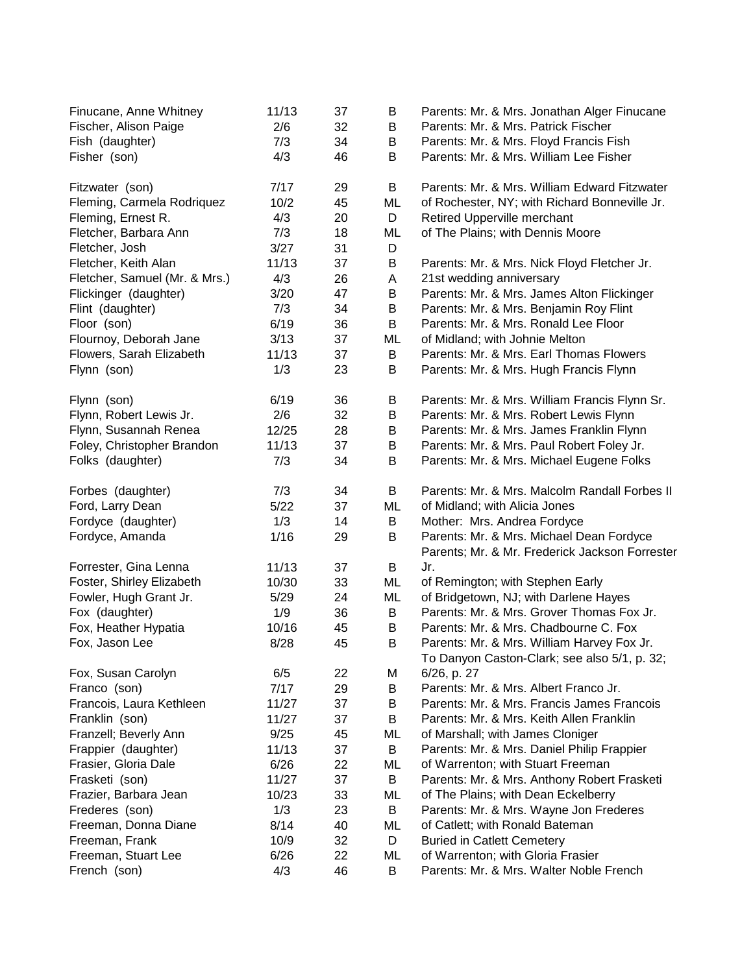| Finucane, Anne Whitney<br>Fischer, Alison Paige | 11/13<br>2/6 | 37<br>32 | В<br>B  | Parents: Mr. & Mrs. Jonathan Alger Finucane<br>Parents: Mr. & Mrs. Patrick Fischer         |
|-------------------------------------------------|--------------|----------|---------|--------------------------------------------------------------------------------------------|
| Fish (daughter)                                 | 7/3          | 34       | B       | Parents: Mr. & Mrs. Floyd Francis Fish                                                     |
| Fisher (son)                                    | 4/3          | 46       | B       | Parents: Mr. & Mrs. William Lee Fisher                                                     |
| Fitzwater (son)                                 | 7/17         | 29       | B       | Parents: Mr. & Mrs. William Edward Fitzwater                                               |
| Fleming, Carmela Rodriquez                      | 10/2         | 45       | ML      | of Rochester, NY; with Richard Bonneville Jr.                                              |
| Fleming, Ernest R.                              | 4/3          | 20       | D       | Retired Upperville merchant                                                                |
| Fletcher, Barbara Ann                           | 7/3          | 18       | ML      | of The Plains; with Dennis Moore                                                           |
| Fletcher, Josh                                  | 3/27         | 31       | D       |                                                                                            |
| Fletcher, Keith Alan                            | 11/13        | 37       | B       | Parents: Mr. & Mrs. Nick Floyd Fletcher Jr.                                                |
| Fletcher, Samuel (Mr. & Mrs.)                   | 4/3          | 26       | Α       | 21st wedding anniversary                                                                   |
| Flickinger (daughter)                           | 3/20         | 47       | B       | Parents: Mr. & Mrs. James Alton Flickinger                                                 |
| Flint (daughter)                                | 7/3          | 34       | $\sf B$ | Parents: Mr. & Mrs. Benjamin Roy Flint                                                     |
| Floor (son)                                     | 6/19         | 36       | B       | Parents: Mr. & Mrs. Ronald Lee Floor                                                       |
| Flournoy, Deborah Jane                          | 3/13         | 37       | ML      | of Midland; with Johnie Melton                                                             |
| Flowers, Sarah Elizabeth                        | 11/13        | 37       | B       | Parents: Mr. & Mrs. Earl Thomas Flowers                                                    |
| Flynn (son)                                     | 1/3          | 23       | B       | Parents: Mr. & Mrs. Hugh Francis Flynn                                                     |
| Flynn (son)                                     | 6/19         | 36       | B       | Parents: Mr. & Mrs. William Francis Flynn Sr.                                              |
| Flynn, Robert Lewis Jr.                         | 2/6          | 32       | $\sf B$ | Parents: Mr. & Mrs. Robert Lewis Flynn                                                     |
| Flynn, Susannah Renea                           | 12/25        | 28       | B       | Parents: Mr. & Mrs. James Franklin Flynn                                                   |
| Foley, Christopher Brandon                      | 11/13        | 37       | B       | Parents: Mr. & Mrs. Paul Robert Foley Jr.                                                  |
| Folks (daughter)                                | 7/3          | 34       | B       | Parents: Mr. & Mrs. Michael Eugene Folks                                                   |
| Forbes (daughter)                               | 7/3          | 34       | B       | Parents: Mr. & Mrs. Malcolm Randall Forbes II                                              |
| Ford, Larry Dean                                | 5/22         | 37       | ML      | of Midland; with Alicia Jones                                                              |
| Fordyce (daughter)                              | 1/3          | 14       | В       | Mother: Mrs. Andrea Fordyce                                                                |
| Fordyce, Amanda                                 | 1/16         | 29       | B       | Parents: Mr. & Mrs. Michael Dean Fordyce                                                   |
|                                                 |              |          |         | Parents; Mr. & Mr. Frederick Jackson Forrester                                             |
| Forrester, Gina Lenna                           | 11/13        | 37       | B       | Jr.                                                                                        |
| Foster, Shirley Elizabeth                       | 10/30        | 33       | ML      | of Remington; with Stephen Early                                                           |
| Fowler, Hugh Grant Jr.                          | 5/29         | 24       | ML      | of Bridgetown, NJ; with Darlene Hayes                                                      |
| Fox (daughter)                                  | 1/9          | 36       | B       | Parents: Mr. & Mrs. Grover Thomas Fox Jr.                                                  |
| Fox, Heather Hypatia                            | 10/16        | 45       | В       | Parents: Mr. & Mrs. Chadbourne C. Fox                                                      |
| Fox, Jason Lee                                  | 8/28         | 45       | В       | Parents: Mr. & Mrs. William Harvey Fox Jr.<br>To Danyon Caston-Clark; see also 5/1, p. 32; |
| Fox, Susan Carolyn                              | 6/5          | 22       | M       | 6/26, p. 27                                                                                |
| Franco (son)                                    | 7/17         | 29       | B       | Parents: Mr. & Mrs. Albert Franco Jr.                                                      |
| Francois, Laura Kethleen                        | 11/27        | 37       | В       | Parents: Mr. & Mrs. Francis James Francois                                                 |
| Franklin (son)                                  | 11/27        | 37       | В       | Parents: Mr. & Mrs. Keith Allen Franklin                                                   |
| Franzell; Beverly Ann                           | 9/25         | 45       | ML      | of Marshall; with James Cloniger                                                           |
| Frappier (daughter)                             | 11/13        | 37       | B       | Parents: Mr. & Mrs. Daniel Philip Frappier                                                 |
| Frasier, Gloria Dale                            | 6/26         | 22       | ML      | of Warrenton; with Stuart Freeman                                                          |
| Frasketi (son)                                  | 11/27        | 37       | B       | Parents: Mr. & Mrs. Anthony Robert Frasketi                                                |
| Frazier, Barbara Jean                           | 10/23        | 33       | ML      | of The Plains; with Dean Eckelberry                                                        |
| Frederes (son)                                  | 1/3          | 23       | B       | Parents: Mr. & Mrs. Wayne Jon Frederes                                                     |
| Freeman, Donna Diane                            | 8/14         | 40       | ML      | of Catlett; with Ronald Bateman                                                            |
| Freeman, Frank                                  | 10/9         | 32       | D       | <b>Buried in Catlett Cemetery</b>                                                          |
| Freeman, Stuart Lee                             | 6/26         | 22       | ML      | of Warrenton; with Gloria Frasier                                                          |
| French (son)                                    | 4/3          | 46       | B       | Parents: Mr. & Mrs. Walter Noble French                                                    |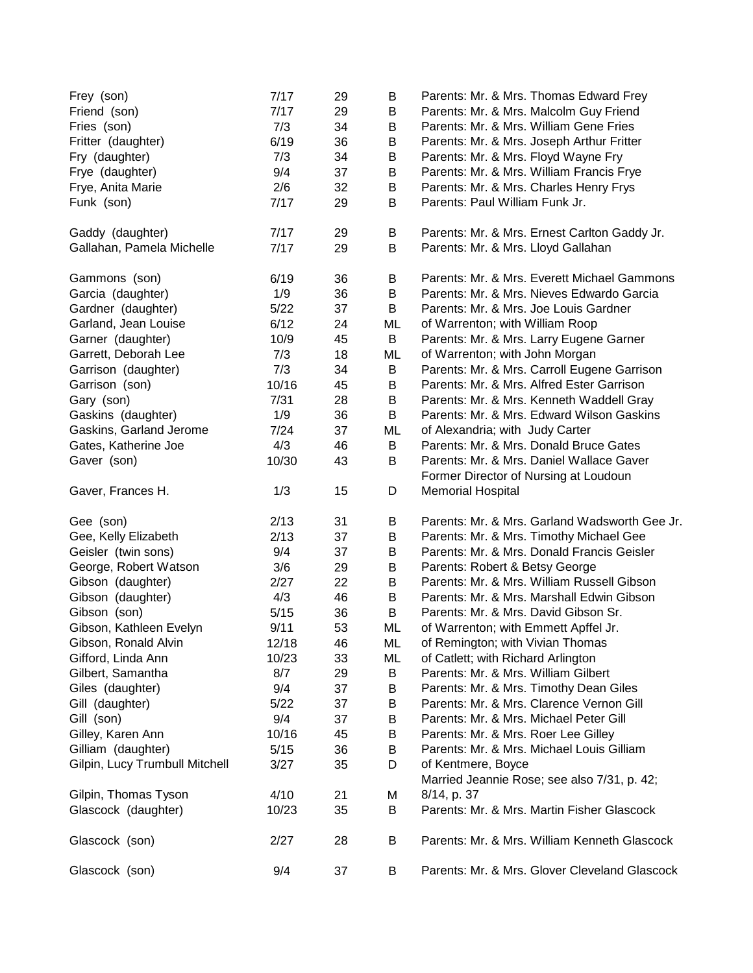| Frey (son)<br>Friend (son)     | 7/17<br>7/17 | 29<br>29 | B<br>B | Parents: Mr. & Mrs. Thomas Edward Frey<br>Parents: Mr. & Mrs. Malcolm Guy Friend |
|--------------------------------|--------------|----------|--------|----------------------------------------------------------------------------------|
| Fries (son)                    | 7/3          | 34       | B      | Parents: Mr. & Mrs. William Gene Fries                                           |
| Fritter (daughter)             | 6/19         | 36       | B      | Parents: Mr. & Mrs. Joseph Arthur Fritter                                        |
| Fry (daughter)                 | 7/3          | 34       | B      | Parents: Mr. & Mrs. Floyd Wayne Fry                                              |
| Frye (daughter)                | 9/4          | 37       | B      | Parents: Mr. & Mrs. William Francis Frye                                         |
| Frye, Anita Marie              | 2/6          | 32       | B      | Parents: Mr. & Mrs. Charles Henry Frys                                           |
| Funk (son)                     | 7/17         | 29       | B      | Parents: Paul William Funk Jr.                                                   |
|                                |              |          |        |                                                                                  |
| Gaddy (daughter)               | 7/17         | 29       | B      | Parents: Mr. & Mrs. Ernest Carlton Gaddy Jr.                                     |
| Gallahan, Pamela Michelle      | 7/17         | 29       | B      | Parents: Mr. & Mrs. Lloyd Gallahan                                               |
| Gammons (son)                  | 6/19         | 36       | B      | Parents: Mr. & Mrs. Everett Michael Gammons                                      |
| Garcia (daughter)              | 1/9          | 36       | B      | Parents: Mr. & Mrs. Nieves Edwardo Garcia                                        |
| Gardner (daughter)             | $5/22$       | 37       | B      | Parents: Mr. & Mrs. Joe Louis Gardner                                            |
| Garland, Jean Louise           | 6/12         | 24       | ML     | of Warrenton; with William Roop                                                  |
| Garner (daughter)              | 10/9         | 45       | B      | Parents: Mr. & Mrs. Larry Eugene Garner                                          |
| Garrett, Deborah Lee           | 7/3          | 18       | ML     | of Warrenton; with John Morgan                                                   |
| Garrison (daughter)            | 7/3          | 34       | B      | Parents: Mr. & Mrs. Carroll Eugene Garrison                                      |
| Garrison (son)                 | 10/16        | 45       | B      | Parents: Mr. & Mrs. Alfred Ester Garrison                                        |
| Gary (son)                     | 7/31         | 28       | B      | Parents: Mr. & Mrs. Kenneth Waddell Gray                                         |
| Gaskins (daughter)             | 1/9          | 36       | B      | Parents: Mr. & Mrs. Edward Wilson Gaskins                                        |
| Gaskins, Garland Jerome        | 7/24         | 37       | ML     | of Alexandria; with Judy Carter                                                  |
| Gates, Katherine Joe           | 4/3          | 46       | B      | Parents: Mr. & Mrs. Donald Bruce Gates                                           |
| Gaver (son)                    | 10/30        | 43       | B      | Parents: Mr. & Mrs. Daniel Wallace Gaver                                         |
|                                |              |          |        | Former Director of Nursing at Loudoun                                            |
| Gaver, Frances H.              | 1/3          | 15       | D      | <b>Memorial Hospital</b>                                                         |
| Gee (son)                      | 2/13         | 31       | B      | Parents: Mr. & Mrs. Garland Wadsworth Gee Jr.                                    |
| Gee, Kelly Elizabeth           | 2/13         | 37       | B      | Parents: Mr. & Mrs. Timothy Michael Gee                                          |
| Geisler (twin sons)            | 9/4          | 37       | B      | Parents: Mr. & Mrs. Donald Francis Geisler                                       |
| George, Robert Watson          | 3/6          | 29       | B      | Parents: Robert & Betsy George                                                   |
| Gibson (daughter)              | 2/27         | 22       | B      | Parents: Mr. & Mrs. William Russell Gibson                                       |
| Gibson (daughter)              | 4/3          | 46       | B      | Parents: Mr. & Mrs. Marshall Edwin Gibson                                        |
| Gibson (son)                   | 5/15         | 36       | B      | Parents: Mr. & Mrs. David Gibson Sr.                                             |
| Gibson, Kathleen Evelyn        | 9/11         | 53       | ML     | of Warrenton; with Emmett Apffel Jr.                                             |
| Gibson, Ronald Alvin           | 12/18        | 46       | ML     | of Remington; with Vivian Thomas                                                 |
| Gifford, Linda Ann             |              |          |        |                                                                                  |
| Gilbert, Samantha              | 10/23        | 33       | ML     | of Catlett; with Richard Arlington                                               |
| Giles (daughter)               | 8/7          | 29       | B      | Parents: Mr. & Mrs. William Gilbert                                              |
|                                | 9/4          | 37       | B      | Parents: Mr. & Mrs. Timothy Dean Giles                                           |
| Gill (daughter)                | 5/22         | 37       | B      | Parents: Mr. & Mrs. Clarence Vernon Gill                                         |
| Gill (son)                     | 9/4          | 37       | B      | Parents: Mr. & Mrs. Michael Peter Gill                                           |
| Gilley, Karen Ann              | 10/16        | 45       | B      | Parents: Mr. & Mrs. Roer Lee Gilley                                              |
| Gilliam (daughter)             | 5/15         | 36       | B      | Parents: Mr. & Mrs. Michael Louis Gilliam                                        |
| Gilpin, Lucy Trumbull Mitchell | 3/27         | 35       | D      | of Kentmere, Boyce                                                               |
|                                |              |          |        | Married Jeannie Rose; see also 7/31, p. 42;                                      |
| Gilpin, Thomas Tyson           | 4/10         | 21       | M      | 8/14, p. 37                                                                      |
| Glascock (daughter)            | 10/23        | 35       | B      | Parents: Mr. & Mrs. Martin Fisher Glascock                                       |
| Glascock (son)                 | 2/27         | 28       | B      | Parents: Mr. & Mrs. William Kenneth Glascock                                     |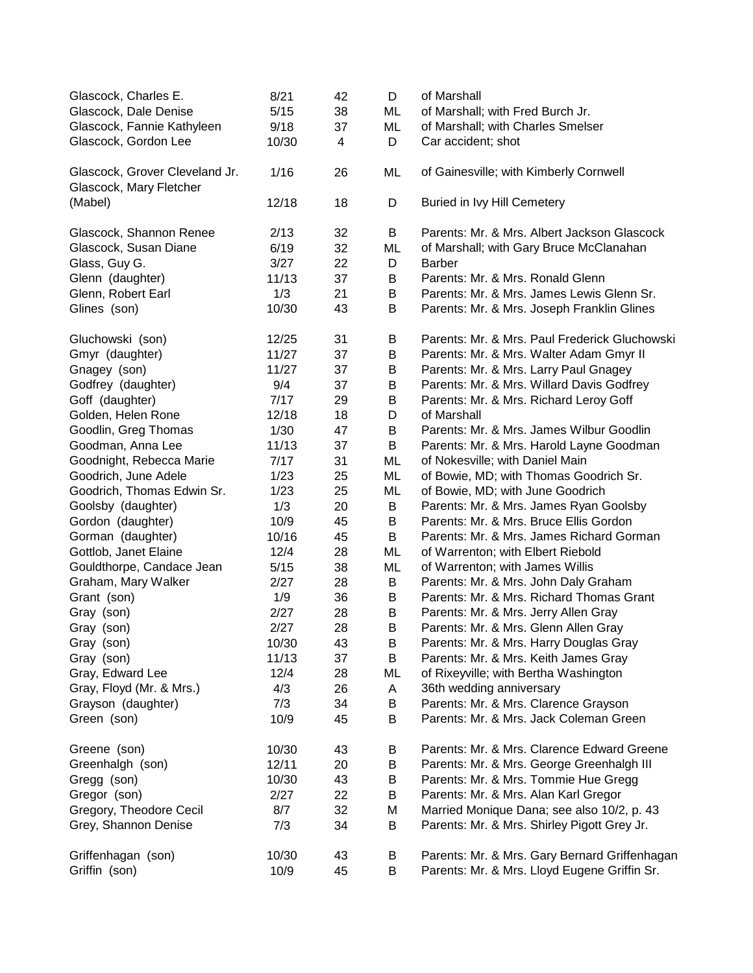| Glascock, Charles E.                                      | 8/21  | 42 | D  | of Marshall                                   |
|-----------------------------------------------------------|-------|----|----|-----------------------------------------------|
| Glascock, Dale Denise                                     | 5/15  | 38 | ML | of Marshall; with Fred Burch Jr.              |
| Glascock, Fannie Kathyleen                                | 9/18  | 37 | ML | of Marshall; with Charles Smelser             |
| Glascock, Gordon Lee                                      | 10/30 | 4  | D  | Car accident; shot                            |
| Glascock, Grover Cleveland Jr.<br>Glascock, Mary Fletcher | 1/16  | 26 | ML | of Gainesville; with Kimberly Cornwell        |
| (Mabel)                                                   | 12/18 | 18 | D  | Buried in Ivy Hill Cemetery                   |
| Glascock, Shannon Renee                                   | 2/13  | 32 | B  | Parents: Mr. & Mrs. Albert Jackson Glascock   |
| Glascock, Susan Diane                                     | 6/19  | 32 | ML | of Marshall; with Gary Bruce McClanahan       |
| Glass, Guy G.                                             | 3/27  | 22 | D  | <b>Barber</b>                                 |
| Glenn (daughter)                                          | 11/13 | 37 | B  | Parents: Mr. & Mrs. Ronald Glenn              |
| Glenn, Robert Earl                                        | 1/3   | 21 | B  | Parents: Mr. & Mrs. James Lewis Glenn Sr.     |
| Glines (son)                                              | 10/30 | 43 | B  | Parents: Mr. & Mrs. Joseph Franklin Glines    |
| Gluchowski (son)                                          | 12/25 | 31 | B  | Parents: Mr. & Mrs. Paul Frederick Gluchowski |
| Gmyr (daughter)                                           | 11/27 | 37 | B  | Parents: Mr. & Mrs. Walter Adam Gmyr II       |
| Gnagey (son)                                              | 11/27 | 37 | B  | Parents: Mr. & Mrs. Larry Paul Gnagey         |
| Godfrey (daughter)                                        | 9/4   | 37 | B  | Parents: Mr. & Mrs. Willard Davis Godfrey     |
| Goff (daughter)                                           | 7/17  | 29 | B  | Parents: Mr. & Mrs. Richard Leroy Goff        |
| Golden, Helen Rone                                        | 12/18 | 18 | D  | of Marshall                                   |
| Goodlin, Greg Thomas                                      | 1/30  | 47 | B  | Parents: Mr. & Mrs. James Wilbur Goodlin      |
| Goodman, Anna Lee                                         | 11/13 | 37 | B  | Parents: Mr. & Mrs. Harold Layne Goodman      |
| Goodnight, Rebecca Marie                                  | 7/17  | 31 | ML | of Nokesville; with Daniel Main               |
| Goodrich, June Adele                                      | 1/23  | 25 | ML | of Bowie, MD; with Thomas Goodrich Sr.        |
| Goodrich, Thomas Edwin Sr.                                | 1/23  | 25 | ML | of Bowie, MD; with June Goodrich              |
| Goolsby (daughter)                                        | 1/3   | 20 | B  | Parents: Mr. & Mrs. James Ryan Goolsby        |
| Gordon (daughter)                                         | 10/9  | 45 | B  | Parents: Mr. & Mrs. Bruce Ellis Gordon        |
| Gorman (daughter)                                         | 10/16 | 45 | B  | Parents: Mr. & Mrs. James Richard Gorman      |
| Gottlob, Janet Elaine                                     | 12/4  | 28 | ML | of Warrenton; with Elbert Riebold             |
| Gouldthorpe, Candace Jean                                 | 5/15  | 38 | ML | of Warrenton; with James Willis               |
| Graham, Mary Walker                                       | 2/27  | 28 | В  | Parents: Mr. & Mrs. John Daly Graham          |
| Grant (son)                                               | 1/9   | 36 | B  | Parents: Mr. & Mrs. Richard Thomas Grant      |
| Gray (son)                                                | 2/27  | 28 | B  | Parents: Mr. & Mrs. Jerry Allen Gray          |
| Gray (son)                                                | 2/27  | 28 | B  | Parents: Mr. & Mrs. Glenn Allen Gray          |
| Gray (son)                                                | 10/30 | 43 | B  | Parents: Mr. & Mrs. Harry Douglas Gray        |
| Gray (son)                                                | 11/13 | 37 | B  | Parents: Mr. & Mrs. Keith James Gray          |
| Gray, Edward Lee                                          | 12/4  | 28 | ML | of Rixeyville; with Bertha Washington         |
| Gray, Floyd (Mr. & Mrs.)                                  | 4/3   | 26 | A  | 36th wedding anniversary                      |
| Grayson (daughter)                                        | 7/3   | 34 | В  | Parents: Mr. & Mrs. Clarence Grayson          |
| Green (son)                                               | 10/9  | 45 | В  | Parents: Mr. & Mrs. Jack Coleman Green        |
| Greene (son)                                              | 10/30 | 43 | Β  | Parents: Mr. & Mrs. Clarence Edward Greene    |
| Greenhalgh (son)                                          | 12/11 | 20 | В  | Parents: Mr. & Mrs. George Greenhalgh III     |
| Gregg (son)                                               | 10/30 | 43 | В  | Parents: Mr. & Mrs. Tommie Hue Gregg          |
| Gregor (son)                                              | 2/27  | 22 | В  | Parents: Mr. & Mrs. Alan Karl Gregor          |
| Gregory, Theodore Cecil                                   | 8/7   | 32 | Μ  | Married Monique Dana; see also 10/2, p. 43    |
| Grey, Shannon Denise                                      | 7/3   | 34 | В  | Parents: Mr. & Mrs. Shirley Pigott Grey Jr.   |
| Griffenhagan (son)                                        | 10/30 | 43 | B  | Parents: Mr. & Mrs. Gary Bernard Griffenhagan |
| Griffin (son)                                             | 10/9  | 45 | В  | Parents: Mr. & Mrs. Lloyd Eugene Griffin Sr.  |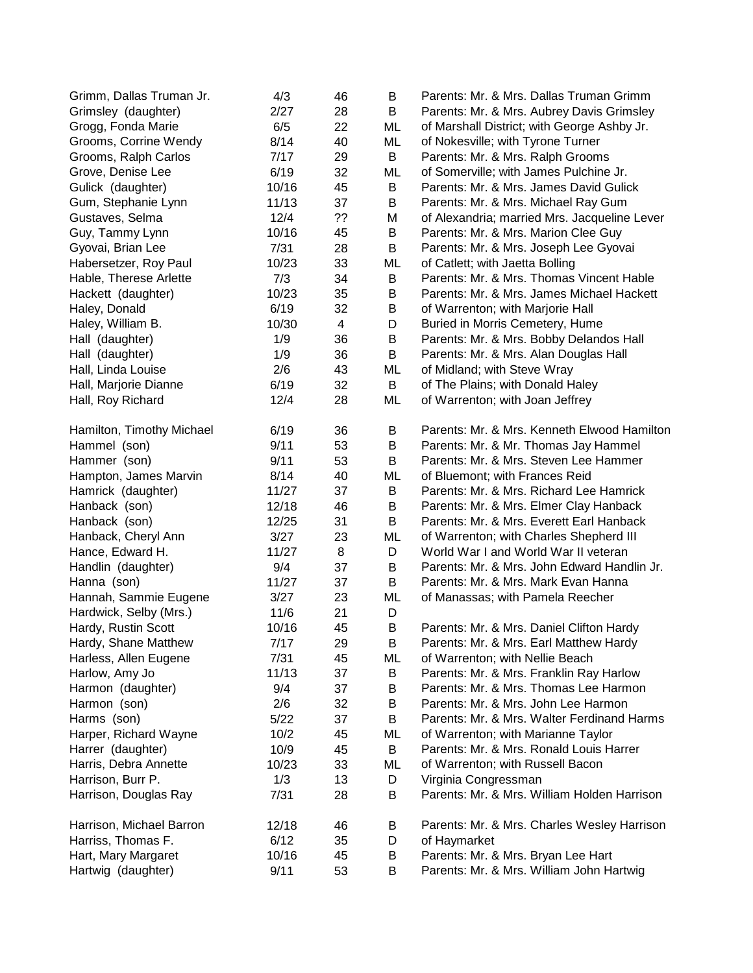| Grimm, Dallas Truman Jr.  | 4/3   | 46             | B  | Parents: Mr. & Mrs. Dallas Truman Grimm      |
|---------------------------|-------|----------------|----|----------------------------------------------|
| Grimsley (daughter)       | 2/27  | 28             | B  | Parents: Mr. & Mrs. Aubrey Davis Grimsley    |
| Grogg, Fonda Marie        | 6/5   | 22             | ML | of Marshall District; with George Ashby Jr.  |
| Grooms, Corrine Wendy     | 8/14  | 40             | ML | of Nokesville; with Tyrone Turner            |
| Grooms, Ralph Carlos      | 7/17  | 29             | B  | Parents: Mr. & Mrs. Ralph Grooms             |
| Grove, Denise Lee         | 6/19  | 32             | ML | of Somerville; with James Pulchine Jr.       |
| Gulick (daughter)         | 10/16 | 45             | B  | Parents: Mr. & Mrs. James David Gulick       |
| Gum, Stephanie Lynn       | 11/13 | 37             | B  | Parents: Mr. & Mrs. Michael Ray Gum          |
| Gustaves, Selma           | 12/4  | ??             | M  | of Alexandria; married Mrs. Jacqueline Lever |
| Guy, Tammy Lynn           | 10/16 | 45             | B  | Parents: Mr. & Mrs. Marion Clee Guy          |
| Gyovai, Brian Lee         | 7/31  | 28             | B  | Parents: Mr. & Mrs. Joseph Lee Gyovai        |
| Habersetzer, Roy Paul     | 10/23 | 33             | ML | of Catlett; with Jaetta Bolling              |
| Hable, Therese Arlette    | 7/3   | 34             | B  | Parents: Mr. & Mrs. Thomas Vincent Hable     |
| Hackett (daughter)        | 10/23 | 35             | B  | Parents: Mr. & Mrs. James Michael Hackett    |
| Haley, Donald             | 6/19  | 32             | B  | of Warrenton; with Marjorie Hall             |
| Haley, William B.         | 10/30 | $\overline{4}$ | D  | Buried in Morris Cemetery, Hume              |
| Hall (daughter)           | 1/9   | 36             | B  | Parents: Mr. & Mrs. Bobby Delandos Hall      |
| Hall (daughter)           | 1/9   | 36             | B  | Parents: Mr. & Mrs. Alan Douglas Hall        |
| Hall, Linda Louise        | 2/6   | 43             | ML | of Midland; with Steve Wray                  |
| Hall, Marjorie Dianne     | 6/19  | 32             | B  | of The Plains; with Donald Haley             |
| Hall, Roy Richard         | 12/4  | 28             | ML | of Warrenton; with Joan Jeffrey              |
| Hamilton, Timothy Michael | 6/19  | 36             | B  | Parents: Mr. & Mrs. Kenneth Elwood Hamilton  |
| Hammel (son)              | 9/11  | 53             | B  | Parents: Mr. & Mr. Thomas Jay Hammel         |
| Hammer (son)              | 9/11  | 53             | B  | Parents: Mr. & Mrs. Steven Lee Hammer        |
| Hampton, James Marvin     | 8/14  | 40             | ML | of Bluemont; with Frances Reid               |
| Hamrick (daughter)        | 11/27 | 37             | B  | Parents: Mr. & Mrs. Richard Lee Hamrick      |
| Hanback (son)             | 12/18 | 46             | B  | Parents: Mr. & Mrs. Elmer Clay Hanback       |
| Hanback (son)             | 12/25 | 31             | B  | Parents: Mr. & Mrs. Everett Earl Hanback     |
| Hanback, Cheryl Ann       | 3/27  | 23             | ML | of Warrenton; with Charles Shepherd III      |
| Hance, Edward H.          | 11/27 | 8              | D  | World War I and World War II veteran         |
| Handlin (daughter)        | 9/4   | 37             | B  | Parents: Mr. & Mrs. John Edward Handlin Jr.  |
| Hanna (son)               | 11/27 | 37             | B  | Parents: Mr. & Mrs. Mark Evan Hanna          |
| Hannah, Sammie Eugene     | 3/27  | 23             | ML | of Manassas; with Pamela Reecher             |
| Hardwick, Selby (Mrs.)    | 11/6  | 21             | D  |                                              |
| Hardy, Rustin Scott       | 10/16 | 45             | B  | Parents: Mr. & Mrs. Daniel Clifton Hardy     |
| Hardy, Shane Matthew      | 7/17  | 29             | В  | Parents: Mr. & Mrs. Earl Matthew Hardy       |
| Harless, Allen Eugene     | 7/31  | 45             | ML | of Warrenton; with Nellie Beach              |
| Harlow, Amy Jo            | 11/13 | 37             | B  | Parents: Mr. & Mrs. Franklin Ray Harlow      |
| Harmon (daughter)         | 9/4   | 37             | B  | Parents: Mr. & Mrs. Thomas Lee Harmon        |
| Harmon (son)              | 2/6   | 32             | B  | Parents: Mr. & Mrs. John Lee Harmon          |
| Harms (son)               | 5/22  | 37             | B  | Parents: Mr. & Mrs. Walter Ferdinand Harms   |
| Harper, Richard Wayne     | 10/2  | 45             | ML | of Warrenton; with Marianne Taylor           |
| Harrer (daughter)         | 10/9  | 45             | B  | Parents: Mr. & Mrs. Ronald Louis Harrer      |
| Harris, Debra Annette     | 10/23 | 33             | ML | of Warrenton; with Russell Bacon             |
| Harrison, Burr P.         | 1/3   | 13             | D  | Virginia Congressman                         |
| Harrison, Douglas Ray     | 7/31  | 28             | B  | Parents: Mr. & Mrs. William Holden Harrison  |
| Harrison, Michael Barron  | 12/18 | 46             | В  | Parents: Mr. & Mrs. Charles Wesley Harrison  |
| Harriss, Thomas F.        | 6/12  | 35             | D  | of Haymarket                                 |
| Hart, Mary Margaret       | 10/16 | 45             | B  | Parents: Mr. & Mrs. Bryan Lee Hart           |
| Hartwig (daughter)        | 9/11  | 53             | Β  | Parents: Mr. & Mrs. William John Hartwig     |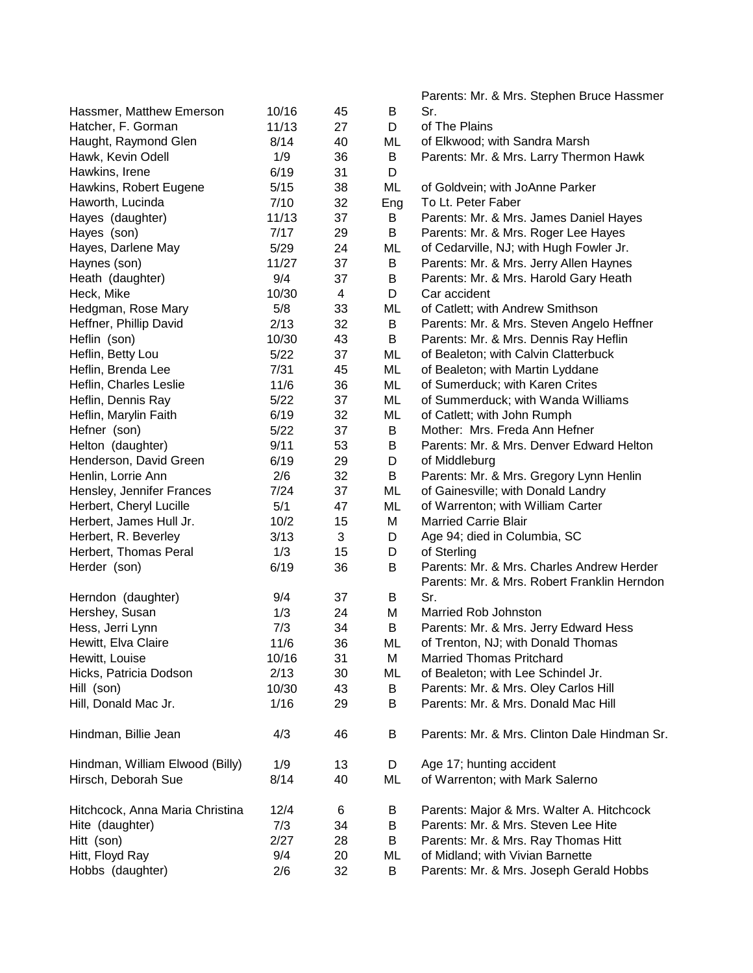|                                 |        |    |     | Parents: Mr. & Mrs. Stephen Bruce Hassmer    |
|---------------------------------|--------|----|-----|----------------------------------------------|
| Hassmer, Matthew Emerson        | 10/16  | 45 | B   | Sr.                                          |
| Hatcher, F. Gorman              | 11/13  | 27 | D   | of The Plains                                |
| Haught, Raymond Glen            | 8/14   | 40 | ML  | of Elkwood; with Sandra Marsh                |
| Hawk, Kevin Odell               | 1/9    | 36 | B   | Parents: Mr. & Mrs. Larry Thermon Hawk       |
| Hawkins, Irene                  | 6/19   | 31 | D   |                                              |
| Hawkins, Robert Eugene          | 5/15   | 38 | ML  | of Goldvein; with JoAnne Parker              |
| Haworth, Lucinda                | 7/10   | 32 | Eng | To Lt. Peter Faber                           |
| Hayes (daughter)                | 11/13  | 37 | B   | Parents: Mr. & Mrs. James Daniel Hayes       |
| Hayes (son)                     | 7/17   | 29 | B   | Parents: Mr. & Mrs. Roger Lee Hayes          |
| Hayes, Darlene May              | 5/29   | 24 | ML  | of Cedarville, NJ; with Hugh Fowler Jr.      |
| Haynes (son)                    | 11/27  | 37 | B   | Parents: Mr. & Mrs. Jerry Allen Haynes       |
| Heath (daughter)                | 9/4    | 37 | B   | Parents: Mr. & Mrs. Harold Gary Heath        |
| Heck, Mike                      | 10/30  | 4  | D   | Car accident                                 |
| Hedgman, Rose Mary              | 5/8    | 33 | ML  | of Catlett; with Andrew Smithson             |
| Heffner, Phillip David          | 2/13   | 32 | B   | Parents: Mr. & Mrs. Steven Angelo Heffner    |
| Heflin (son)                    | 10/30  | 43 | B   | Parents: Mr. & Mrs. Dennis Ray Heflin        |
| Heflin, Betty Lou               | $5/22$ | 37 | ML  | of Bealeton; with Calvin Clatterbuck         |
| Heflin, Brenda Lee              | 7/31   | 45 | ML  | of Bealeton; with Martin Lyddane             |
| Heflin, Charles Leslie          | 11/6   | 36 | ML  | of Sumerduck; with Karen Crites              |
| Heflin, Dennis Ray              | 5/22   | 37 | ML  | of Summerduck; with Wanda Williams           |
| Heflin, Marylin Faith           | 6/19   | 32 | ML  | of Catlett; with John Rumph                  |
| Hefner (son)                    | 5/22   | 37 | B   | Mother: Mrs. Freda Ann Hefner                |
| Helton (daughter)               | 9/11   | 53 | B   | Parents: Mr. & Mrs. Denver Edward Helton     |
| Henderson, David Green          | 6/19   | 29 | D   | of Middleburg                                |
| Henlin, Lorrie Ann              | 2/6    | 32 | B   | Parents: Mr. & Mrs. Gregory Lynn Henlin      |
| Hensley, Jennifer Frances       | 7/24   | 37 | ML  | of Gainesville; with Donald Landry           |
| Herbert, Cheryl Lucille         | 5/1    | 47 | ML  | of Warrenton; with William Carter            |
| Herbert, James Hull Jr.         | 10/2   | 15 | M   | <b>Married Carrie Blair</b>                  |
| Herbert, R. Beverley            | 3/13   | 3  | D   | Age 94; died in Columbia, SC                 |
| Herbert, Thomas Peral           | 1/3    | 15 | D   | of Sterling                                  |
| Herder (son)                    | 6/19   | 36 | В   | Parents: Mr. & Mrs. Charles Andrew Herder    |
|                                 |        |    |     | Parents: Mr. & Mrs. Robert Franklin Herndon  |
| Herndon (daughter)              | 9/4    | 37 | B   | Sr.                                          |
| Hershey, Susan                  | 1/3    | 24 | M   | Married Rob Johnston                         |
| Hess, Jerri Lynn                | 7/3    | 34 | B   | Parents: Mr. & Mrs. Jerry Edward Hess        |
| Hewitt, Elva Claire             | 11/6   | 36 | ML  | of Trenton, NJ; with Donald Thomas           |
| Hewitt, Louise                  | 10/16  | 31 | Μ   | <b>Married Thomas Pritchard</b>              |
| Hicks, Patricia Dodson          | 2/13   | 30 | ML  | of Bealeton; with Lee Schindel Jr.           |
| Hill (son)                      | 10/30  | 43 | В   | Parents: Mr. & Mrs. Oley Carlos Hill         |
| Hill, Donald Mac Jr.            | 1/16   | 29 | В   | Parents: Mr. & Mrs. Donald Mac Hill          |
| Hindman, Billie Jean            | 4/3    | 46 | В   | Parents: Mr. & Mrs. Clinton Dale Hindman Sr. |
| Hindman, William Elwood (Billy) | 1/9    | 13 | D   | Age 17; hunting accident                     |
| Hirsch, Deborah Sue             | 8/14   | 40 | ML  | of Warrenton; with Mark Salerno              |
| Hitchcock, Anna Maria Christina | 12/4   | 6  | B   | Parents: Major & Mrs. Walter A. Hitchcock    |
| Hite (daughter)                 | 7/3    | 34 | Β   | Parents: Mr. & Mrs. Steven Lee Hite          |
| Hitt (son)                      | 2/27   | 28 | B   | Parents: Mr. & Mrs. Ray Thomas Hitt          |
| Hitt, Floyd Ray                 | 9/4    | 20 | ML  | of Midland; with Vivian Barnette             |
| Hobbs (daughter)                | 2/6    | 32 | B   | Parents: Mr. & Mrs. Joseph Gerald Hobbs      |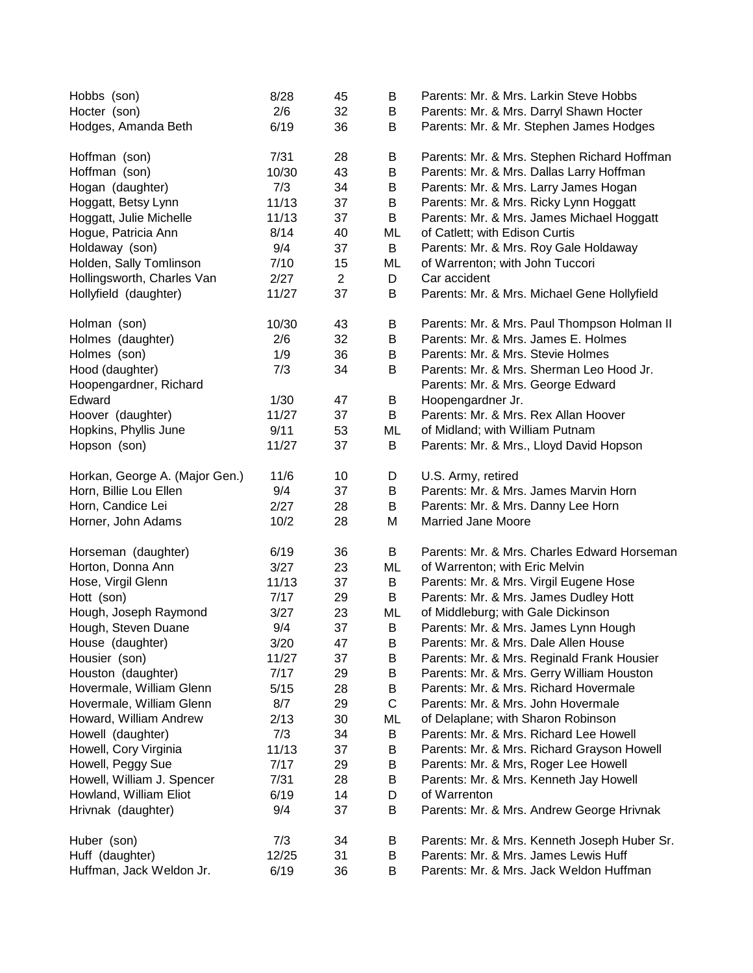| Hobbs (son)                    | 8/28  | 45             | B       | Parents: Mr. & Mrs. Larkin Steve Hobbs       |
|--------------------------------|-------|----------------|---------|----------------------------------------------|
| Hocter (son)                   | 2/6   | 32             | B       | Parents: Mr. & Mrs. Darryl Shawn Hocter      |
| Hodges, Amanda Beth            | 6/19  | 36             | B       | Parents: Mr. & Mr. Stephen James Hodges      |
| Hoffman (son)                  | 7/31  | 28             | B       | Parents: Mr. & Mrs. Stephen Richard Hoffman  |
| Hoffman (son)                  | 10/30 | 43             | B       | Parents: Mr. & Mrs. Dallas Larry Hoffman     |
| Hogan (daughter)               | 7/3   | 34             | B       | Parents: Mr. & Mrs. Larry James Hogan        |
| Hoggatt, Betsy Lynn            | 11/13 | 37             | B       | Parents: Mr. & Mrs. Ricky Lynn Hoggatt       |
| Hoggatt, Julie Michelle        | 11/13 | 37             | B       | Parents: Mr. & Mrs. James Michael Hoggatt    |
| Hogue, Patricia Ann            | 8/14  | 40             | ML      | of Catlett; with Edison Curtis               |
| Holdaway (son)                 | 9/4   | 37             | B       | Parents: Mr. & Mrs. Roy Gale Holdaway        |
| Holden, Sally Tomlinson        | 7/10  | 15             | ML      | of Warrenton; with John Tuccori              |
| Hollingsworth, Charles Van     | 2/27  | $\overline{2}$ | D       | Car accident                                 |
| Hollyfield (daughter)          | 11/27 | 37             | B       | Parents: Mr. & Mrs. Michael Gene Hollyfield  |
| Holman (son)                   | 10/30 | 43             | B       | Parents: Mr. & Mrs. Paul Thompson Holman II  |
| Holmes (daughter)              | 2/6   | 32             | B       | Parents: Mr. & Mrs. James E. Holmes          |
| Holmes (son)                   | 1/9   | 36             | B       | Parents: Mr. & Mrs. Stevie Holmes            |
| Hood (daughter)                | 7/3   | 34             | B       | Parents: Mr. & Mrs. Sherman Leo Hood Jr.     |
| Hoopengardner, Richard         |       |                |         | Parents: Mr. & Mrs. George Edward            |
| Edward                         | 1/30  | 47             | B       | Hoopengardner Jr.                            |
| Hoover (daughter)              | 11/27 | 37             | B       | Parents: Mr. & Mrs. Rex Allan Hoover         |
| Hopkins, Phyllis June          | 9/11  | 53             | ML      | of Midland; with William Putnam              |
| Hopson (son)                   | 11/27 | 37             | B       | Parents: Mr. & Mrs., Lloyd David Hopson      |
| Horkan, George A. (Major Gen.) | 11/6  | 10             | D       | U.S. Army, retired                           |
| Horn, Billie Lou Ellen         | 9/4   | 37             | $\sf B$ | Parents: Mr. & Mrs. James Marvin Horn        |
| Horn, Candice Lei              | 2/27  | 28             | B       | Parents: Mr. & Mrs. Danny Lee Horn           |
| Horner, John Adams             | 10/2  | 28             | M       | <b>Married Jane Moore</b>                    |
| Horseman (daughter)            | 6/19  | 36             | B       | Parents: Mr. & Mrs. Charles Edward Horseman  |
| Horton, Donna Ann              | 3/27  | 23             | ML      | of Warrenton; with Eric Melvin               |
| Hose, Virgil Glenn             | 11/13 | 37             | B       | Parents: Mr. & Mrs. Virgil Eugene Hose       |
| Hott (son)                     | 7/17  | 29             | B       | Parents: Mr. & Mrs. James Dudley Hott        |
| Hough, Joseph Raymond          | 3/27  | 23             | ML      | of Middleburg; with Gale Dickinson           |
| Hough, Steven Duane            | 9/4   | 37             | B       | Parents: Mr. & Mrs. James Lynn Hough         |
| House (daughter)               | 3/20  | 47             | B       | Parents: Mr. & Mrs. Dale Allen House         |
| Housier (son)                  | 11/27 | 37             | B       | Parents: Mr. & Mrs. Reginald Frank Housier   |
| Houston (daughter)             | 7/17  | 29             | B       | Parents: Mr. & Mrs. Gerry William Houston    |
| Hovermale, William Glenn       | 5/15  | 28             | B       | Parents: Mr. & Mrs. Richard Hovermale        |
| Hovermale, William Glenn       | 8/7   | 29             | C       | Parents: Mr. & Mrs. John Hovermale           |
| Howard, William Andrew         | 2/13  | 30             | ML      | of Delaplane; with Sharon Robinson           |
| Howell (daughter)              | 7/3   | 34             | B       | Parents: Mr. & Mrs. Richard Lee Howell       |
| Howell, Cory Virginia          | 11/13 | 37             | B       | Parents: Mr. & Mrs. Richard Grayson Howell   |
| Howell, Peggy Sue              | 7/17  | 29             | B       | Parents: Mr. & Mrs, Roger Lee Howell         |
| Howell, William J. Spencer     | 7/31  | 28             | B       | Parents: Mr. & Mrs. Kenneth Jay Howell       |
| Howland, William Eliot         | 6/19  | 14             | D       | of Warrenton                                 |
| Hrivnak (daughter)             | 9/4   | 37             | B       | Parents: Mr. & Mrs. Andrew George Hrivnak    |
| Huber (son)                    | 7/3   | 34             | B       | Parents: Mr. & Mrs. Kenneth Joseph Huber Sr. |
| Huff (daughter)                | 12/25 | 31             | B       | Parents: Mr. & Mrs. James Lewis Huff         |
| Huffman, Jack Weldon Jr.       | 6/19  | 36             | B       | Parents: Mr. & Mrs. Jack Weldon Huffman      |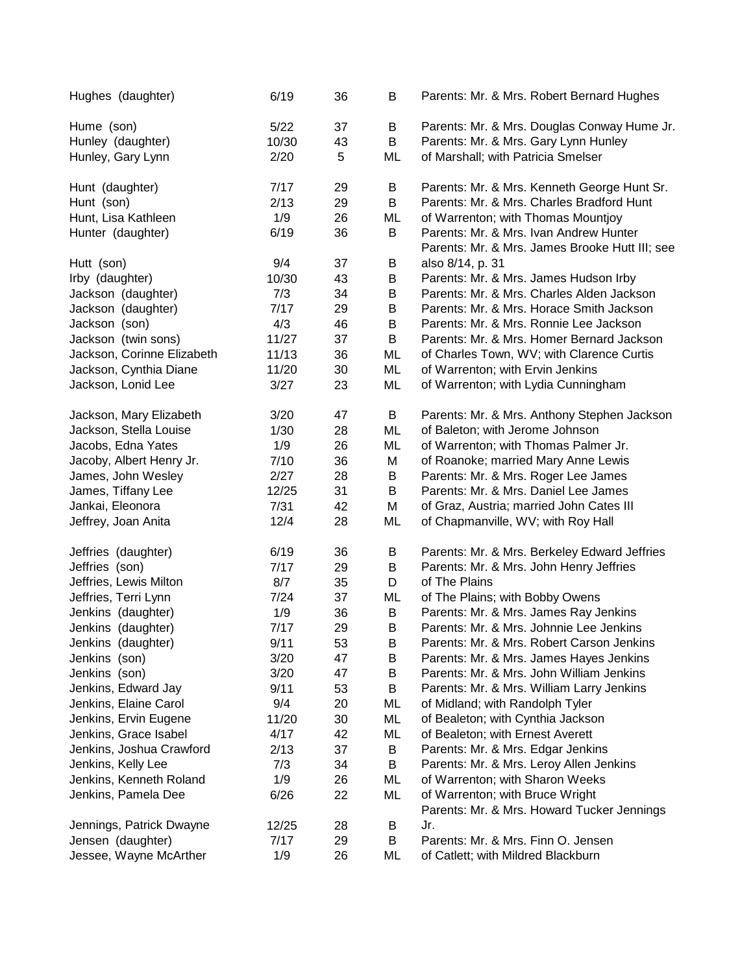| Hughes (daughter)          | 6/19  | 36 | B  | Parents: Mr. & Mrs. Robert Bernard Hughes                                                |
|----------------------------|-------|----|----|------------------------------------------------------------------------------------------|
| Hume (son)                 | 5/22  | 37 | B  | Parents: Mr. & Mrs. Douglas Conway Hume Jr.                                              |
| Hunley (daughter)          | 10/30 | 43 | B  | Parents: Mr. & Mrs. Gary Lynn Hunley                                                     |
| Hunley, Gary Lynn          | 2/20  | 5  | ML | of Marshall; with Patricia Smelser                                                       |
| Hunt (daughter)            | 7/17  | 29 | B  | Parents: Mr. & Mrs. Kenneth George Hunt Sr.                                              |
| Hunt (son)                 | 2/13  | 29 | B  | Parents: Mr. & Mrs. Charles Bradford Hunt                                                |
| Hunt, Lisa Kathleen        | 1/9   | 26 | ML | of Warrenton; with Thomas Mountjoy                                                       |
| Hunter (daughter)          | 6/19  | 36 | B  | Parents: Mr. & Mrs. Ivan Andrew Hunter<br>Parents: Mr. & Mrs. James Brooke Hutt III; see |
| Hutt (son)                 | 9/4   | 37 | B  | also 8/14, p. 31                                                                         |
| Irby (daughter)            | 10/30 | 43 | B  | Parents: Mr. & Mrs. James Hudson Irby                                                    |
| Jackson (daughter)         | 7/3   | 34 | B  | Parents: Mr. & Mrs. Charles Alden Jackson                                                |
| Jackson (daughter)         | 7/17  | 29 | B  | Parents: Mr. & Mrs. Horace Smith Jackson                                                 |
| Jackson (son)              | 4/3   | 46 | B  | Parents: Mr. & Mrs. Ronnie Lee Jackson                                                   |
| Jackson (twin sons)        | 11/27 | 37 | B  | Parents: Mr. & Mrs. Homer Bernard Jackson                                                |
| Jackson, Corinne Elizabeth | 11/13 | 36 | ML | of Charles Town, WV; with Clarence Curtis                                                |
| Jackson, Cynthia Diane     | 11/20 | 30 | ML | of Warrenton; with Ervin Jenkins                                                         |
| Jackson, Lonid Lee         | 3/27  | 23 | ML | of Warrenton; with Lydia Cunningham                                                      |
| Jackson, Mary Elizabeth    | 3/20  | 47 | B  | Parents: Mr. & Mrs. Anthony Stephen Jackson                                              |
| Jackson, Stella Louise     | 1/30  | 28 | ML | of Baleton; with Jerome Johnson                                                          |
| Jacobs, Edna Yates         | 1/9   | 26 | ML | of Warrenton; with Thomas Palmer Jr.                                                     |
| Jacoby, Albert Henry Jr.   | 7/10  | 36 | М  | of Roanoke; married Mary Anne Lewis                                                      |
| James, John Wesley         | 2/27  | 28 | B  | Parents: Mr. & Mrs. Roger Lee James                                                      |
| James, Tiffany Lee         | 12/25 | 31 | B  | Parents: Mr. & Mrs. Daniel Lee James                                                     |
| Jankai, Eleonora           | 7/31  | 42 | M  | of Graz, Austria; married John Cates III                                                 |
| Jeffrey, Joan Anita        | 12/4  | 28 | ML | of Chapmanville, WV; with Roy Hall                                                       |
| Jeffries (daughter)        | 6/19  | 36 | B  | Parents: Mr. & Mrs. Berkeley Edward Jeffries                                             |
| Jeffries (son)             | 7/17  | 29 | B  | Parents: Mr. & Mrs. John Henry Jeffries                                                  |
| Jeffries, Lewis Milton     | 8/7   | 35 | D  | of The Plains                                                                            |
| Jeffries, Terri Lynn       | 7/24  | 37 | ML | of The Plains; with Bobby Owens                                                          |
| Jenkins (daughter)         | 1/9   | 36 | B  | Parents: Mr. & Mrs. James Ray Jenkins                                                    |
| Jenkins (daughter)         | 7/17  | 29 | B  | Parents: Mr. & Mrs. Johnnie Lee Jenkins                                                  |
| Jenkins (daughter)         | 9/11  | 53 | B  | Parents: Mr. & Mrs. Robert Carson Jenkins                                                |
| Jenkins (son)              | 3/20  | 47 | B  | Parents: Mr. & Mrs. James Hayes Jenkins                                                  |
| Jenkins (son)              | 3/20  | 47 | B  | Parents: Mr. & Mrs. John William Jenkins                                                 |
| Jenkins, Edward Jay        | 9/11  | 53 | B  | Parents: Mr. & Mrs. William Larry Jenkins                                                |
| Jenkins, Elaine Carol      | 9/4   | 20 | ML | of Midland; with Randolph Tyler                                                          |
| Jenkins, Ervin Eugene      | 11/20 | 30 | ML | of Bealeton; with Cynthia Jackson                                                        |
| Jenkins, Grace Isabel      | 4/17  | 42 | ML | of Bealeton; with Ernest Averett                                                         |
| Jenkins, Joshua Crawford   | 2/13  | 37 | B  | Parents: Mr. & Mrs. Edgar Jenkins                                                        |
| Jenkins, Kelly Lee         | 7/3   | 34 | B  | Parents: Mr. & Mrs. Leroy Allen Jenkins                                                  |
| Jenkins, Kenneth Roland    | 1/9   | 26 | ML | of Warrenton; with Sharon Weeks                                                          |
| Jenkins, Pamela Dee        | 6/26  | 22 | ML | of Warrenton; with Bruce Wright                                                          |
|                            |       |    |    | Parents: Mr. & Mrs. Howard Tucker Jennings                                               |
| Jennings, Patrick Dwayne   | 12/25 | 28 | Β  | Jr.                                                                                      |
| Jensen (daughter)          | 7/17  | 29 | B  | Parents: Mr. & Mrs. Finn O. Jensen                                                       |
| Jessee, Wayne McArther     | 1/9   | 26 | ML | of Catlett; with Mildred Blackburn                                                       |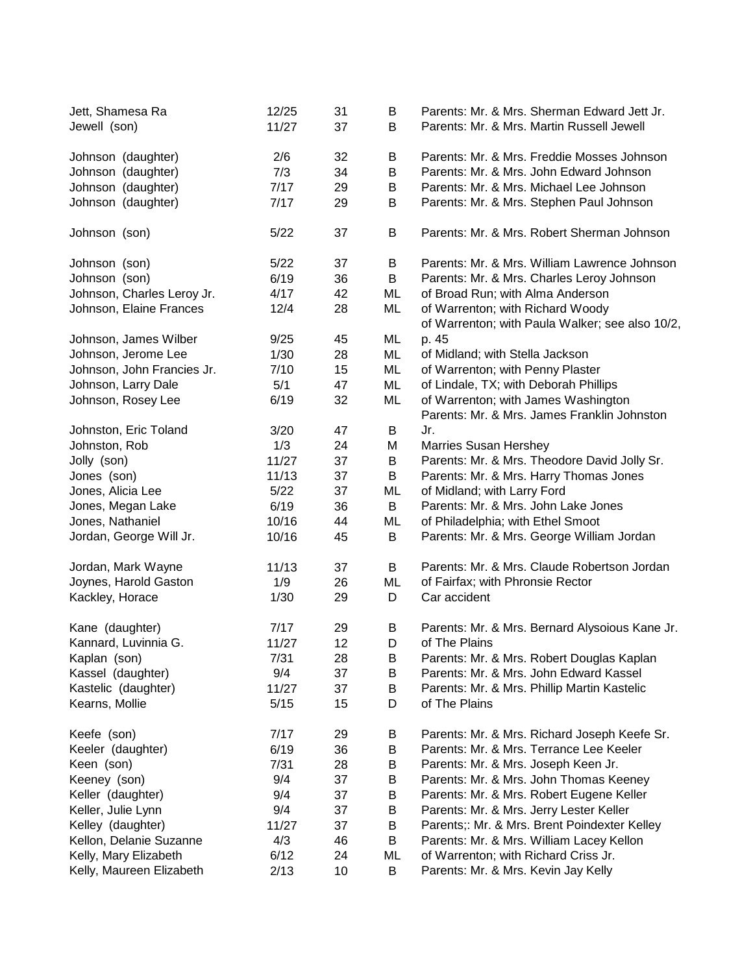| Jett, Shamesa Ra<br>Jewell (son) | 12/25<br>11/27 | 31<br>37 | B<br>B | Parents: Mr. & Mrs. Sherman Edward Jett Jr.<br>Parents: Mr. & Mrs. Martin Russell Jewell |
|----------------------------------|----------------|----------|--------|------------------------------------------------------------------------------------------|
| Johnson (daughter)               | 2/6            | 32       | B      | Parents: Mr. & Mrs. Freddie Mosses Johnson                                               |
| Johnson (daughter)               | 7/3            | 34       | B      | Parents: Mr. & Mrs. John Edward Johnson                                                  |
| Johnson (daughter)               | 7/17           | 29       | B      | Parents: Mr. & Mrs. Michael Lee Johnson                                                  |
| Johnson (daughter)               | 7/17           | 29       | B      | Parents: Mr. & Mrs. Stephen Paul Johnson                                                 |
|                                  |                |          |        |                                                                                          |
| Johnson (son)                    | 5/22           | 37       | B      | Parents: Mr. & Mrs. Robert Sherman Johnson                                               |
| Johnson (son)                    | 5/22           | 37       | B      | Parents: Mr. & Mrs. William Lawrence Johnson                                             |
| Johnson (son)                    | 6/19           | 36       | B      | Parents: Mr. & Mrs. Charles Leroy Johnson                                                |
| Johnson, Charles Leroy Jr.       | 4/17           | 42       | ML     | of Broad Run; with Alma Anderson                                                         |
| Johnson, Elaine Frances          | 12/4           | 28       | ML     | of Warrenton; with Richard Woody<br>of Warrenton; with Paula Walker; see also 10/2,      |
| Johnson, James Wilber            | 9/25           | 45       | ML     | p. 45                                                                                    |
| Johnson, Jerome Lee              | 1/30           | 28       | ML     | of Midland; with Stella Jackson                                                          |
| Johnson, John Francies Jr.       | 7/10           | 15       | ML     | of Warrenton; with Penny Plaster                                                         |
| Johnson, Larry Dale              | 5/1            | 47       | ML     | of Lindale, TX; with Deborah Phillips                                                    |
| Johnson, Rosey Lee               | 6/19           | 32       | ML     | of Warrenton; with James Washington                                                      |
|                                  |                |          |        | Parents: Mr. & Mrs. James Franklin Johnston                                              |
| Johnston, Eric Toland            | 3/20           | 47       | B      | Jr.                                                                                      |
| Johnston, Rob                    | 1/3            | 24       | M      | <b>Marries Susan Hershey</b>                                                             |
| Jolly (son)                      | 11/27          | 37       | B      | Parents: Mr. & Mrs. Theodore David Jolly Sr.                                             |
| Jones (son)                      | 11/13          | 37       | B      | Parents: Mr. & Mrs. Harry Thomas Jones                                                   |
| Jones, Alicia Lee                | 5/22           | 37       | ML     | of Midland; with Larry Ford                                                              |
| Jones, Megan Lake                | 6/19           | 36       | B      | Parents: Mr. & Mrs. John Lake Jones                                                      |
| Jones, Nathaniel                 | 10/16          | 44       | ML     | of Philadelphia; with Ethel Smoot                                                        |
| Jordan, George Will Jr.          | 10/16          | 45       | B      | Parents: Mr. & Mrs. George William Jordan                                                |
| Jordan, Mark Wayne               | 11/13          | 37       | B      | Parents: Mr. & Mrs. Claude Robertson Jordan                                              |
| Joynes, Harold Gaston            | 1/9            | 26       | ML     | of Fairfax; with Phronsie Rector                                                         |
| Kackley, Horace                  | 1/30           | 29       | D      | Car accident                                                                             |
| Kane (daughter)                  | 7/17           | 29       | B      | Parents: Mr. & Mrs. Bernard Alysoious Kane Jr.                                           |
| Kannard, Luvinnia G.             | 11/27          | 12       | D      | of The Plains                                                                            |
| Kaplan (son)                     | 7/31           | 28       | В      | Parents: Mr. & Mrs. Robert Douglas Kaplan                                                |
| Kassel (daughter)                | 9/4            | 37       | B      | Parents: Mr. & Mrs. John Edward Kassel                                                   |
| Kastelic (daughter)              | 11/27          | 37       | B      | Parents: Mr. & Mrs. Phillip Martin Kastelic                                              |
| Kearns, Mollie                   | 5/15           | 15       | D      | of The Plains                                                                            |
| Keefe (son)                      | 7/17           | 29       | B      | Parents: Mr. & Mrs. Richard Joseph Keefe Sr.                                             |
| Keeler (daughter)                | 6/19           | 36       | B      | Parents: Mr. & Mrs. Terrance Lee Keeler                                                  |
| Keen (son)                       | 7/31           | 28       | B      | Parents: Mr. & Mrs. Joseph Keen Jr.                                                      |
| Keeney (son)                     | 9/4            | 37       | B      | Parents: Mr. & Mrs. John Thomas Keeney                                                   |
| Keller (daughter)                | 9/4            | 37       | B      | Parents: Mr. & Mrs. Robert Eugene Keller                                                 |
| Keller, Julie Lynn               | 9/4            | 37       | B      | Parents: Mr. & Mrs. Jerry Lester Keller                                                  |
| Kelley (daughter)                | 11/27          | 37       | B      | Parents;: Mr. & Mrs. Brent Poindexter Kelley                                             |
| Kellon, Delanie Suzanne          | 4/3            | 46       | B      | Parents: Mr. & Mrs. William Lacey Kellon                                                 |
| Kelly, Mary Elizabeth            | 6/12           | 24       | ML     | of Warrenton; with Richard Criss Jr.                                                     |
| Kelly, Maureen Elizabeth         | 2/13           | 10       | B      | Parents: Mr. & Mrs. Kevin Jay Kelly                                                      |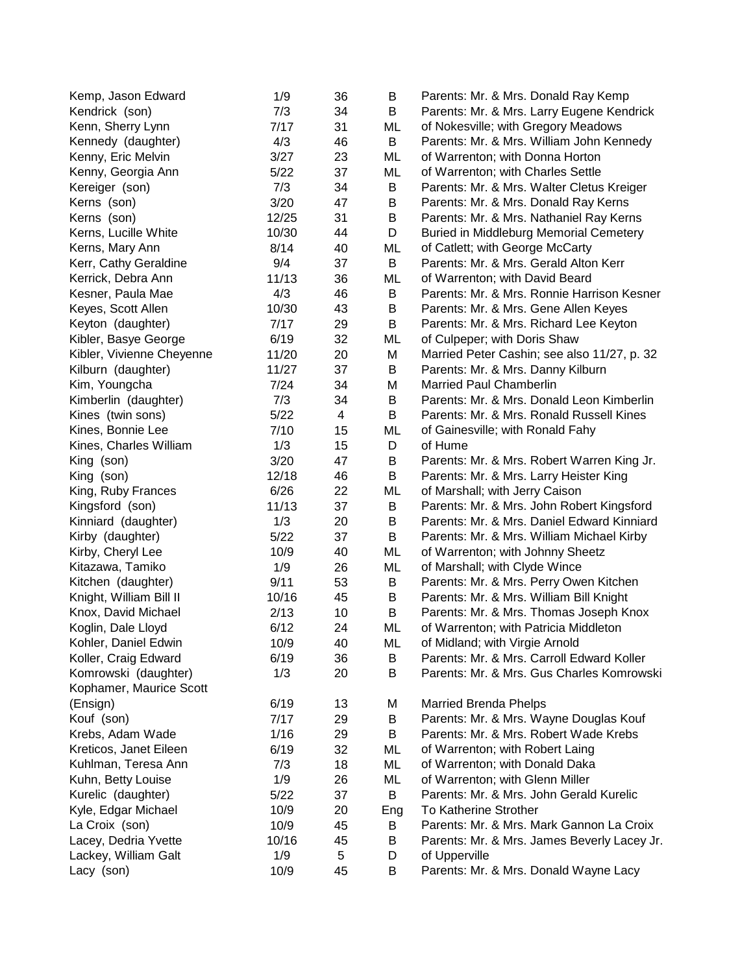| Kemp, Jason Edward        | 1/9   | 36 | B   | Parents: Mr. & Mrs. Donald Ray Kemp           |
|---------------------------|-------|----|-----|-----------------------------------------------|
| Kendrick (son)            | 7/3   | 34 | B   | Parents: Mr. & Mrs. Larry Eugene Kendrick     |
| Kenn, Sherry Lynn         | 7/17  | 31 | ML  | of Nokesville; with Gregory Meadows           |
| Kennedy (daughter)        | 4/3   | 46 | B   | Parents: Mr. & Mrs. William John Kennedy      |
| Kenny, Eric Melvin        | 3/27  | 23 | ML  | of Warrenton; with Donna Horton               |
| Kenny, Georgia Ann        | 5/22  | 37 | ML  | of Warrenton; with Charles Settle             |
| Kereiger (son)            | 7/3   | 34 | B   | Parents: Mr. & Mrs. Walter Cletus Kreiger     |
| Kerns (son)               | 3/20  | 47 | B   | Parents: Mr. & Mrs. Donald Ray Kerns          |
| Kerns (son)               | 12/25 | 31 | B   | Parents: Mr. & Mrs. Nathaniel Ray Kerns       |
| Kerns, Lucille White      | 10/30 | 44 | D   | <b>Buried in Middleburg Memorial Cemetery</b> |
| Kerns, Mary Ann           | 8/14  | 40 | ML  | of Catlett; with George McCarty               |
| Kerr, Cathy Geraldine     | 9/4   | 37 | B   | Parents: Mr. & Mrs. Gerald Alton Kerr         |
| Kerrick, Debra Ann        | 11/13 | 36 | ML  | of Warrenton; with David Beard                |
| Kesner, Paula Mae         | 4/3   | 46 | B   | Parents: Mr. & Mrs. Ronnie Harrison Kesner    |
| Keyes, Scott Allen        | 10/30 | 43 | B   | Parents: Mr. & Mrs. Gene Allen Keyes          |
| Keyton (daughter)         | 7/17  | 29 | B   | Parents: Mr. & Mrs. Richard Lee Keyton        |
| Kibler, Basye George      | 6/19  | 32 | ML  | of Culpeper; with Doris Shaw                  |
| Kibler, Vivienne Cheyenne | 11/20 | 20 | M   | Married Peter Cashin; see also 11/27, p. 32   |
| Kilburn (daughter)        | 11/27 | 37 | B   | Parents: Mr. & Mrs. Danny Kilburn             |
| Kim, Youngcha             | 7/24  | 34 | M   | <b>Married Paul Chamberlin</b>                |
| Kimberlin (daughter)      | 7/3   | 34 | B   | Parents: Mr. & Mrs. Donald Leon Kimberlin     |
| Kines (twin sons)         | 5/22  | 4  | B   | Parents: Mr. & Mrs. Ronald Russell Kines      |
| Kines, Bonnie Lee         | 7/10  | 15 | ML  | of Gainesville; with Ronald Fahy              |
| Kines, Charles William    | 1/3   | 15 | D   | of Hume                                       |
| King (son)                | 3/20  | 47 | B   | Parents: Mr. & Mrs. Robert Warren King Jr.    |
| King (son)                | 12/18 | 46 | B   | Parents: Mr. & Mrs. Larry Heister King        |
| King, Ruby Frances        | 6/26  | 22 | ML  | of Marshall; with Jerry Caison                |
| Kingsford (son)           | 11/13 | 37 | B   | Parents: Mr. & Mrs. John Robert Kingsford     |
| Kinniard (daughter)       | 1/3   | 20 | B   | Parents: Mr. & Mrs. Daniel Edward Kinniard    |
| Kirby (daughter)          | 5/22  | 37 | B   | Parents: Mr. & Mrs. William Michael Kirby     |
| Kirby, Cheryl Lee         | 10/9  | 40 | ML  | of Warrenton; with Johnny Sheetz              |
| Kitazawa, Tamiko          | 1/9   | 26 | ML  | of Marshall; with Clyde Wince                 |
| Kitchen (daughter)        | 9/11  | 53 | B   | Parents: Mr. & Mrs. Perry Owen Kitchen        |
| Knight, William Bill II   | 10/16 | 45 | B   | Parents: Mr. & Mrs. William Bill Knight       |
| Knox, David Michael       | 2/13  | 10 | B   | Parents: Mr. & Mrs. Thomas Joseph Knox        |
| Koglin, Dale Lloyd        | 6/12  | 24 | ML  | of Warrenton; with Patricia Middleton         |
| Kohler, Daniel Edwin      | 10/9  | 40 | ML  | of Midland; with Virgie Arnold                |
| Koller, Craig Edward      | 6/19  | 36 | B   | Parents: Mr. & Mrs. Carroll Edward Koller     |
| Komrowski (daughter)      | 1/3   | 20 | B   | Parents: Mr. & Mrs. Gus Charles Komrowski     |
| Kophamer, Maurice Scott   |       |    |     |                                               |
| (Ensign)                  | 6/19  | 13 | М   | <b>Married Brenda Phelps</b>                  |
| Kouf (son)                | 7/17  | 29 | B   | Parents: Mr. & Mrs. Wayne Douglas Kouf        |
| Krebs, Adam Wade          | 1/16  | 29 | B   | Parents: Mr. & Mrs. Robert Wade Krebs         |
| Kreticos, Janet Eileen    | 6/19  | 32 | ML  | of Warrenton; with Robert Laing               |
| Kuhlman, Teresa Ann       | 7/3   | 18 | ML  | of Warrenton; with Donald Daka                |
| Kuhn, Betty Louise        | 1/9   | 26 | ML  | of Warrenton; with Glenn Miller               |
| Kurelic (daughter)        | 5/22  | 37 | B   | Parents: Mr. & Mrs. John Gerald Kurelic       |
| Kyle, Edgar Michael       | 10/9  | 20 | Eng | To Katherine Strother                         |
| La Croix (son)            | 10/9  | 45 | B   | Parents: Mr. & Mrs. Mark Gannon La Croix      |
| Lacey, Dedria Yvette      | 10/16 | 45 | B   | Parents: Mr. & Mrs. James Beverly Lacey Jr.   |
| Lackey, William Galt      | 1/9   | 5  | D   | of Upperville                                 |
| Lacy (son)                | 10/9  | 45 | B   | Parents: Mr. & Mrs. Donald Wayne Lacy         |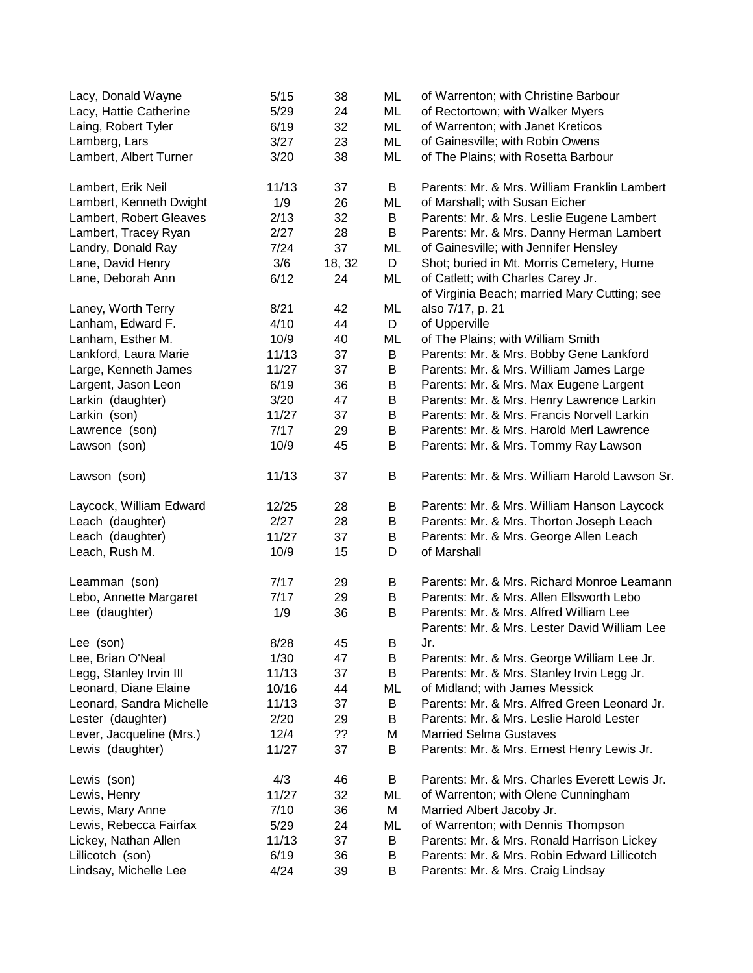| Lacy, Donald Wayne       | 5/15  | 38     | ML      | of Warrenton; with Christine Barbour                                               |
|--------------------------|-------|--------|---------|------------------------------------------------------------------------------------|
| Lacy, Hattie Catherine   | 5/29  | 24     | ML      | of Rectortown; with Walker Myers                                                   |
| Laing, Robert Tyler      | 6/19  | 32     | ML      | of Warrenton; with Janet Kreticos                                                  |
| Lamberg, Lars            | 3/27  | 23     | ML      | of Gainesville; with Robin Owens                                                   |
| Lambert, Albert Turner   | 3/20  | 38     | ML      | of The Plains; with Rosetta Barbour                                                |
| Lambert, Erik Neil       | 11/13 | 37     | B       | Parents: Mr. & Mrs. William Franklin Lambert                                       |
| Lambert, Kenneth Dwight  | 1/9   | 26     | ML      | of Marshall; with Susan Eicher                                                     |
| Lambert, Robert Gleaves  | 2/13  | 32     | B       | Parents: Mr. & Mrs. Leslie Eugene Lambert                                          |
| Lambert, Tracey Ryan     | 2/27  | 28     | B       | Parents: Mr. & Mrs. Danny Herman Lambert                                           |
| Landry, Donald Ray       | 7/24  | 37     | ML      | of Gainesville; with Jennifer Hensley                                              |
| Lane, David Henry        | 3/6   | 18, 32 | D       | Shot; buried in Mt. Morris Cemetery, Hume                                          |
| Lane, Deborah Ann        | 6/12  | 24     | ML      | of Catlett; with Charles Carey Jr.<br>of Virginia Beach; married Mary Cutting; see |
| Laney, Worth Terry       | 8/21  | 42     | ML      | also 7/17, p. 21                                                                   |
| Lanham, Edward F.        | 4/10  | 44     | D       | of Upperville                                                                      |
| Lanham, Esther M.        | 10/9  | 40     | ML      | of The Plains; with William Smith                                                  |
| Lankford, Laura Marie    | 11/13 | 37     | B       | Parents: Mr. & Mrs. Bobby Gene Lankford                                            |
| Large, Kenneth James     | 11/27 | 37     | B       | Parents: Mr. & Mrs. William James Large                                            |
| Largent, Jason Leon      | 6/19  | 36     | B       | Parents: Mr. & Mrs. Max Eugene Largent                                             |
| Larkin (daughter)        | 3/20  | 47     | $\sf B$ | Parents: Mr. & Mrs. Henry Lawrence Larkin                                          |
| Larkin (son)             | 11/27 | 37     | B       | Parents: Mr. & Mrs. Francis Norvell Larkin                                         |
| Lawrence (son)           | 7/17  | 29     | B       | Parents: Mr. & Mrs. Harold Merl Lawrence                                           |
| Lawson (son)             | 10/9  | 45     | B       | Parents: Mr. & Mrs. Tommy Ray Lawson                                               |
| Lawson (son)             | 11/13 | 37     | B       | Parents: Mr. & Mrs. William Harold Lawson Sr.                                      |
| Laycock, William Edward  | 12/25 | 28     | B       | Parents: Mr. & Mrs. William Hanson Laycock                                         |
| Leach (daughter)         | 2/27  | 28     | B       | Parents: Mr. & Mrs. Thorton Joseph Leach                                           |
| Leach (daughter)         | 11/27 | 37     | B       | Parents: Mr. & Mrs. George Allen Leach                                             |
| Leach, Rush M.           | 10/9  | 15     | D       | of Marshall                                                                        |
| Leamman (son)            | 7/17  | 29     | B       | Parents: Mr. & Mrs. Richard Monroe Leamann                                         |
| Lebo, Annette Margaret   | 7/17  | 29     | B       | Parents: Mr. & Mrs. Allen Ellsworth Lebo                                           |
| Lee (daughter)           | 1/9   | 36     | B       | Parents: Mr. & Mrs. Alfred William Lee                                             |
|                          |       |        |         | Parents: Mr. & Mrs. Lester David William Lee                                       |
| Lee (son)                | 8/28  | 45     | B       | Jr.                                                                                |
| Lee, Brian O'Neal        | 1/30  | 47     | B       | Parents: Mr. & Mrs. George William Lee Jr.                                         |
| Legg, Stanley Irvin III  | 11/13 | 37     | B       | Parents: Mr. & Mrs. Stanley Irvin Legg Jr.                                         |
| Leonard, Diane Elaine    | 10/16 | 44     | ML      | of Midland; with James Messick                                                     |
| Leonard, Sandra Michelle | 11/13 | 37     | B       | Parents: Mr. & Mrs. Alfred Green Leonard Jr.                                       |
| Lester (daughter)        | 2/20  | 29     | B       | Parents: Mr. & Mrs. Leslie Harold Lester                                           |
| Lever, Jacqueline (Mrs.) | 12/4  | ??     | Μ       | <b>Married Selma Gustaves</b>                                                      |
| Lewis (daughter)         | 11/27 | 37     | B       | Parents: Mr. & Mrs. Ernest Henry Lewis Jr.                                         |
| Lewis (son)              | 4/3   | 46     | B       | Parents: Mr. & Mrs. Charles Everett Lewis Jr.                                      |
| Lewis, Henry             | 11/27 | 32     | ML      | of Warrenton; with Olene Cunningham                                                |
| Lewis, Mary Anne         | 7/10  | 36     | M       | Married Albert Jacoby Jr.                                                          |
| Lewis, Rebecca Fairfax   | 5/29  | 24     | ML      | of Warrenton; with Dennis Thompson                                                 |
| Lickey, Nathan Allen     | 11/13 | 37     | B       | Parents: Mr. & Mrs. Ronald Harrison Lickey                                         |
| Lillicotch (son)         | 6/19  | 36     | B       | Parents: Mr. & Mrs. Robin Edward Lillicotch                                        |
| Lindsay, Michelle Lee    | 4/24  | 39     | B       | Parents: Mr. & Mrs. Craig Lindsay                                                  |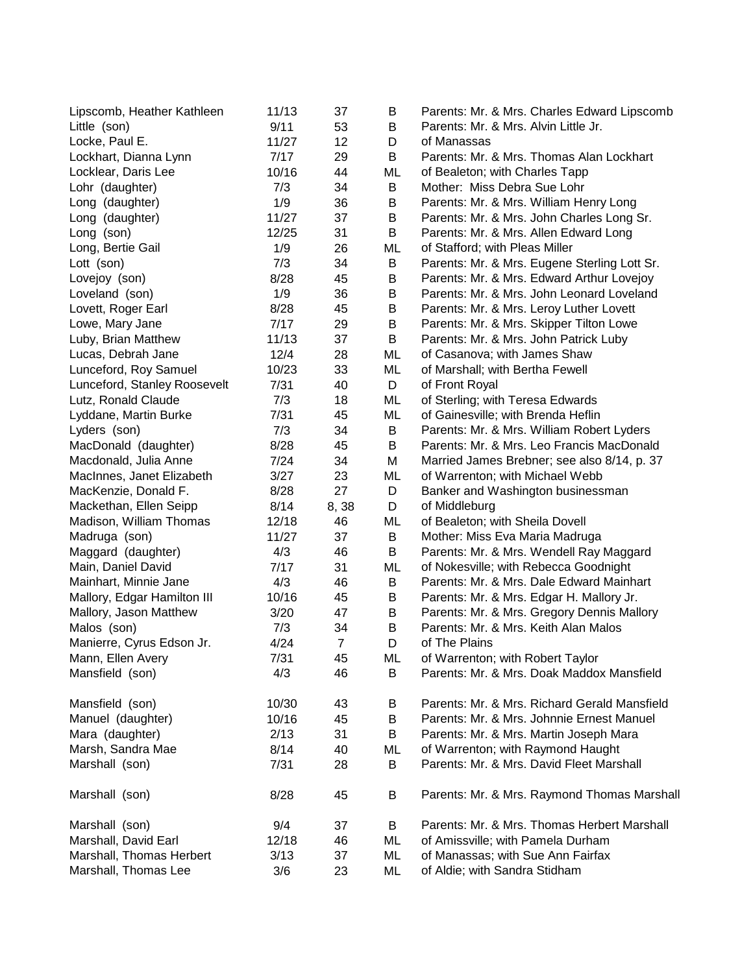| Lipscomb, Heather Kathleen   | 11/13 | 37             | B       | Parents: Mr. & Mrs. Charles Edward Lipscomb  |
|------------------------------|-------|----------------|---------|----------------------------------------------|
| Little (son)                 | 9/11  | 53             | B       | Parents: Mr. & Mrs. Alvin Little Jr.         |
| Locke, Paul E.               | 11/27 | 12             | D       | of Manassas                                  |
| Lockhart, Dianna Lynn        | 7/17  | 29             | В       | Parents: Mr. & Mrs. Thomas Alan Lockhart     |
| Locklear, Daris Lee          | 10/16 | 44             | ML      | of Bealeton; with Charles Tapp               |
| Lohr (daughter)              | 7/3   | 34             | B       | Mother: Miss Debra Sue Lohr                  |
| Long (daughter)              | 1/9   | 36             | B       | Parents: Mr. & Mrs. William Henry Long       |
| Long (daughter)              | 11/27 | 37             | В       | Parents: Mr. & Mrs. John Charles Long Sr.    |
| Long (son)                   | 12/25 | 31             | B       | Parents: Mr. & Mrs. Allen Edward Long        |
| Long, Bertie Gail            | 1/9   | 26             | ML      | of Stafford; with Pleas Miller               |
| Lott (son)                   | 7/3   | 34             | B       | Parents: Mr. & Mrs. Eugene Sterling Lott Sr. |
| Lovejoy (son)                | 8/28  | 45             | B       | Parents: Mr. & Mrs. Edward Arthur Lovejoy    |
| Loveland (son)               | 1/9   | 36             | B       | Parents: Mr. & Mrs. John Leonard Loveland    |
| Lovett, Roger Earl           | 8/28  | 45             | B       | Parents: Mr. & Mrs. Leroy Luther Lovett      |
| Lowe, Mary Jane              | 7/17  | 29             | $\sf B$ | Parents: Mr. & Mrs. Skipper Tilton Lowe      |
| Luby, Brian Matthew          | 11/13 | 37             | B       | Parents: Mr. & Mrs. John Patrick Luby        |
| Lucas, Debrah Jane           | 12/4  | 28             | ML      | of Casanova; with James Shaw                 |
| Lunceford, Roy Samuel        | 10/23 | 33             | ML      | of Marshall; with Bertha Fewell              |
| Lunceford, Stanley Roosevelt | 7/31  | 40             | D       | of Front Royal                               |
| Lutz, Ronald Claude          | 7/3   | 18             | ML      | of Sterling; with Teresa Edwards             |
| Lyddane, Martin Burke        | 7/31  | 45             | ML      | of Gainesville; with Brenda Heflin           |
| Lyders (son)                 | 7/3   | 34             | B       | Parents: Mr. & Mrs. William Robert Lyders    |
| MacDonald (daughter)         | 8/28  | 45             | B       | Parents: Mr. & Mrs. Leo Francis MacDonald    |
| Macdonald, Julia Anne        | 7/24  | 34             | M       | Married James Brebner; see also 8/14, p. 37  |
| MacInnes, Janet Elizabeth    | 3/27  | 23             | ML      | of Warrenton; with Michael Webb              |
| MacKenzie, Donald F.         | 8/28  | 27             | D       | Banker and Washington businessman            |
| Mackethan, Ellen Seipp       | 8/14  | 8,38           | D       | of Middleburg                                |
| Madison, William Thomas      | 12/18 | 46             | ML      | of Bealeton; with Sheila Dovell              |
| Madruga (son)                | 11/27 | 37             | B       | Mother: Miss Eva Maria Madruga               |
| Maggard (daughter)           | 4/3   | 46             | B       | Parents: Mr. & Mrs. Wendell Ray Maggard      |
| Main, Daniel David           | 7/17  | 31             | ML      | of Nokesville; with Rebecca Goodnight        |
| Mainhart, Minnie Jane        | 4/3   | 46             | B       | Parents: Mr. & Mrs. Dale Edward Mainhart     |
| Mallory, Edgar Hamilton III  | 10/16 | 45             | B       | Parents: Mr. & Mrs. Edgar H. Mallory Jr.     |
| Mallory, Jason Matthew       | 3/20  | 47             | B       | Parents: Mr. & Mrs. Gregory Dennis Mallory   |
| Malos (son)                  | 7/3   | 34             | B       | Parents: Mr. & Mrs. Keith Alan Malos         |
| Manierre, Cyrus Edson Jr.    | 4/24  | $\overline{7}$ | D       | of The Plains                                |
| Mann, Ellen Avery            | 7/31  | 45             | ML      | of Warrenton; with Robert Taylor             |
| Mansfield (son)              | 4/3   | 46             | В       | Parents: Mr. & Mrs. Doak Maddox Mansfield    |
| Mansfield (son)              | 10/30 | 43             | В       | Parents: Mr. & Mrs. Richard Gerald Mansfield |
| Manuel (daughter)            | 10/16 | 45             | B       | Parents: Mr. & Mrs. Johnnie Ernest Manuel    |
| Mara (daughter)              | 2/13  | 31             | B       | Parents: Mr. & Mrs. Martin Joseph Mara       |
| Marsh, Sandra Mae            | 8/14  | 40             | ML      | of Warrenton; with Raymond Haught            |
| Marshall (son)               | 7/31  | 28             | B       | Parents: Mr. & Mrs. David Fleet Marshall     |
| Marshall (son)               | 8/28  | 45             | B       | Parents: Mr. & Mrs. Raymond Thomas Marshall  |
| Marshall (son)               | 9/4   | 37             | B       | Parents: Mr. & Mrs. Thomas Herbert Marshall  |
| Marshall, David Earl         | 12/18 | 46             | ML      | of Amissville; with Pamela Durham            |
| Marshall, Thomas Herbert     | 3/13  | 37             | ML      | of Manassas; with Sue Ann Fairfax            |
| Marshall, Thomas Lee         | 3/6   | 23             | ML      | of Aldie; with Sandra Stidham                |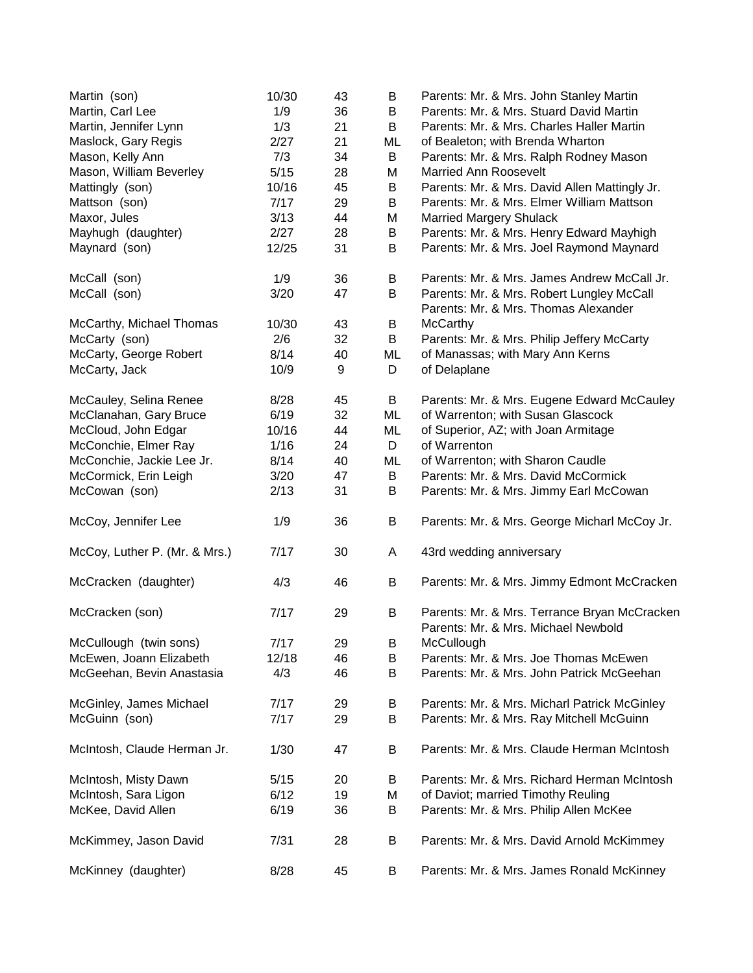| Martin (son)                  | 10/30 | 43 | B  | Parents: Mr. & Mrs. John Stanley Martin                                             |
|-------------------------------|-------|----|----|-------------------------------------------------------------------------------------|
| Martin, Carl Lee              | 1/9   | 36 | B  | Parents: Mr. & Mrs. Stuard David Martin                                             |
| Martin, Jennifer Lynn         | 1/3   | 21 | B  | Parents: Mr. & Mrs. Charles Haller Martin                                           |
| Maslock, Gary Regis           | 2/27  | 21 | ML | of Bealeton; with Brenda Wharton                                                    |
| Mason, Kelly Ann              | 7/3   | 34 | B  | Parents: Mr. & Mrs. Ralph Rodney Mason                                              |
| Mason, William Beverley       | 5/15  | 28 | M  | <b>Married Ann Roosevelt</b>                                                        |
| Mattingly (son)               | 10/16 | 45 | B  | Parents: Mr. & Mrs. David Allen Mattingly Jr.                                       |
| Mattson (son)                 | 7/17  | 29 | B  | Parents: Mr. & Mrs. Elmer William Mattson                                           |
| Maxor, Jules                  | 3/13  | 44 | M  | <b>Married Margery Shulack</b>                                                      |
| Mayhugh (daughter)            | 2/27  | 28 | B  | Parents: Mr. & Mrs. Henry Edward Mayhigh                                            |
| Maynard (son)                 | 12/25 | 31 | B  | Parents: Mr. & Mrs. Joel Raymond Maynard                                            |
| McCall (son)                  | 1/9   | 36 | B  | Parents: Mr. & Mrs. James Andrew McCall Jr.                                         |
| McCall (son)                  | 3/20  | 47 | B  | Parents: Mr. & Mrs. Robert Lungley McCall<br>Parents: Mr. & Mrs. Thomas Alexander   |
| McCarthy, Michael Thomas      | 10/30 | 43 | B  | <b>McCarthy</b>                                                                     |
| McCarty (son)                 | 2/6   | 32 | B  | Parents: Mr. & Mrs. Philip Jeffery McCarty                                          |
| McCarty, George Robert        | 8/14  | 40 | ML | of Manassas; with Mary Ann Kerns                                                    |
| McCarty, Jack                 | 10/9  | 9  | D  | of Delaplane                                                                        |
| McCauley, Selina Renee        | 8/28  | 45 | B  | Parents: Mr. & Mrs. Eugene Edward McCauley                                          |
| McClanahan, Gary Bruce        | 6/19  | 32 | ML | of Warrenton; with Susan Glascock                                                   |
| McCloud, John Edgar           | 10/16 | 44 | ML | of Superior, AZ; with Joan Armitage                                                 |
| McConchie, Elmer Ray          | 1/16  | 24 | D  | of Warrenton                                                                        |
| McConchie, Jackie Lee Jr.     | 8/14  | 40 | ML | of Warrenton; with Sharon Caudle                                                    |
| McCormick, Erin Leigh         | 3/20  | 47 | B  | Parents: Mr. & Mrs. David McCormick                                                 |
| McCowan (son)                 | 2/13  | 31 | B  | Parents: Mr. & Mrs. Jimmy Earl McCowan                                              |
| McCoy, Jennifer Lee           | 1/9   | 36 | B  | Parents: Mr. & Mrs. George Micharl McCoy Jr.                                        |
| McCoy, Luther P. (Mr. & Mrs.) | 7/17  | 30 | A  | 43rd wedding anniversary                                                            |
| McCracken (daughter)          | 4/3   | 46 | B  | Parents: Mr. & Mrs. Jimmy Edmont McCracken                                          |
| McCracken (son)               | 7/17  | 29 | B  | Parents: Mr. & Mrs. Terrance Bryan McCracken<br>Parents: Mr. & Mrs. Michael Newbold |
| McCullough (twin sons)        | 7/17  | 29 | B  | McCullough                                                                          |
| McEwen, Joann Elizabeth       | 12/18 | 46 | B  | Parents: Mr. & Mrs. Joe Thomas McEwen                                               |
| McGeehan, Bevin Anastasia     | 4/3   | 46 | B  | Parents: Mr. & Mrs. John Patrick McGeehan                                           |
| McGinley, James Michael       | 7/17  | 29 | B  | Parents: Mr. & Mrs. Micharl Patrick McGinley                                        |
| McGuinn (son)                 | 7/17  | 29 | B  | Parents: Mr. & Mrs. Ray Mitchell McGuinn                                            |
| McIntosh, Claude Herman Jr.   | 1/30  | 47 | B  | Parents: Mr. & Mrs. Claude Herman McIntosh                                          |
| McIntosh, Misty Dawn          | 5/15  | 20 | B  | Parents: Mr. & Mrs. Richard Herman McIntosh                                         |
| McIntosh, Sara Ligon          | 6/12  | 19 | М  | of Daviot; married Timothy Reuling                                                  |
| McKee, David Allen            | 6/19  | 36 | B  | Parents: Mr. & Mrs. Philip Allen McKee                                              |
| McKimmey, Jason David         | 7/31  | 28 | В  | Parents: Mr. & Mrs. David Arnold McKimmey                                           |
| McKinney (daughter)           | 8/28  | 45 | B  | Parents: Mr. & Mrs. James Ronald McKinney                                           |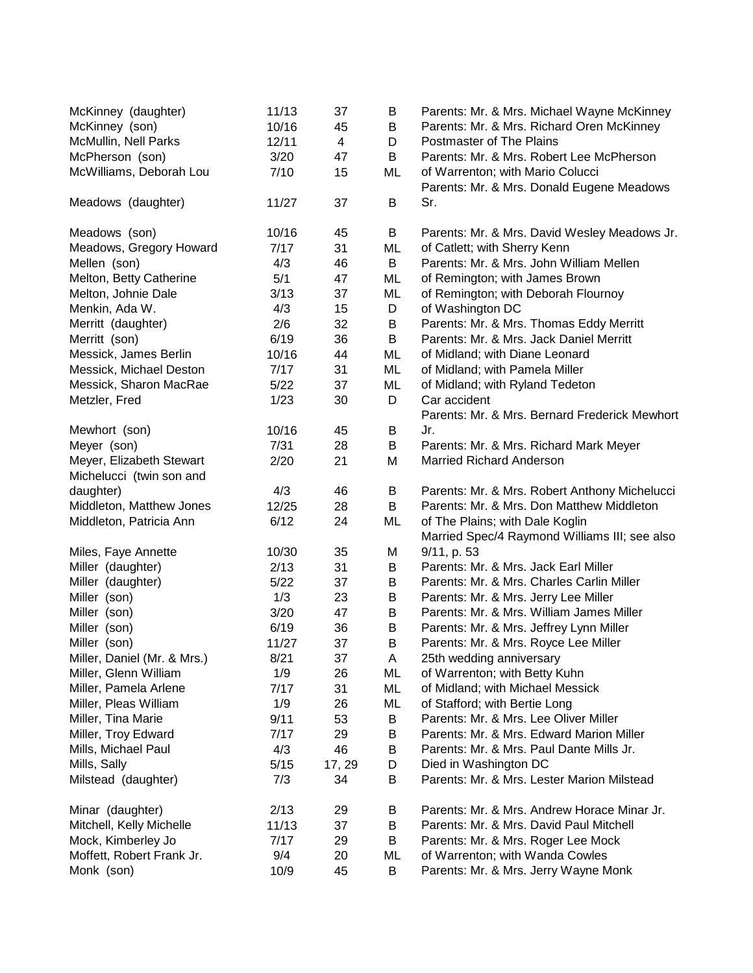| McKinney (daughter)         | 11/13 | 37             | B  | Parents: Mr. & Mrs. Michael Wayne McKinney    |
|-----------------------------|-------|----------------|----|-----------------------------------------------|
| McKinney (son)              | 10/16 | 45             | B  | Parents: Mr. & Mrs. Richard Oren McKinney     |
| McMullin, Nell Parks        | 12/11 | $\overline{4}$ | D  | Postmaster of The Plains                      |
| McPherson (son)             | 3/20  | 47             | B  | Parents: Mr. & Mrs. Robert Lee McPherson      |
| McWilliams, Deborah Lou     | 7/10  | 15             | ML | of Warrenton; with Mario Colucci              |
|                             |       |                |    | Parents: Mr. & Mrs. Donald Eugene Meadows     |
| Meadows (daughter)          | 11/27 | 37             | B  | Sr.                                           |
| Meadows (son)               | 10/16 | 45             | B  | Parents: Mr. & Mrs. David Wesley Meadows Jr.  |
| Meadows, Gregory Howard     | 7/17  | 31             | ML | of Catlett; with Sherry Kenn                  |
| Mellen (son)                | 4/3   | 46             | B  | Parents: Mr. & Mrs. John William Mellen       |
| Melton, Betty Catherine     | 5/1   | 47             | ML | of Remington; with James Brown                |
| Melton, Johnie Dale         | 3/13  | 37             | ML | of Remington; with Deborah Flournoy           |
| Menkin, Ada W.              | 4/3   | 15             | D  | of Washington DC                              |
| Merritt (daughter)          | 2/6   | 32             | B  | Parents: Mr. & Mrs. Thomas Eddy Merritt       |
| Merritt (son)               | 6/19  | 36             | B  | Parents: Mr. & Mrs. Jack Daniel Merritt       |
| Messick, James Berlin       | 10/16 | 44             | ML | of Midland; with Diane Leonard                |
| Messick, Michael Deston     | 7/17  | 31             | ML | of Midland; with Pamela Miller                |
| Messick, Sharon MacRae      | 5/22  | 37             | ML | of Midland; with Ryland Tedeton               |
| Metzler, Fred               | 1/23  | 30             | D  | Car accident                                  |
|                             |       |                |    | Parents: Mr. & Mrs. Bernard Frederick Mewhort |
| Mewhort (son)               | 10/16 | 45             | B  | Jr.                                           |
| Meyer (son)                 | 7/31  | 28             | B  | Parents: Mr. & Mrs. Richard Mark Meyer        |
| Meyer, Elizabeth Stewart    | 2/20  | 21             | M  | <b>Married Richard Anderson</b>               |
| Michelucci (twin son and    |       |                |    |                                               |
| daughter)                   | 4/3   | 46             | B  | Parents: Mr. & Mrs. Robert Anthony Michelucci |
| Middleton, Matthew Jones    | 12/25 | 28             | B  | Parents: Mr. & Mrs. Don Matthew Middleton     |
| Middleton, Patricia Ann     | 6/12  | 24             | ML | of The Plains; with Dale Koglin               |
|                             |       |                |    | Married Spec/4 Raymond Williams III; see also |
| Miles, Faye Annette         | 10/30 | 35             | M  | 9/11, p. 53                                   |
| Miller (daughter)           | 2/13  | 31             | B  | Parents: Mr. & Mrs. Jack Earl Miller          |
| Miller (daughter)           | 5/22  | 37             | B  | Parents: Mr. & Mrs. Charles Carlin Miller     |
| Miller (son)                | 1/3   | 23             | B  | Parents: Mr. & Mrs. Jerry Lee Miller          |
| Miller (son)                | 3/20  | 47             | B  | Parents: Mr. & Mrs. William James Miller      |
| Miller (son)                | 6/19  | 36             | B  | Parents: Mr. & Mrs. Jeffrey Lynn Miller       |
| Miller (son)                | 11/27 | 37             | B  | Parents: Mr. & Mrs. Royce Lee Miller          |
| Miller, Daniel (Mr. & Mrs.) | 8/21  | 37             | A  | 25th wedding anniversary                      |
| Miller, Glenn William       | 1/9   | 26             | ML | of Warrenton; with Betty Kuhn                 |
| Miller, Pamela Arlene       | 7/17  | 31             | ML | of Midland; with Michael Messick              |
| Miller, Pleas William       | 1/9   | 26             | ML | of Stafford; with Bertie Long                 |
| Miller, Tina Marie          | 9/11  | 53             | B  | Parents: Mr. & Mrs. Lee Oliver Miller         |
| Miller, Troy Edward         | 7/17  | 29             | B  | Parents: Mr. & Mrs. Edward Marion Miller      |
| Mills, Michael Paul         | 4/3   | 46             | B  | Parents: Mr. & Mrs. Paul Dante Mills Jr.      |
| Mills, Sally                | 5/15  | 17, 29         | D  | Died in Washington DC                         |
| Milstead (daughter)         | 7/3   | 34             | B  | Parents: Mr. & Mrs. Lester Marion Milstead    |
| Minar (daughter)            | 2/13  | 29             | В  | Parents: Mr. & Mrs. Andrew Horace Minar Jr.   |
| Mitchell, Kelly Michelle    | 11/13 | 37             | B  | Parents: Mr. & Mrs. David Paul Mitchell       |
| Mock, Kimberley Jo          | 7/17  | 29             | B  | Parents: Mr. & Mrs. Roger Lee Mock            |
| Moffett, Robert Frank Jr.   | 9/4   | 20             | ML | of Warrenton; with Wanda Cowles               |
| Monk (son)                  | 10/9  | 45             | B  | Parents: Mr. & Mrs. Jerry Wayne Monk          |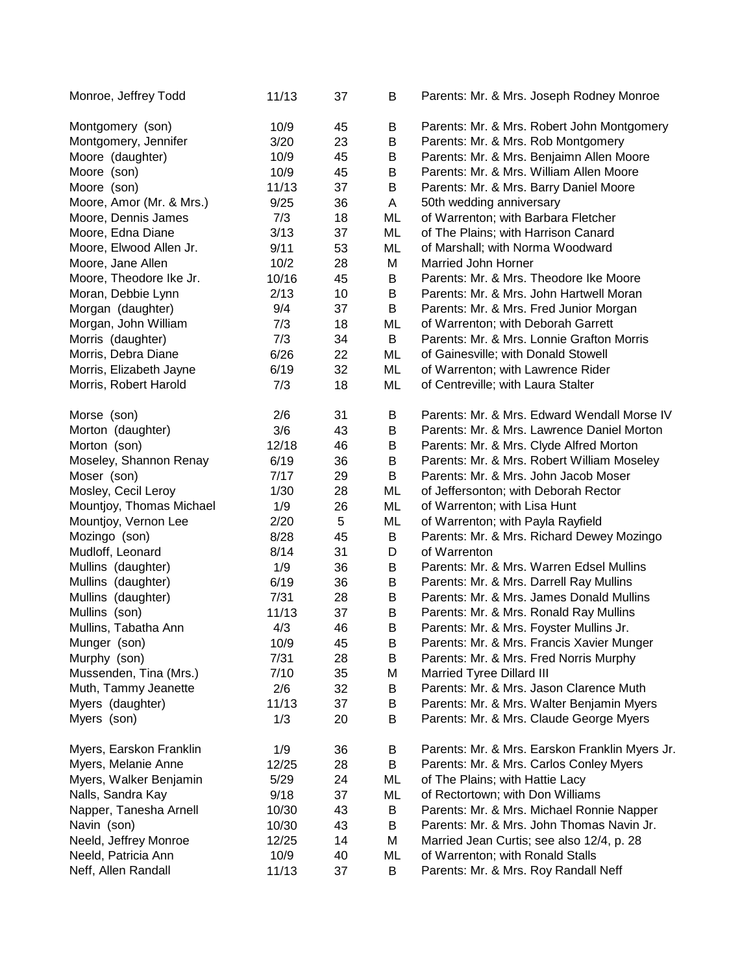| Monroe, Jeffrey Todd     | 11/13 | 37 | В  | Parents: Mr. & Mrs. Joseph Rodney Monroe       |
|--------------------------|-------|----|----|------------------------------------------------|
| Montgomery (son)         | 10/9  | 45 | B  | Parents: Mr. & Mrs. Robert John Montgomery     |
| Montgomery, Jennifer     | 3/20  | 23 | B  | Parents: Mr. & Mrs. Rob Montgomery             |
| Moore (daughter)         | 10/9  | 45 | B  | Parents: Mr. & Mrs. Benjaimn Allen Moore       |
| Moore (son)              | 10/9  | 45 | B  | Parents: Mr. & Mrs. William Allen Moore        |
| Moore (son)              | 11/13 | 37 | B  | Parents: Mr. & Mrs. Barry Daniel Moore         |
| Moore, Amor (Mr. & Mrs.) | 9/25  | 36 | A  | 50th wedding anniversary                       |
| Moore, Dennis James      | 7/3   | 18 | ML | of Warrenton; with Barbara Fletcher            |
| Moore, Edna Diane        | 3/13  | 37 | ML | of The Plains; with Harrison Canard            |
| Moore, Elwood Allen Jr.  | 9/11  | 53 | ML | of Marshall; with Norma Woodward               |
| Moore, Jane Allen        | 10/2  | 28 | M  | Married John Horner                            |
| Moore, Theodore Ike Jr.  | 10/16 | 45 | B  | Parents: Mr. & Mrs. Theodore Ike Moore         |
| Moran, Debbie Lynn       | 2/13  | 10 | B  | Parents: Mr. & Mrs. John Hartwell Moran        |
| Morgan (daughter)        | 9/4   | 37 | B  | Parents: Mr. & Mrs. Fred Junior Morgan         |
| Morgan, John William     | 7/3   | 18 | ML | of Warrenton; with Deborah Garrett             |
| Morris (daughter)        | 7/3   | 34 | B  | Parents: Mr. & Mrs. Lonnie Grafton Morris      |
| Morris, Debra Diane      | 6/26  | 22 | ML | of Gainesville; with Donald Stowell            |
| Morris, Elizabeth Jayne  | 6/19  | 32 | ML | of Warrenton; with Lawrence Rider              |
| Morris, Robert Harold    | 7/3   | 18 | ML | of Centreville; with Laura Stalter             |
| Morse (son)              | 2/6   | 31 | B  | Parents: Mr. & Mrs. Edward Wendall Morse IV    |
| Morton (daughter)        | 3/6   | 43 | B  | Parents: Mr. & Mrs. Lawrence Daniel Morton     |
| Morton (son)             | 12/18 | 46 | B  | Parents: Mr. & Mrs. Clyde Alfred Morton        |
| Moseley, Shannon Renay   | 6/19  | 36 | B  | Parents: Mr. & Mrs. Robert William Moseley     |
| Moser (son)              | 7/17  | 29 | B  | Parents: Mr. & Mrs. John Jacob Moser           |
| Mosley, Cecil Leroy      | 1/30  | 28 | ML | of Jeffersonton; with Deborah Rector           |
| Mountjoy, Thomas Michael | 1/9   | 26 | ML | of Warrenton; with Lisa Hunt                   |
| Mountjoy, Vernon Lee     | 2/20  | 5  | ML | of Warrenton; with Payla Rayfield              |
| Mozingo (son)            | 8/28  | 45 | B  | Parents: Mr. & Mrs. Richard Dewey Mozingo      |
| Mudloff, Leonard         | 8/14  | 31 | D  | of Warrenton                                   |
| Mullins (daughter)       | 1/9   | 36 | B  | Parents: Mr. & Mrs. Warren Edsel Mullins       |
| Mullins (daughter)       | 6/19  | 36 | B  | Parents: Mr. & Mrs. Darrell Ray Mullins        |
| Mullins (daughter)       | 7/31  | 28 | B  | Parents: Mr. & Mrs. James Donald Mullins       |
| Mullins (son)            | 11/13 | 37 | B  | Parents: Mr. & Mrs. Ronald Ray Mullins         |
| Mullins, Tabatha Ann     | 4/3   | 46 | B  | Parents: Mr. & Mrs. Foyster Mullins Jr.        |
| Munger (son)             | 10/9  | 45 | B  | Parents: Mr. & Mrs. Francis Xavier Munger      |
| Murphy (son)             | 7/31  | 28 | В  | Parents: Mr. & Mrs. Fred Norris Murphy         |
| Mussenden, Tina (Mrs.)   | 7/10  | 35 | Μ  | <b>Married Tyree Dillard III</b>               |
| Muth, Tammy Jeanette     | 2/6   | 32 | B  | Parents: Mr. & Mrs. Jason Clarence Muth        |
| Myers (daughter)         | 11/13 | 37 | B  | Parents: Mr. & Mrs. Walter Benjamin Myers      |
| Myers (son)              | 1/3   | 20 | B  | Parents: Mr. & Mrs. Claude George Myers        |
| Myers, Earskon Franklin  | 1/9   | 36 | B  | Parents: Mr. & Mrs. Earskon Franklin Myers Jr. |
| Myers, Melanie Anne      | 12/25 | 28 | B  | Parents: Mr. & Mrs. Carlos Conley Myers        |
| Myers, Walker Benjamin   | 5/29  | 24 | ML | of The Plains; with Hattie Lacy                |
| Nalls, Sandra Kay        | 9/18  | 37 | ML | of Rectortown; with Don Williams               |
| Napper, Tanesha Arnell   | 10/30 | 43 | B  | Parents: Mr. & Mrs. Michael Ronnie Napper      |
| Navin (son)              | 10/30 | 43 | B  | Parents: Mr. & Mrs. John Thomas Navin Jr.      |
| Neeld, Jeffrey Monroe    | 12/25 | 14 | M  | Married Jean Curtis; see also 12/4, p. 28      |
| Neeld, Patricia Ann      | 10/9  | 40 | ML | of Warrenton; with Ronald Stalls               |
| Neff, Allen Randall      | 11/13 | 37 | B  | Parents: Mr. & Mrs. Roy Randall Neff           |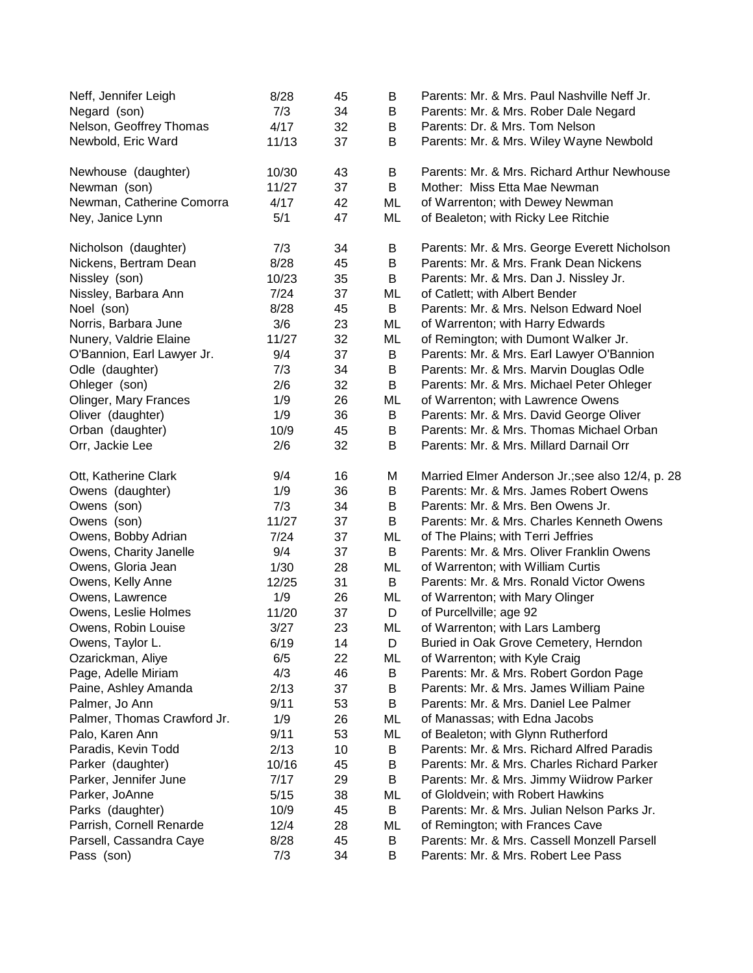| Neff, Jennifer Leigh<br>Negard (son) | 8/28<br>7/3 | 45<br>34 | B<br>B | Parents: Mr. & Mrs. Paul Nashville Neff Jr.<br>Parents: Mr. & Mrs. Rober Dale Negard |
|--------------------------------------|-------------|----------|--------|--------------------------------------------------------------------------------------|
| Nelson, Geoffrey Thomas              | 4/17        | 32       | B      | Parents: Dr. & Mrs. Tom Nelson                                                       |
| Newbold, Eric Ward                   | 11/13       | 37       | B      | Parents: Mr. & Mrs. Wiley Wayne Newbold                                              |
| Newhouse (daughter)                  | 10/30       | 43       | B      | Parents: Mr. & Mrs. Richard Arthur Newhouse                                          |
| Newman (son)                         | 11/27       | 37       | B      | Mother: Miss Etta Mae Newman                                                         |
| Newman, Catherine Comorra            | 4/17        | 42       | ML     | of Warrenton; with Dewey Newman                                                      |
| Ney, Janice Lynn                     | 5/1         | 47       | ML     | of Bealeton; with Ricky Lee Ritchie                                                  |
| Nicholson (daughter)                 | 7/3         | 34       | B      | Parents: Mr. & Mrs. George Everett Nicholson                                         |
| Nickens, Bertram Dean                | 8/28        | 45       | B      | Parents: Mr. & Mrs. Frank Dean Nickens                                               |
| Nissley (son)                        | 10/23       | 35       | B      | Parents: Mr. & Mrs. Dan J. Nissley Jr.                                               |
| Nissley, Barbara Ann                 | 7/24        | 37       | ML     | of Catlett; with Albert Bender                                                       |
| Noel (son)                           | 8/28        | 45       | B      | Parents: Mr. & Mrs. Nelson Edward Noel                                               |
| Norris, Barbara June                 | 3/6         | 23       | ML     | of Warrenton; with Harry Edwards                                                     |
| Nunery, Valdrie Elaine               | 11/27       | 32       | ML     | of Remington; with Dumont Walker Jr.                                                 |
| O'Bannion, Earl Lawyer Jr.           | 9/4         | 37       | B      | Parents: Mr. & Mrs. Earl Lawyer O'Bannion                                            |
| Odle (daughter)                      | 7/3         | 34       | B      | Parents: Mr. & Mrs. Marvin Douglas Odle                                              |
| Ohleger (son)                        | 2/6         | 32       | B      | Parents: Mr. & Mrs. Michael Peter Ohleger                                            |
| Olinger, Mary Frances                | 1/9         | 26       | ML     | of Warrenton; with Lawrence Owens                                                    |
| Oliver (daughter)                    | 1/9         | 36       | B      | Parents: Mr. & Mrs. David George Oliver                                              |
| Orban (daughter)                     | 10/9        | 45       | B      | Parents: Mr. & Mrs. Thomas Michael Orban                                             |
| Orr, Jackie Lee                      | 2/6         | 32       | B      | Parents: Mr. & Mrs. Millard Darnail Orr                                              |
| Ott, Katherine Clark                 | 9/4         | 16       | M      | Married Elmer Anderson Jr.; see also 12/4, p. 28                                     |
| Owens (daughter)                     | 1/9         | 36       | B      | Parents: Mr. & Mrs. James Robert Owens                                               |
| Owens (son)                          | 7/3         | 34       | B      | Parents: Mr. & Mrs. Ben Owens Jr.                                                    |
| Owens (son)                          | 11/27       | 37       | B      | Parents: Mr. & Mrs. Charles Kenneth Owens                                            |
| Owens, Bobby Adrian                  | 7/24        | 37       | ML     | of The Plains; with Terri Jeffries                                                   |
| Owens, Charity Janelle               | 9/4         | 37       | B      | Parents: Mr. & Mrs. Oliver Franklin Owens                                            |
| Owens, Gloria Jean                   | 1/30        | 28       | ML     | of Warrenton; with William Curtis                                                    |
| Owens, Kelly Anne                    | 12/25       | 31       | B      | Parents: Mr. & Mrs. Ronald Victor Owens                                              |
| Owens, Lawrence                      | 1/9         | 26       | ML     | of Warrenton; with Mary Olinger                                                      |
| Owens, Leslie Holmes                 | 11/20       | 37       | D      | of Purcellville; age 92                                                              |
| Owens, Robin Louise                  | 3/27        | 23       | ML     | of Warrenton; with Lars Lamberg                                                      |
| Owens, Taylor L.                     | 6/19        | 14       | D      | Buried in Oak Grove Cemetery, Herndon                                                |
| Ozarickman, Aliye                    | 6/5         | 22       | ML     | of Warrenton; with Kyle Craig                                                        |
| Page, Adelle Miriam                  | 4/3         | 46       | B      | Parents: Mr. & Mrs. Robert Gordon Page                                               |
| Paine, Ashley Amanda                 | 2/13        | 37       | B      | Parents: Mr. & Mrs. James William Paine                                              |
| Palmer, Jo Ann                       | 9/11        | 53       | B      | Parents: Mr. & Mrs. Daniel Lee Palmer                                                |
| Palmer, Thomas Crawford Jr.          | 1/9         | 26       | ML     | of Manassas; with Edna Jacobs                                                        |
| Palo, Karen Ann                      | 9/11        | 53       | ML     | of Bealeton; with Glynn Rutherford                                                   |
| Paradis, Kevin Todd                  | 2/13        | 10       | B      | Parents: Mr. & Mrs. Richard Alfred Paradis                                           |
| Parker (daughter)                    | 10/16       | 45       | B      | Parents: Mr. & Mrs. Charles Richard Parker                                           |
| Parker, Jennifer June                | 7/17        | 29       | B      | Parents: Mr. & Mrs. Jimmy Wiidrow Parker                                             |
| Parker, JoAnne                       | 5/15        | 38       | ML     | of Gloldvein; with Robert Hawkins                                                    |
| Parks (daughter)                     | 10/9        | 45       | B      | Parents: Mr. & Mrs. Julian Nelson Parks Jr.                                          |
| Parrish, Cornell Renarde             | 12/4        | 28       | ML     | of Remington; with Frances Cave                                                      |
| Parsell, Cassandra Caye              | 8/28        | 45       | B      | Parents: Mr. & Mrs. Cassell Monzell Parsell                                          |
| Pass (son)                           | 7/3         | 34       | В      | Parents: Mr. & Mrs. Robert Lee Pass                                                  |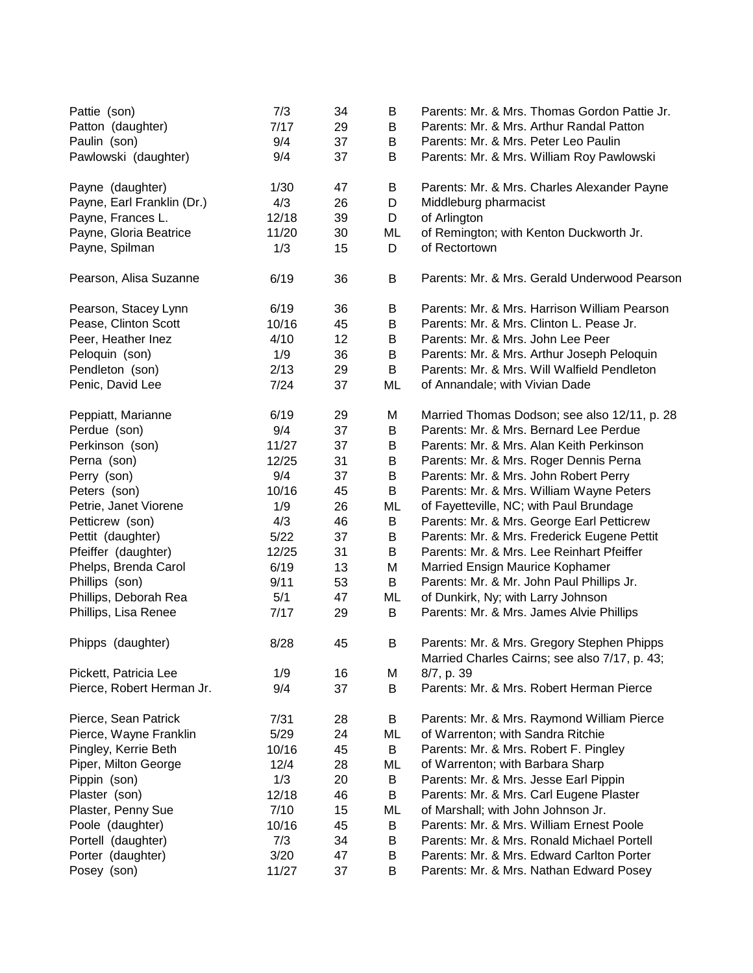| Pattie (son)<br>Patton (daughter)<br>Paulin (son) | 7/3<br>7/17<br>9/4 | 34<br>29<br>37 | B<br>B<br>B | Parents: Mr. & Mrs. Thomas Gordon Pattie Jr.<br>Parents: Mr. & Mrs. Arthur Randal Patton<br>Parents: Mr. & Mrs. Peter Leo Paulin |
|---------------------------------------------------|--------------------|----------------|-------------|----------------------------------------------------------------------------------------------------------------------------------|
| Pawlowski (daughter)                              | 9/4                | 37             | B           | Parents: Mr. & Mrs. William Roy Pawlowski                                                                                        |
| Payne (daughter)                                  | 1/30               | 47             | B           | Parents: Mr. & Mrs. Charles Alexander Payne                                                                                      |
| Payne, Earl Franklin (Dr.)                        | 4/3                | 26             | D           | Middleburg pharmacist                                                                                                            |
| Payne, Frances L.                                 | 12/18              | 39             | D           | of Arlington                                                                                                                     |
| Payne, Gloria Beatrice                            | 11/20              | 30             | ML          | of Remington; with Kenton Duckworth Jr.                                                                                          |
| Payne, Spilman                                    | 1/3                | 15             | D           | of Rectortown                                                                                                                    |
| Pearson, Alisa Suzanne                            | 6/19               | 36             | B           | Parents: Mr. & Mrs. Gerald Underwood Pearson                                                                                     |
| Pearson, Stacey Lynn                              | 6/19               | 36             | B           | Parents: Mr. & Mrs. Harrison William Pearson                                                                                     |
| Pease, Clinton Scott                              | 10/16              | 45             | B           | Parents: Mr. & Mrs. Clinton L. Pease Jr.                                                                                         |
| Peer, Heather Inez                                | 4/10               | 12             | B           | Parents: Mr. & Mrs. John Lee Peer                                                                                                |
| Peloquin (son)                                    | 1/9                | 36             | B           | Parents: Mr. & Mrs. Arthur Joseph Peloquin                                                                                       |
| Pendleton (son)                                   | 2/13               | 29             | B           | Parents: Mr. & Mrs. Will Walfield Pendleton                                                                                      |
| Penic, David Lee                                  | 7/24               | 37             | ML          | of Annandale; with Vivian Dade                                                                                                   |
| Peppiatt, Marianne                                | 6/19               | 29             | M           | Married Thomas Dodson; see also 12/11, p. 28                                                                                     |
| Perdue (son)                                      | 9/4                | 37             | B           | Parents: Mr. & Mrs. Bernard Lee Perdue                                                                                           |
| Perkinson (son)                                   | 11/27              | 37             | B           | Parents: Mr. & Mrs. Alan Keith Perkinson                                                                                         |
| Perna (son)                                       | 12/25              | 31             | B           | Parents: Mr. & Mrs. Roger Dennis Perna                                                                                           |
| Perry (son)                                       | 9/4                | 37             | B           | Parents: Mr. & Mrs. John Robert Perry                                                                                            |
| Peters (son)                                      | 10/16              | 45             | B           | Parents: Mr. & Mrs. William Wayne Peters                                                                                         |
| Petrie, Janet Viorene                             | 1/9                | 26             | ML          | of Fayetteville, NC; with Paul Brundage                                                                                          |
| Petticrew (son)                                   | 4/3                | 46             | B           | Parents: Mr. & Mrs. George Earl Petticrew                                                                                        |
| Pettit (daughter)                                 | 5/22               | 37             | B           | Parents: Mr. & Mrs. Frederick Eugene Pettit                                                                                      |
| Pfeiffer (daughter)                               | 12/25              | 31             | B           | Parents: Mr. & Mrs. Lee Reinhart Pfeiffer                                                                                        |
| Phelps, Brenda Carol                              | 6/19               | 13             | M           | Married Ensign Maurice Kophamer                                                                                                  |
| Phillips (son)                                    | 9/11               | 53             | B           | Parents: Mr. & Mr. John Paul Phillips Jr.                                                                                        |
| Phillips, Deborah Rea                             | 5/1                | 47             | ML          | of Dunkirk, Ny; with Larry Johnson                                                                                               |
| Phillips, Lisa Renee                              | 7/17               | 29             | B           | Parents: Mr. & Mrs. James Alvie Phillips                                                                                         |
| Phipps (daughter)                                 | 8/28               | 45             | B           | Parents: Mr. & Mrs. Gregory Stephen Phipps<br>Married Charles Cairns; see also 7/17, p. 43;                                      |
| Pickett, Patricia Lee                             | 1/9                | 16             | M           | 8/7, p. 39                                                                                                                       |
| Pierce, Robert Herman Jr.                         | 9/4                | 37             | B           | Parents: Mr. & Mrs. Robert Herman Pierce                                                                                         |
| Pierce, Sean Patrick                              | 7/31               | 28             | B           | Parents: Mr. & Mrs. Raymond William Pierce                                                                                       |
| Pierce, Wayne Franklin                            | 5/29               | 24             | ML          | of Warrenton; with Sandra Ritchie                                                                                                |
| Pingley, Kerrie Beth                              | 10/16              | 45             | B           | Parents: Mr. & Mrs. Robert F. Pingley                                                                                            |
| Piper, Milton George                              | 12/4               | 28             | ML          | of Warrenton; with Barbara Sharp                                                                                                 |
| Pippin (son)                                      | 1/3                | 20             | B           | Parents: Mr. & Mrs. Jesse Earl Pippin                                                                                            |
| Plaster (son)                                     | 12/18              | 46             | B           | Parents: Mr. & Mrs. Carl Eugene Plaster                                                                                          |
| Plaster, Penny Sue                                | 7/10               | 15             | ML          | of Marshall; with John Johnson Jr.                                                                                               |
| Poole (daughter)                                  | 10/16              | 45             | B           | Parents: Mr. & Mrs. William Ernest Poole                                                                                         |
| Portell (daughter)                                | 7/3                | 34             | B           | Parents: Mr. & Mrs. Ronald Michael Portell                                                                                       |
| Porter (daughter)                                 | 3/20               | 47             | B           | Parents: Mr. & Mrs. Edward Carlton Porter                                                                                        |
| Posey (son)                                       | 11/27              | 37             | B           | Parents: Mr. & Mrs. Nathan Edward Posey                                                                                          |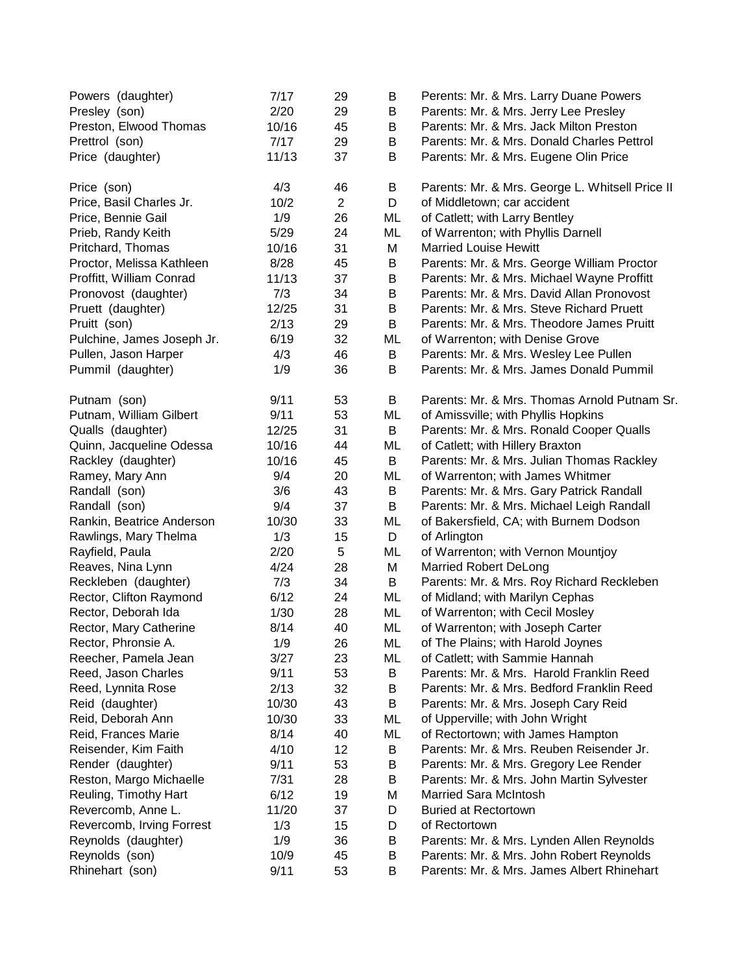| Powers (daughter)          | 7/17  | 29             | B  | Perents: Mr. & Mrs. Larry Duane Powers          |
|----------------------------|-------|----------------|----|-------------------------------------------------|
| Presley (son)              | 2/20  | 29             | B  | Parents: Mr. & Mrs. Jerry Lee Presley           |
| Preston, Elwood Thomas     | 10/16 | 45             | B  | Parents: Mr. & Mrs. Jack Milton Preston         |
| Prettrol (son)             | 7/17  | 29             | B  | Parents: Mr. & Mrs. Donald Charles Pettrol      |
| Price (daughter)           | 11/13 | 37             | B  | Parents: Mr. & Mrs. Eugene Olin Price           |
| Price (son)                | 4/3   | 46             | B  | Parents: Mr. & Mrs. George L. Whitsell Price II |
| Price, Basil Charles Jr.   | 10/2  | $\overline{2}$ | D  | of Middletown; car accident                     |
| Price, Bennie Gail         | 1/9   | 26             | ML | of Catlett; with Larry Bentley                  |
| Prieb, Randy Keith         | 5/29  | 24             | ML | of Warrenton; with Phyllis Darnell              |
| Pritchard, Thomas          | 10/16 | 31             | M  | <b>Married Louise Hewitt</b>                    |
| Proctor, Melissa Kathleen  | 8/28  | 45             | B  | Parents: Mr. & Mrs. George William Proctor      |
| Proffitt, William Conrad   | 11/13 | 37             | B  | Parents: Mr. & Mrs. Michael Wayne Proffitt      |
| Pronovost (daughter)       | 7/3   | 34             | B  | Parents: Mr. & Mrs. David Allan Pronovost       |
| Pruett (daughter)          | 12/25 | 31             | B  | Parents: Mr. & Mrs. Steve Richard Pruett        |
| Pruitt (son)               | 2/13  | 29             | B  | Parents: Mr. & Mrs. Theodore James Pruitt       |
| Pulchine, James Joseph Jr. | 6/19  | 32             | ML | of Warrenton; with Denise Grove                 |
| Pullen, Jason Harper       | 4/3   | 46             | B  | Parents: Mr. & Mrs. Wesley Lee Pullen           |
| Pummil (daughter)          | 1/9   | 36             | B  | Parents: Mr. & Mrs. James Donald Pummil         |
| Putnam (son)               | 9/11  | 53             | B  | Parents: Mr. & Mrs. Thomas Arnold Putnam Sr.    |
| Putnam, William Gilbert    | 9/11  | 53             | ML | of Amissville; with Phyllis Hopkins             |
| Qualls (daughter)          | 12/25 | 31             | B  | Parents: Mr. & Mrs. Ronald Cooper Qualls        |
| Quinn, Jacqueline Odessa   | 10/16 | 44             | ML | of Catlett; with Hillery Braxton                |
| Rackley (daughter)         | 10/16 | 45             | B  | Parents: Mr. & Mrs. Julian Thomas Rackley       |
| Ramey, Mary Ann            | 9/4   | 20             | ML | of Warrenton; with James Whitmer                |
| Randall (son)              | 3/6   | 43             | B  | Parents: Mr. & Mrs. Gary Patrick Randall        |
| Randall (son)              | 9/4   | 37             | B  | Parents: Mr. & Mrs. Michael Leigh Randall       |
| Rankin, Beatrice Anderson  | 10/30 | 33             | ML | of Bakersfield, CA; with Burnem Dodson          |
| Rawlings, Mary Thelma      | 1/3   | 15             | D  | of Arlington                                    |
| Rayfield, Paula            | 2/20  | 5              | ML | of Warrenton; with Vernon Mountjoy              |
| Reaves, Nina Lynn          | 4/24  | 28             | M  | <b>Married Robert DeLong</b>                    |
| Reckleben (daughter)       | 7/3   | 34             | B  | Parents: Mr. & Mrs. Roy Richard Reckleben       |
| Rector, Clifton Raymond    | 6/12  | 24             | ML | of Midland; with Marilyn Cephas                 |
| Rector, Deborah Ida        | 1/30  | 28             | ML | of Warrenton; with Cecil Mosley                 |
| Rector, Mary Catherine     | 8/14  | 40             | ML | of Warrenton; with Joseph Carter                |
| Rector, Phronsie A.        | 1/9   | 26             | ML | of The Plains; with Harold Joynes               |
| Reecher, Pamela Jean       | 3/27  | 23             | ML | of Catlett; with Sammie Hannah                  |
| Reed, Jason Charles        | 9/11  | 53             | B  | Parents: Mr. & Mrs. Harold Franklin Reed        |
| Reed, Lynnita Rose         | 2/13  | 32             | B  | Parents: Mr. & Mrs. Bedford Franklin Reed       |
| Reid (daughter)            | 10/30 | 43             | B  | Parents: Mr. & Mrs. Joseph Cary Reid            |
| Reid, Deborah Ann          | 10/30 | 33             | ML | of Upperville; with John Wright                 |
| Reid, Frances Marie        | 8/14  | 40             | ML | of Rectortown; with James Hampton               |
| Reisender, Kim Faith       | 4/10  | 12             | B  | Parents: Mr. & Mrs. Reuben Reisender Jr.        |
| Render (daughter)          | 9/11  | 53             | B  | Parents: Mr. & Mrs. Gregory Lee Render          |
| Reston, Margo Michaelle    | 7/31  | 28             | B  | Parents: Mr. & Mrs. John Martin Sylvester       |
| Reuling, Timothy Hart      | 6/12  | 19             | M  | <b>Married Sara McIntosh</b>                    |
| Revercomb, Anne L.         | 11/20 | 37             | D  | <b>Buried at Rectortown</b>                     |
| Revercomb, Irving Forrest  | 1/3   | 15             | D  | of Rectortown                                   |
| Reynolds (daughter)        | 1/9   | 36             | B  | Parents: Mr. & Mrs. Lynden Allen Reynolds       |
| Reynolds (son)             | 10/9  | 45             | В  | Parents: Mr. & Mrs. John Robert Reynolds        |
| Rhinehart (son)            | 9/11  | 53             | B  | Parents: Mr. & Mrs. James Albert Rhinehart      |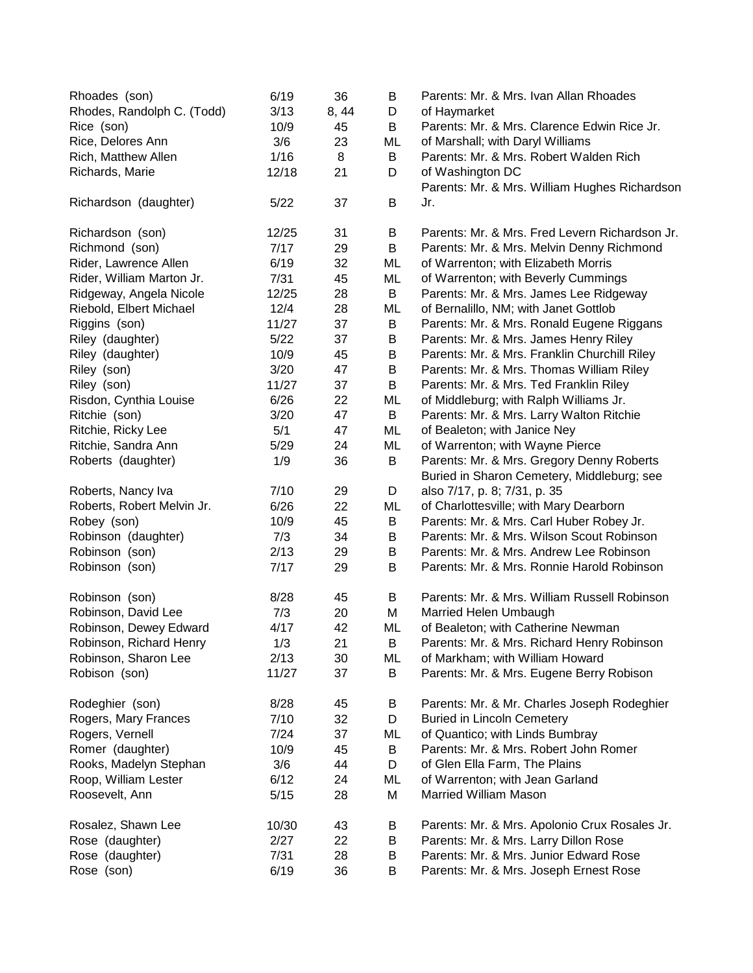| Rhoades (son)<br>Rhodes, Randolph C. (Todd) | 6/19<br>3/13 | 36<br>8, 44 | B<br>D | Parents: Mr. & Mrs. Ivan Allan Rhoades<br>of Haymarket |
|---------------------------------------------|--------------|-------------|--------|--------------------------------------------------------|
| Rice (son)                                  | 10/9         | 45          | B      | Parents: Mr. & Mrs. Clarence Edwin Rice Jr.            |
| Rice, Delores Ann                           | 3/6          | 23          | ML     | of Marshall; with Daryl Williams                       |
| Rich, Matthew Allen                         | 1/16         | 8           | B      | Parents: Mr. & Mrs. Robert Walden Rich                 |
| Richards, Marie                             | 12/18        | 21          | D      | of Washington DC                                       |
|                                             |              |             |        | Parents: Mr. & Mrs. William Hughes Richardson          |
| Richardson (daughter)                       | 5/22         | 37          | B      | Jr.                                                    |
| Richardson (son)                            | 12/25        | 31          | B      | Parents: Mr. & Mrs. Fred Levern Richardson Jr.         |
| Richmond (son)                              | 7/17         | 29          | B      | Parents: Mr. & Mrs. Melvin Denny Richmond              |
| Rider, Lawrence Allen                       | 6/19         | 32          | ML     | of Warrenton; with Elizabeth Morris                    |
| Rider, William Marton Jr.                   | 7/31         | 45          | ML     | of Warrenton; with Beverly Cummings                    |
| Ridgeway, Angela Nicole                     | 12/25        | 28          | B      | Parents: Mr. & Mrs. James Lee Ridgeway                 |
| Riebold, Elbert Michael                     | 12/4         | 28          | ML     | of Bernalillo, NM; with Janet Gottlob                  |
| Riggins (son)                               | 11/27        | 37          | B      | Parents: Mr. & Mrs. Ronald Eugene Riggans              |
| Riley (daughter)                            | 5/22         | 37          | B      | Parents: Mr. & Mrs. James Henry Riley                  |
| Riley (daughter)                            | 10/9         | 45          | B      | Parents: Mr. & Mrs. Franklin Churchill Riley           |
| Riley (son)                                 | 3/20         | 47          | B      | Parents: Mr. & Mrs. Thomas William Riley               |
| Riley (son)                                 | 11/27        | 37          | B      | Parents: Mr. & Mrs. Ted Franklin Riley                 |
| Risdon, Cynthia Louise                      | 6/26         | 22          | ML     | of Middleburg; with Ralph Williams Jr.                 |
| Ritchie (son)                               | 3/20         | 47          | B      | Parents: Mr. & Mrs. Larry Walton Ritchie               |
| Ritchie, Ricky Lee                          | 5/1          | 47          | ML     | of Bealeton; with Janice Ney                           |
| Ritchie, Sandra Ann                         | 5/29         | 24          | ML     | of Warrenton; with Wayne Pierce                        |
| Roberts (daughter)                          | 1/9          | 36          | B      | Parents: Mr. & Mrs. Gregory Denny Roberts              |
|                                             |              |             |        | Buried in Sharon Cemetery, Middleburg; see             |
| Roberts, Nancy Iva                          | 7/10         | 29          | D      | also 7/17, p. 8; 7/31, p. 35                           |
| Roberts, Robert Melvin Jr.                  | 6/26         | 22          | ML     | of Charlottesville; with Mary Dearborn                 |
| Robey (son)                                 | 10/9         | 45          | B      | Parents: Mr. & Mrs. Carl Huber Robey Jr.               |
| Robinson (daughter)                         | 7/3          | 34          | B      | Parents: Mr. & Mrs. Wilson Scout Robinson              |
| Robinson (son)                              | 2/13         | 29          | B      | Parents: Mr. & Mrs. Andrew Lee Robinson                |
| Robinson (son)                              | 7/17         | 29          | B      | Parents: Mr. & Mrs. Ronnie Harold Robinson             |
| Robinson (son)                              | 8/28         | 45          | B      | Parents: Mr. & Mrs. William Russell Robinson           |
| Robinson, David Lee                         | 7/3          | 20          | M      | Married Helen Umbaugh                                  |
| Robinson, Dewey Edward                      | 4/17         | 42          | ML     | of Bealeton; with Catherine Newman                     |
| Robinson, Richard Henry                     | 1/3          | 21          | B      | Parents: Mr. & Mrs. Richard Henry Robinson             |
| Robinson, Sharon Lee                        | 2/13         | 30          | ML     | of Markham; with William Howard                        |
| Robison (son)                               | 11/27        | 37          | B      | Parents: Mr. & Mrs. Eugene Berry Robison               |
| Rodeghier (son)                             | 8/28         | 45          | В      | Parents: Mr. & Mr. Charles Joseph Rodeghier            |
| Rogers, Mary Frances                        | 7/10         | 32          | D      | <b>Buried in Lincoln Cemetery</b>                      |
| Rogers, Vernell                             | 7/24         | 37          | ML     | of Quantico; with Linds Bumbray                        |
| Romer (daughter)                            | 10/9         | 45          | B      | Parents: Mr. & Mrs. Robert John Romer                  |
| Rooks, Madelyn Stephan                      | 3/6          | 44          | D      | of Glen Ella Farm, The Plains                          |
| Roop, William Lester                        | 6/12         | 24          | ML     | of Warrenton; with Jean Garland                        |
| Roosevelt, Ann                              | 5/15         | 28          | M      | <b>Married William Mason</b>                           |
| Rosalez, Shawn Lee                          | 10/30        | 43          | B      | Parents: Mr. & Mrs. Apolonio Crux Rosales Jr.          |
| Rose (daughter)                             | 2/27         | 22          | В      | Parents: Mr. & Mrs. Larry Dillon Rose                  |
| Rose (daughter)                             | 7/31         | 28          | B      | Parents: Mr. & Mrs. Junior Edward Rose                 |
| Rose (son)                                  | 6/19         | 36          | B      | Parents: Mr. & Mrs. Joseph Ernest Rose                 |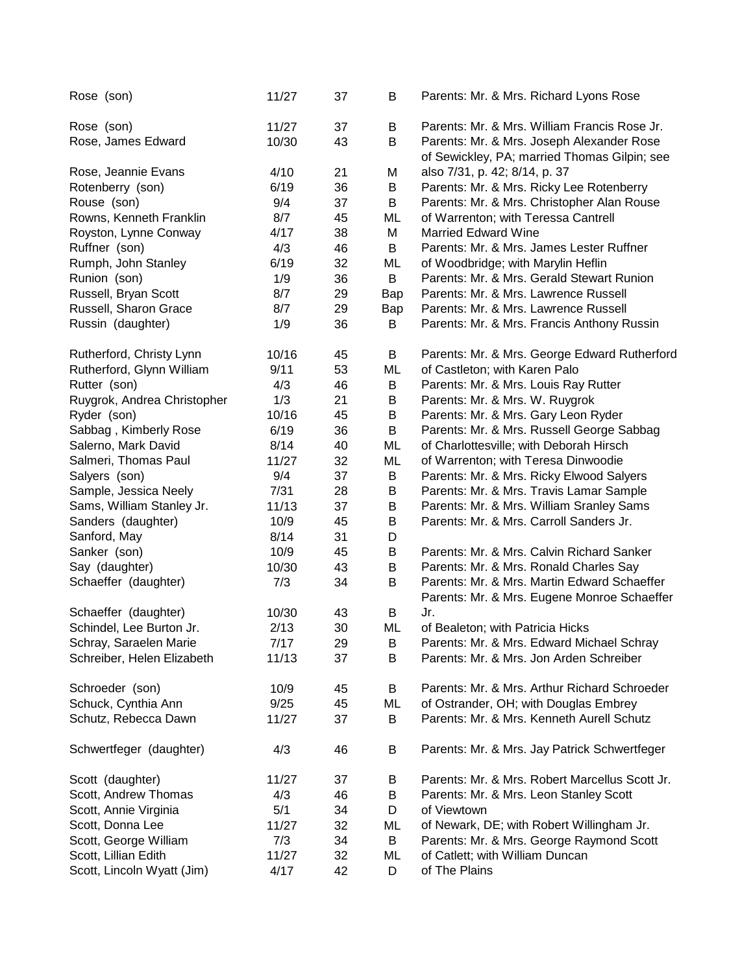| Rose (son)                  | 11/27 | 37 | B       | Parents: Mr. & Mrs. Richard Lyons Rose                                                    |
|-----------------------------|-------|----|---------|-------------------------------------------------------------------------------------------|
| Rose (son)                  | 11/27 | 37 | B       | Parents: Mr. & Mrs. William Francis Rose Jr.                                              |
| Rose, James Edward          | 10/30 | 43 | B       | Parents: Mr. & Mrs. Joseph Alexander Rose<br>of Sewickley, PA; married Thomas Gilpin; see |
| Rose, Jeannie Evans         | 4/10  | 21 | M       | also 7/31, p. 42; 8/14, p. 37                                                             |
| Rotenberry (son)            | 6/19  | 36 | $\sf B$ | Parents: Mr. & Mrs. Ricky Lee Rotenberry                                                  |
| Rouse (son)                 | 9/4   | 37 | B       | Parents: Mr. & Mrs. Christopher Alan Rouse                                                |
| Rowns, Kenneth Franklin     | 8/7   | 45 | ML      | of Warrenton; with Teressa Cantrell                                                       |
| Royston, Lynne Conway       | 4/17  | 38 | M       | <b>Married Edward Wine</b>                                                                |
| Ruffner (son)               | 4/3   | 46 | B       | Parents: Mr. & Mrs. James Lester Ruffner                                                  |
| Rumph, John Stanley         | 6/19  | 32 | ML      | of Woodbridge; with Marylin Heflin                                                        |
| Runion (son)                | 1/9   | 36 | B       | Parents: Mr. & Mrs. Gerald Stewart Runion                                                 |
| Russell, Bryan Scott        | 8/7   | 29 | Bap     | Parents: Mr. & Mrs. Lawrence Russell                                                      |
| Russell, Sharon Grace       | 8/7   | 29 | Bap     | Parents: Mr. & Mrs. Lawrence Russell                                                      |
| Russin (daughter)           | 1/9   | 36 | В       | Parents: Mr. & Mrs. Francis Anthony Russin                                                |
| Rutherford, Christy Lynn    | 10/16 | 45 | B       | Parents: Mr. & Mrs. George Edward Rutherford                                              |
| Rutherford, Glynn William   | 9/11  | 53 | ML      | of Castleton; with Karen Palo                                                             |
| Rutter (son)                | 4/3   | 46 | B       | Parents: Mr. & Mrs. Louis Ray Rutter                                                      |
| Ruygrok, Andrea Christopher | 1/3   | 21 | B       | Parents: Mr. & Mrs. W. Ruygrok                                                            |
| Ryder (son)                 | 10/16 | 45 | B       | Parents: Mr. & Mrs. Gary Leon Ryder                                                       |
| Sabbag, Kimberly Rose       | 6/19  | 36 | B       | Parents: Mr. & Mrs. Russell George Sabbag                                                 |
| Salerno, Mark David         | 8/14  | 40 | ML      | of Charlottesville; with Deborah Hirsch                                                   |
| Salmeri, Thomas Paul        | 11/27 | 32 | ML      | of Warrenton; with Teresa Dinwoodie                                                       |
| Salyers (son)               | 9/4   | 37 | B       | Parents: Mr. & Mrs. Ricky Elwood Salyers                                                  |
| Sample, Jessica Neely       | 7/31  | 28 | B       | Parents: Mr. & Mrs. Travis Lamar Sample                                                   |
| Sams, William Stanley Jr.   | 11/13 | 37 | B       | Parents: Mr. & Mrs. William Sranley Sams                                                  |
| Sanders (daughter)          | 10/9  | 45 | B       | Parents: Mr. & Mrs. Carroll Sanders Jr.                                                   |
| Sanford, May                | 8/14  | 31 | D       |                                                                                           |
| Sanker (son)                | 10/9  | 45 | B       | Parents: Mr. & Mrs. Calvin Richard Sanker                                                 |
| Say (daughter)              | 10/30 | 43 | B       | Parents: Mr. & Mrs. Ronald Charles Say                                                    |
| Schaeffer (daughter)        | 7/3   | 34 | B       | Parents: Mr. & Mrs. Martin Edward Schaeffer                                               |
|                             |       |    |         | Parents: Mr. & Mrs. Eugene Monroe Schaeffer                                               |
| Schaeffer (daughter)        | 10/30 | 43 | B       | Jr.                                                                                       |
| Schindel, Lee Burton Jr.    | 2/13  | 30 | ML      | of Bealeton; with Patricia Hicks                                                          |
| Schray, Saraelen Marie      | 7/17  | 29 | B       | Parents: Mr. & Mrs. Edward Michael Schray                                                 |
| Schreiber, Helen Elizabeth  | 11/13 | 37 | В       | Parents: Mr. & Mrs. Jon Arden Schreiber                                                   |
| Schroeder (son)             | 10/9  | 45 | B       | Parents: Mr. & Mrs. Arthur Richard Schroeder                                              |
| Schuck, Cynthia Ann         | 9/25  | 45 | ML      | of Ostrander, OH; with Douglas Embrey                                                     |
| Schutz, Rebecca Dawn        | 11/27 | 37 | B       | Parents: Mr. & Mrs. Kenneth Aurell Schutz                                                 |
| Schwertfeger (daughter)     | 4/3   | 46 | B       | Parents: Mr. & Mrs. Jay Patrick Schwertfeger                                              |
| Scott (daughter)            | 11/27 | 37 | B       | Parents: Mr. & Mrs. Robert Marcellus Scott Jr.                                            |
| Scott, Andrew Thomas        | 4/3   | 46 | В       | Parents: Mr. & Mrs. Leon Stanley Scott                                                    |
| Scott, Annie Virginia       | 5/1   | 34 | D       | of Viewtown                                                                               |
| Scott, Donna Lee            | 11/27 | 32 | ML      | of Newark, DE; with Robert Willingham Jr.                                                 |
| Scott, George William       | 7/3   | 34 | B       | Parents: Mr. & Mrs. George Raymond Scott                                                  |
| Scott, Lillian Edith        | 11/27 | 32 | ML      | of Catlett; with William Duncan                                                           |
| Scott, Lincoln Wyatt (Jim)  | 4/17  | 42 | D       | of The Plains                                                                             |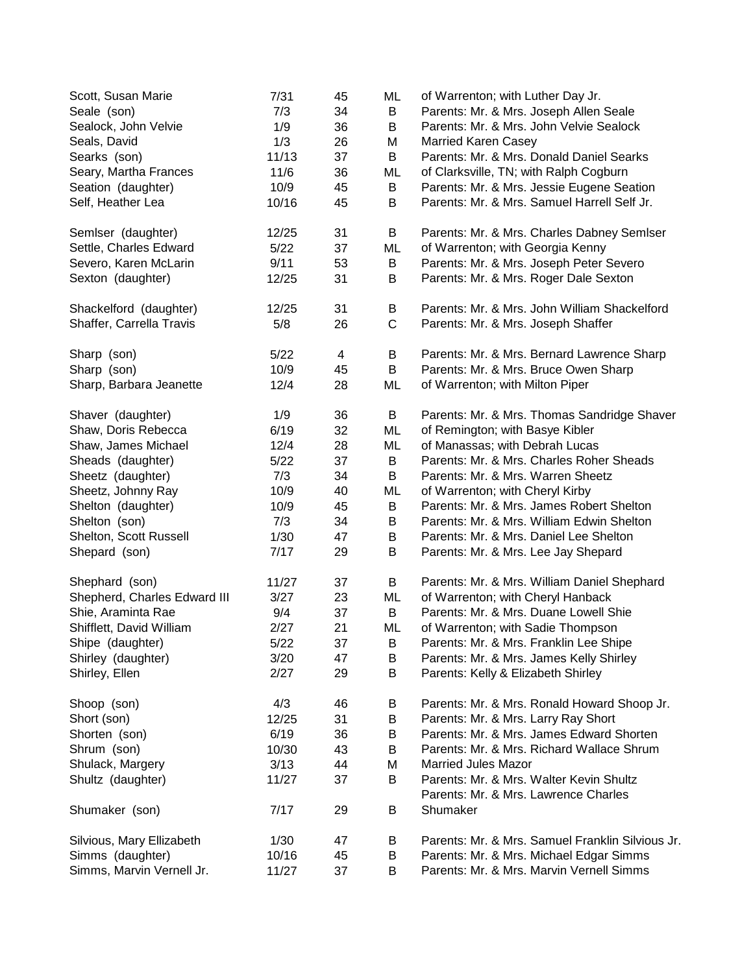| Scott, Susan Marie           | 7/31  | 45 | ML | of Warrenton; with Luther Day Jr.                |
|------------------------------|-------|----|----|--------------------------------------------------|
| Seale (son)                  | 7/3   | 34 | B  | Parents: Mr. & Mrs. Joseph Allen Seale           |
| Sealock, John Velvie         | 1/9   | 36 | B  | Parents: Mr. & Mrs. John Velvie Sealock          |
| Seals, David                 | 1/3   | 26 | M  | <b>Married Karen Casey</b>                       |
| Searks (son)                 | 11/13 | 37 | B  | Parents: Mr. & Mrs. Donald Daniel Searks         |
| Seary, Martha Frances        | 11/6  | 36 | ML | of Clarksville, TN; with Ralph Cogburn           |
| Seation (daughter)           | 10/9  | 45 | B  | Parents: Mr. & Mrs. Jessie Eugene Seation        |
| Self, Heather Lea            | 10/16 | 45 | B  | Parents: Mr. & Mrs. Samuel Harrell Self Jr.      |
| Semlser (daughter)           | 12/25 | 31 | B  | Parents: Mr. & Mrs. Charles Dabney Semlser       |
| Settle, Charles Edward       | 5/22  | 37 | ML | of Warrenton; with Georgia Kenny                 |
| Severo, Karen McLarin        | 9/11  | 53 | B  | Parents: Mr. & Mrs. Joseph Peter Severo          |
| Sexton (daughter)            | 12/25 | 31 | B  | Parents: Mr. & Mrs. Roger Dale Sexton            |
| Shackelford (daughter)       | 12/25 | 31 | B  | Parents: Mr. & Mrs. John William Shackelford     |
| Shaffer, Carrella Travis     | 5/8   | 26 | C  | Parents: Mr. & Mrs. Joseph Shaffer               |
| Sharp (son)                  | 5/22  | 4  | В  | Parents: Mr. & Mrs. Bernard Lawrence Sharp       |
| Sharp (son)                  | 10/9  | 45 | B  | Parents: Mr. & Mrs. Bruce Owen Sharp             |
| Sharp, Barbara Jeanette      | 12/4  | 28 | ML | of Warrenton; with Milton Piper                  |
| Shaver (daughter)            | 1/9   | 36 | B  | Parents: Mr. & Mrs. Thomas Sandridge Shaver      |
| Shaw, Doris Rebecca          | 6/19  | 32 | ML | of Remington; with Basye Kibler                  |
| Shaw, James Michael          | 12/4  | 28 | ML | of Manassas; with Debrah Lucas                   |
| Sheads (daughter)            | 5/22  | 37 | B  | Parents: Mr. & Mrs. Charles Roher Sheads         |
| Sheetz (daughter)            | 7/3   | 34 | B  | Parents: Mr. & Mrs. Warren Sheetz                |
| Sheetz, Johnny Ray           | 10/9  | 40 | ML | of Warrenton; with Cheryl Kirby                  |
| Shelton (daughter)           | 10/9  | 45 | B  | Parents: Mr. & Mrs. James Robert Shelton         |
| Shelton (son)                | 7/3   | 34 | B  | Parents: Mr. & Mrs. William Edwin Shelton        |
| Shelton, Scott Russell       | 1/30  | 47 | B  | Parents: Mr. & Mrs. Daniel Lee Shelton           |
| Shepard (son)                | 7/17  | 29 | B  | Parents: Mr. & Mrs. Lee Jay Shepard              |
| Shephard (son)               | 11/27 | 37 | B  | Parents: Mr. & Mrs. William Daniel Shephard      |
| Shepherd, Charles Edward III | 3/27  | 23 | ML | of Warrenton; with Cheryl Hanback                |
| Shie, Araminta Rae           | 9/4   | 37 | B  | Parents: Mr. & Mrs. Duane Lowell Shie            |
| Shifflett, David William     | 2/27  | 21 | ML | of Warrenton; with Sadie Thompson                |
| Shipe (daughter)             | 5/22  | 37 | В  | Parents: Mr. & Mrs. Franklin Lee Shipe           |
| Shirley (daughter)           | 3/20  | 47 | B  | Parents: Mr. & Mrs. James Kelly Shirley          |
| Shirley, Ellen               | 2/27  | 29 | B  | Parents: Kelly & Elizabeth Shirley               |
| Shoop (son)                  | 4/3   | 46 | В  | Parents: Mr. & Mrs. Ronald Howard Shoop Jr.      |
| Short (son)                  | 12/25 | 31 | В  | Parents: Mr. & Mrs. Larry Ray Short              |
| Shorten (son)                | 6/19  | 36 | B  | Parents: Mr. & Mrs. James Edward Shorten         |
| Shrum (son)                  | 10/30 | 43 | B  | Parents: Mr. & Mrs. Richard Wallace Shrum        |
| Shulack, Margery             | 3/13  | 44 | M  | <b>Married Jules Mazor</b>                       |
| Shultz (daughter)            | 11/27 | 37 | B  | Parents: Mr. & Mrs. Walter Kevin Shultz          |
|                              |       |    |    | Parents: Mr. & Mrs. Lawrence Charles             |
| Shumaker (son)               | 7/17  | 29 | B  | Shumaker                                         |
| Silvious, Mary Ellizabeth    | 1/30  | 47 | B  | Parents: Mr. & Mrs. Samuel Franklin Silvious Jr. |
| Simms (daughter)             | 10/16 | 45 | B  | Parents: Mr. & Mrs. Michael Edgar Simms          |
| Simms, Marvin Vernell Jr.    | 11/27 | 37 | B  | Parents: Mr. & Mrs. Marvin Vernell Simms         |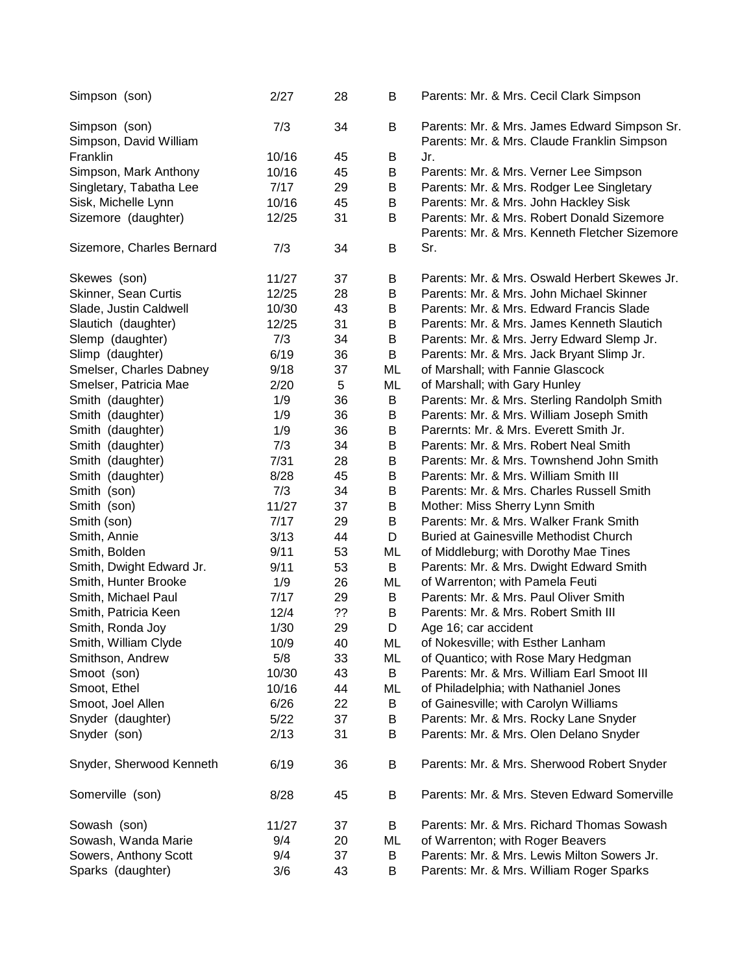| Simpson (son)                           | 2/27  | 28 | B  | Parents: Mr. & Mrs. Cecil Clark Simpson                                                     |
|-----------------------------------------|-------|----|----|---------------------------------------------------------------------------------------------|
| Simpson (son)<br>Simpson, David William | 7/3   | 34 | B  | Parents: Mr. & Mrs. James Edward Simpson Sr.<br>Parents: Mr. & Mrs. Claude Franklin Simpson |
| Franklin                                | 10/16 | 45 | B  | Jr.                                                                                         |
| Simpson, Mark Anthony                   | 10/16 | 45 | B  | Parents: Mr. & Mrs. Verner Lee Simpson                                                      |
| Singletary, Tabatha Lee                 | 7/17  | 29 | B  | Parents: Mr. & Mrs. Rodger Lee Singletary                                                   |
| Sisk, Michelle Lynn                     | 10/16 | 45 | В  | Parents: Mr. & Mrs. John Hackley Sisk                                                       |
| Sizemore (daughter)                     | 12/25 | 31 | B  | Parents: Mr. & Mrs. Robert Donald Sizemore                                                  |
|                                         |       |    |    | Parents: Mr. & Mrs. Kenneth Fletcher Sizemore                                               |
| Sizemore, Charles Bernard               | 7/3   | 34 | B  | Sr.                                                                                         |
| Skewes (son)                            | 11/27 | 37 | В  | Parents: Mr. & Mrs. Oswald Herbert Skewes Jr.                                               |
| Skinner, Sean Curtis                    | 12/25 | 28 | B  | Parents: Mr. & Mrs. John Michael Skinner                                                    |
| Slade, Justin Caldwell                  | 10/30 | 43 | B  | Parents: Mr. & Mrs. Edward Francis Slade                                                    |
| Slautich (daughter)                     | 12/25 | 31 | B  | Parents: Mr. & Mrs. James Kenneth Slautich                                                  |
| Slemp (daughter)                        | 7/3   | 34 | B  | Parents: Mr. & Mrs. Jerry Edward Slemp Jr.                                                  |
| Slimp (daughter)                        | 6/19  | 36 | B  | Parents: Mr. & Mrs. Jack Bryant Slimp Jr.                                                   |
| Smelser, Charles Dabney                 | 9/18  | 37 | ML | of Marshall; with Fannie Glascock                                                           |
| Smelser, Patricia Mae                   | 2/20  | 5  | ML | of Marshall; with Gary Hunley                                                               |
| Smith (daughter)                        | 1/9   | 36 | B  | Parents: Mr. & Mrs. Sterling Randolph Smith                                                 |
| Smith (daughter)                        | 1/9   | 36 | B  | Parents: Mr. & Mrs. William Joseph Smith                                                    |
| Smith (daughter)                        | 1/9   | 36 | B  | Parernts: Mr. & Mrs. Everett Smith Jr.                                                      |
| Smith (daughter)                        | 7/3   | 34 | B  | Parents: Mr. & Mrs. Robert Neal Smith                                                       |
| Smith (daughter)                        | 7/31  | 28 | B  | Parents: Mr. & Mrs. Townshend John Smith                                                    |
| Smith (daughter)                        | 8/28  | 45 | B  | Parents: Mr. & Mrs. William Smith III                                                       |
| Smith (son)                             | 7/3   | 34 | B  | Parents: Mr. & Mrs. Charles Russell Smith                                                   |
| Smith (son)                             | 11/27 | 37 | B  | Mother: Miss Sherry Lynn Smith                                                              |
| Smith (son)                             | 7/17  | 29 | B  | Parents: Mr. & Mrs. Walker Frank Smith                                                      |
| Smith, Annie                            | 3/13  | 44 | D  | <b>Buried at Gainesville Methodist Church</b>                                               |
| Smith, Bolden                           | 9/11  | 53 | ML | of Middleburg; with Dorothy Mae Tines                                                       |
| Smith, Dwight Edward Jr.                | 9/11  | 53 | B  | Parents: Mr. & Mrs. Dwight Edward Smith                                                     |
| Smith, Hunter Brooke                    | 1/9   | 26 | ML | of Warrenton; with Pamela Feuti                                                             |
| Smith, Michael Paul                     | 7/17  | 29 | B  | Parents: Mr. & Mrs. Paul Oliver Smith                                                       |
| Smith, Patricia Keen                    | 12/4  | ?? | B  | Parents: Mr. & Mrs. Robert Smith III                                                        |
| Smith, Ronda Joy                        | 1/30  | 29 | D  | Age 16; car accident                                                                        |
| Smith, William Clyde                    | 10/9  | 40 | ML | of Nokesville; with Esther Lanham                                                           |
| Smithson, Andrew                        | 5/8   | 33 | ML | of Quantico; with Rose Mary Hedgman                                                         |
| Smoot (son)                             | 10/30 | 43 | B  | Parents: Mr. & Mrs. William Earl Smoot III                                                  |
| Smoot, Ethel                            | 10/16 | 44 | ML | of Philadelphia; with Nathaniel Jones                                                       |
| Smoot, Joel Allen                       | 6/26  | 22 | B  | of Gainesville; with Carolyn Williams                                                       |
| Snyder (daughter)                       | 5/22  | 37 | В  | Parents: Mr. & Mrs. Rocky Lane Snyder                                                       |
| Snyder (son)                            | 2/13  | 31 | B  | Parents: Mr. & Mrs. Olen Delano Snyder                                                      |
| Snyder, Sherwood Kenneth                | 6/19  | 36 | B  | Parents: Mr. & Mrs. Sherwood Robert Snyder                                                  |
| Somerville (son)                        | 8/28  | 45 | В  | Parents: Mr. & Mrs. Steven Edward Somerville                                                |
| Sowash (son)                            | 11/27 | 37 | B  | Parents: Mr. & Mrs. Richard Thomas Sowash                                                   |
| Sowash, Wanda Marie                     | 9/4   | 20 | ML | of Warrenton; with Roger Beavers                                                            |
| Sowers, Anthony Scott                   | 9/4   | 37 | В  | Parents: Mr. & Mrs. Lewis Milton Sowers Jr.                                                 |
| Sparks (daughter)                       | 3/6   | 43 | B  | Parents: Mr. & Mrs. William Roger Sparks                                                    |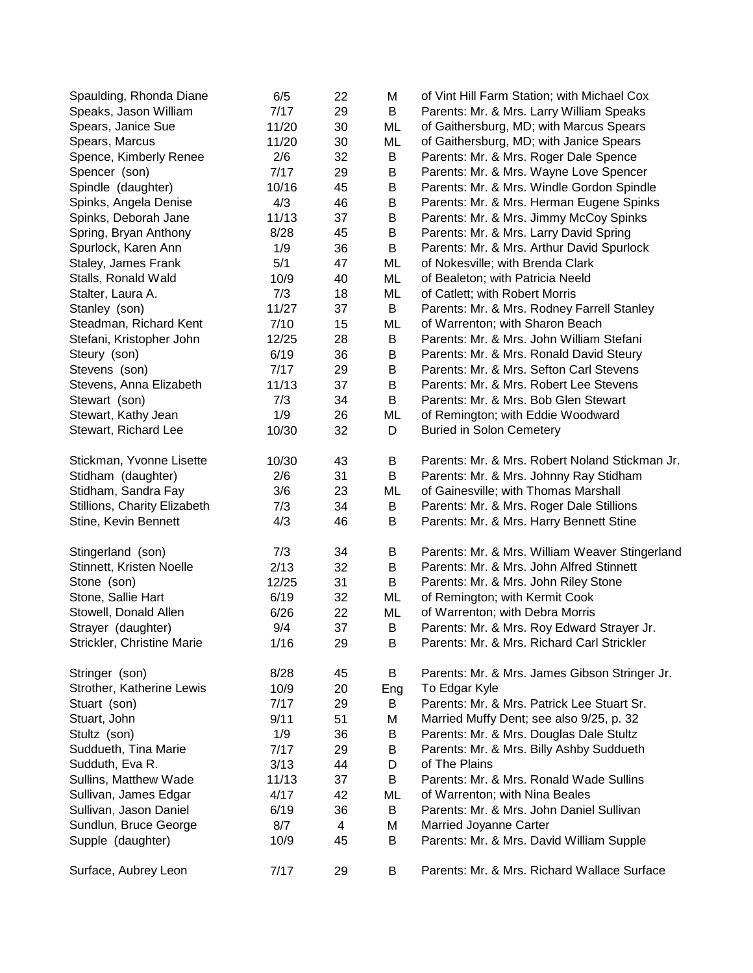| Spaulding, Rhonda Diane      | 6/5   | 22             | M   | of Vint Hill Farm Station; with Michael Cox    |
|------------------------------|-------|----------------|-----|------------------------------------------------|
| Speaks, Jason William        | 7/17  | 29             | B   | Parents: Mr. & Mrs. Larry William Speaks       |
| Spears, Janice Sue           | 11/20 | 30             | ML  | of Gaithersburg, MD; with Marcus Spears        |
| Spears, Marcus               | 11/20 | 30             | ML  | of Gaithersburg, MD; with Janice Spears        |
| Spence, Kimberly Renee       | 2/6   | 32             | B   | Parents: Mr. & Mrs. Roger Dale Spence          |
| Spencer (son)                | 7/17  | 29             | B   | Parents: Mr. & Mrs. Wayne Love Spencer         |
| Spindle (daughter)           | 10/16 | 45             | B   | Parents: Mr. & Mrs. Windle Gordon Spindle      |
| Spinks, Angela Denise        | 4/3   | 46             | B   | Parents: Mr. & Mrs. Herman Eugene Spinks       |
| Spinks, Deborah Jane         | 11/13 | 37             | B   | Parents: Mr. & Mrs. Jimmy McCoy Spinks         |
| Spring, Bryan Anthony        | 8/28  | 45             | B   | Parents: Mr. & Mrs. Larry David Spring         |
| Spurlock, Karen Ann          | 1/9   | 36             | B   | Parents: Mr. & Mrs. Arthur David Spurlock      |
| Staley, James Frank          | 5/1   | 47             | ML  | of Nokesville; with Brenda Clark               |
| Stalls, Ronald Wald          | 10/9  | 40             | ML  | of Bealeton; with Patricia Neeld               |
| Stalter, Laura A.            | 7/3   | 18             | ML  | of Catlett; with Robert Morris                 |
| Stanley (son)                | 11/27 | 37             | B   | Parents: Mr. & Mrs. Rodney Farrell Stanley     |
| Steadman, Richard Kent       | 7/10  | 15             | ML  | of Warrenton; with Sharon Beach                |
| Stefani, Kristopher John     | 12/25 | 28             | B   | Parents: Mr. & Mrs. John William Stefani       |
| Steury (son)                 | 6/19  | 36             | B   | Parents: Mr. & Mrs. Ronald David Steury        |
| Stevens (son)                | 7/17  | 29             | B   | Parents: Mr. & Mrs. Sefton Carl Stevens        |
| Stevens, Anna Elizabeth      | 11/13 | 37             | B   | Parents: Mr. & Mrs. Robert Lee Stevens         |
| Stewart (son)                | 7/3   | 34             | B   | Parents: Mr. & Mrs. Bob Glen Stewart           |
| Stewart, Kathy Jean          | 1/9   | 26             | ML  | of Remington; with Eddie Woodward              |
| Stewart, Richard Lee         | 10/30 | 32             | D   | <b>Buried in Solon Cemetery</b>                |
|                              |       |                |     |                                                |
| Stickman, Yvonne Lisette     | 10/30 | 43             | B   | Parents: Mr. & Mrs. Robert Noland Stickman Jr. |
| Stidham (daughter)           | 2/6   | 31             | B   | Parents: Mr. & Mrs. Johnny Ray Stidham         |
| Stidham, Sandra Fay          | 3/6   | 23             | ML  | of Gainesville; with Thomas Marshall           |
| Stillions, Charity Elizabeth | 7/3   | 34             | B   | Parents: Mr. & Mrs. Roger Dale Stillions       |
| Stine, Kevin Bennett         | 4/3   | 46             | B   | Parents: Mr. & Mrs. Harry Bennett Stine        |
| Stingerland (son)            | 7/3   | 34             | B   | Parents: Mr. & Mrs. William Weaver Stingerland |
| Stinnett, Kristen Noelle     | 2/13  | 32             | B   | Parents: Mr. & Mrs. John Alfred Stinnett       |
| Stone (son)                  | 12/25 | 31             | B   | Parents: Mr. & Mrs. John Riley Stone           |
| Stone, Sallie Hart           | 6/19  | 32             | ML  | of Remington; with Kermit Cook                 |
| Stowell, Donald Allen        | 6/26  | 22             | ML  | of Warrenton; with Debra Morris                |
| Strayer (daughter)           | 9/4   | 37             | B   | Parents: Mr. & Mrs. Roy Edward Strayer Jr.     |
| Strickler, Christine Marie   | 1/16  | 29             | B   | Parents: Mr. & Mrs. Richard Carl Strickler     |
| Stringer (son)               | 8/28  | 45             | B   | Parents: Mr. & Mrs. James Gibson Stringer Jr.  |
| Strother, Katherine Lewis    | 10/9  | 20             | Eng | To Edgar Kyle                                  |
| Stuart (son)                 | 7/17  | 29             | B   | Parents: Mr. & Mrs. Patrick Lee Stuart Sr.     |
| Stuart, John                 | 9/11  | 51             | Μ   | Married Muffy Dent; see also 9/25, p. 32       |
| Stultz (son)                 | 1/9   | 36             | B   | Parents: Mr. & Mrs. Douglas Dale Stultz        |
| Suddueth, Tina Marie         | 7/17  | 29             | B   | Parents: Mr. & Mrs. Billy Ashby Suddueth       |
| Sudduth, Eva R.              | 3/13  | 44             | D   | of The Plains                                  |
| Sullins, Matthew Wade        | 11/13 | 37             | B   | Parents: Mr. & Mrs. Ronald Wade Sullins        |
| Sullivan, James Edgar        | 4/17  | 42             | ML  | of Warrenton; with Nina Beales                 |
| Sullivan, Jason Daniel       | 6/19  |                | B   | Parents: Mr. & Mrs. John Daniel Sullivan       |
|                              |       | 36             |     |                                                |
| Sundlun, Bruce George        | 8/7   | $\overline{4}$ | Μ   | Married Joyanne Carter                         |
| Supple (daughter)            | 10/9  | 45             | B   | Parents: Mr. & Mrs. David William Supple       |
| Surface, Aubrey Leon         | 7/17  | 29             | B   | Parents: Mr. & Mrs. Richard Wallace Surface    |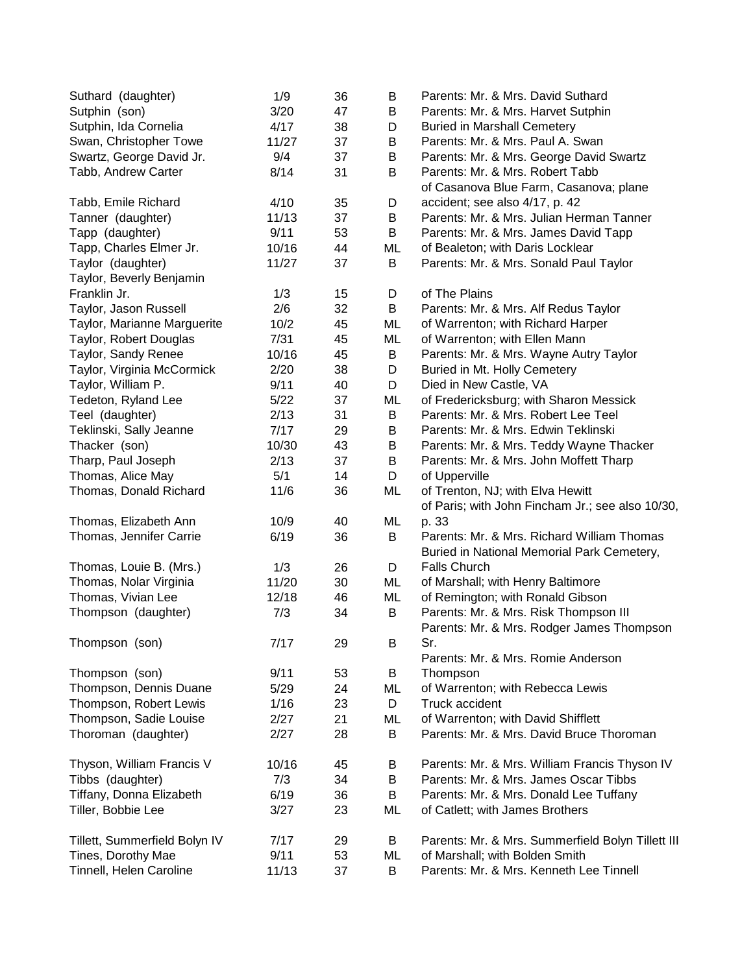| Suthard (daughter)            | 1/9   | 36 | B       | Parents: Mr. & Mrs. David Suthard                 |
|-------------------------------|-------|----|---------|---------------------------------------------------|
| Sutphin (son)                 | 3/20  | 47 | B       | Parents: Mr. & Mrs. Harvet Sutphin                |
| Sutphin, Ida Cornelia         | 4/17  | 38 | D       | <b>Buried in Marshall Cemetery</b>                |
| Swan, Christopher Towe        | 11/27 | 37 | B       | Parents: Mr. & Mrs. Paul A. Swan                  |
| Swartz, George David Jr.      | 9/4   | 37 | B       | Parents: Mr. & Mrs. George David Swartz           |
| Tabb, Andrew Carter           | 8/14  | 31 | B       | Parents: Mr. & Mrs. Robert Tabb                   |
|                               |       |    |         | of Casanova Blue Farm, Casanova; plane            |
| Tabb, Emile Richard           | 4/10  | 35 | D       | accident; see also 4/17, p. 42                    |
| Tanner (daughter)             | 11/13 | 37 | $\sf B$ | Parents: Mr. & Mrs. Julian Herman Tanner          |
| Tapp (daughter)               | 9/11  | 53 | B       | Parents: Mr. & Mrs. James David Tapp              |
| Tapp, Charles Elmer Jr.       | 10/16 | 44 | ML      | of Bealeton; with Daris Locklear                  |
| Taylor (daughter)             | 11/27 | 37 | B       | Parents: Mr. & Mrs. Sonald Paul Taylor            |
| Taylor, Beverly Benjamin      |       |    |         |                                                   |
| Franklin Jr.                  | 1/3   | 15 | D       | of The Plains                                     |
| Taylor, Jason Russell         | 2/6   | 32 | B       | Parents: Mr. & Mrs. Alf Redus Taylor              |
| Taylor, Marianne Marguerite   | 10/2  | 45 | ML      | of Warrenton; with Richard Harper                 |
| Taylor, Robert Douglas        | 7/31  | 45 | ML      | of Warrenton; with Ellen Mann                     |
| Taylor, Sandy Renee           | 10/16 | 45 | B       | Parents: Mr. & Mrs. Wayne Autry Taylor            |
| Taylor, Virginia McCormick    | 2/20  | 38 | D       | Buried in Mt. Holly Cemetery                      |
| Taylor, William P.            | 9/11  | 40 | D       | Died in New Castle, VA                            |
| Tedeton, Ryland Lee           | 5/22  | 37 | ML      | of Fredericksburg; with Sharon Messick            |
| Teel (daughter)               | 2/13  | 31 | B       | Parents: Mr. & Mrs. Robert Lee Teel               |
| Teklinski, Sally Jeanne       | 7/17  | 29 | B       | Parents: Mr. & Mrs. Edwin Teklinski               |
| Thacker (son)                 | 10/30 | 43 | B       | Parents: Mr. & Mrs. Teddy Wayne Thacker           |
| Tharp, Paul Joseph            | 2/13  | 37 | B       | Parents: Mr. & Mrs. John Moffett Tharp            |
| Thomas, Alice May             | 5/1   | 14 | D       | of Upperville                                     |
| Thomas, Donald Richard        | 11/6  | 36 | ML      | of Trenton, NJ; with Elva Hewitt                  |
|                               |       |    |         | of Paris; with John Fincham Jr.; see also 10/30,  |
| Thomas, Elizabeth Ann         | 10/9  | 40 | ML      | p. 33                                             |
| Thomas, Jennifer Carrie       | 6/19  | 36 | B       | Parents: Mr. & Mrs. Richard William Thomas        |
|                               |       |    |         | Buried in National Memorial Park Cemetery,        |
| Thomas, Louie B. (Mrs.)       | 1/3   | 26 | D       | <b>Falls Church</b>                               |
| Thomas, Nolar Virginia        | 11/20 | 30 | ML      | of Marshall; with Henry Baltimore                 |
| Thomas, Vivian Lee            | 12/18 | 46 | ML      | of Remington; with Ronald Gibson                  |
| Thompson (daughter)           | 7/3   | 34 | B       | Parents: Mr. & Mrs. Risk Thompson III             |
|                               |       |    |         | Parents: Mr. & Mrs. Rodger James Thompson         |
| Thompson (son)                | 7/17  | 29 | B       | Sr.                                               |
|                               |       |    |         | Parents: Mr. & Mrs. Romie Anderson                |
| Thompson (son)                | 9/11  | 53 | B       | Thompson                                          |
| Thompson, Dennis Duane        | 5/29  | 24 | ML      | of Warrenton; with Rebecca Lewis                  |
| Thompson, Robert Lewis        | 1/16  | 23 | D       | Truck accident                                    |
| Thompson, Sadie Louise        | 2/27  | 21 | ML      | of Warrenton; with David Shifflett                |
| Thoroman (daughter)           | 2/27  | 28 | B       | Parents: Mr. & Mrs. David Bruce Thoroman          |
| Thyson, William Francis V     | 10/16 | 45 | В       | Parents: Mr. & Mrs. William Francis Thyson IV     |
| Tibbs (daughter)              | 7/3   | 34 | B       | Parents: Mr. & Mrs. James Oscar Tibbs             |
| Tiffany, Donna Elizabeth      | 6/19  | 36 | B       | Parents: Mr. & Mrs. Donald Lee Tuffany            |
| Tiller, Bobbie Lee            | 3/27  | 23 | ML      | of Catlett; with James Brothers                   |
| Tillett, Summerfield Bolyn IV | 7/17  | 29 | B       | Parents: Mr. & Mrs. Summerfield Bolyn Tillett III |
| Tines, Dorothy Mae            | 9/11  | 53 | ML      | of Marshall; with Bolden Smith                    |
| Tinnell, Helen Caroline       | 11/13 | 37 | B       | Parents: Mr. & Mrs. Kenneth Lee Tinnell           |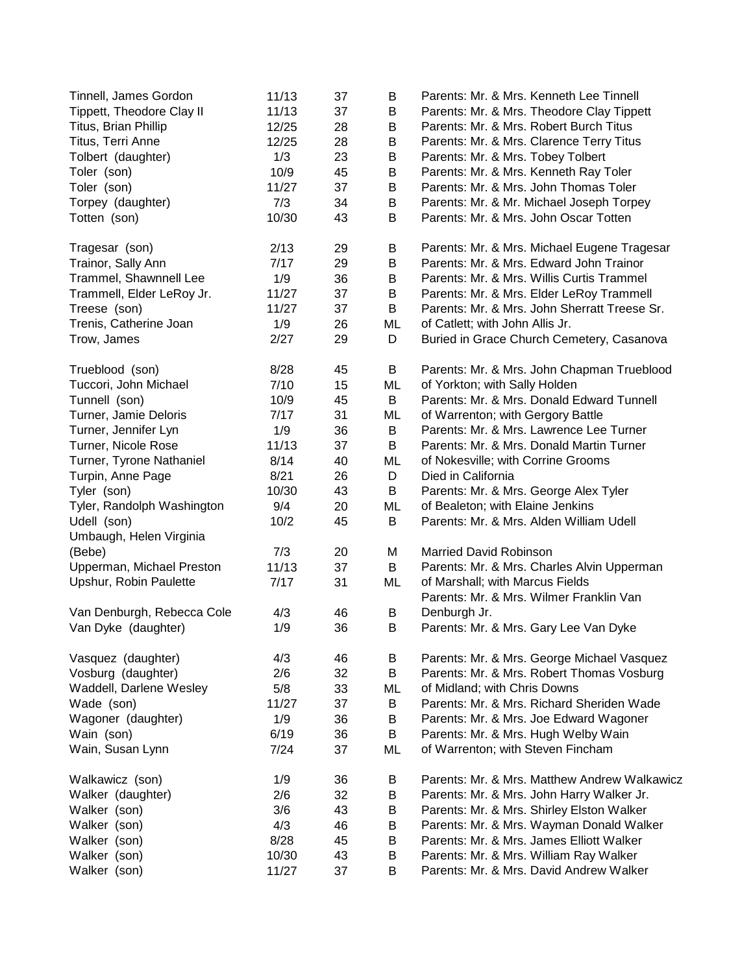| Tinnell, James Gordon      | 11/13 | 37 | B  | Parents: Mr. & Mrs. Kenneth Lee Tinnell      |
|----------------------------|-------|----|----|----------------------------------------------|
| Tippett, Theodore Clay II  | 11/13 | 37 | B  | Parents: Mr. & Mrs. Theodore Clay Tippett    |
| Titus, Brian Phillip       | 12/25 | 28 | B  | Parents: Mr. & Mrs. Robert Burch Titus       |
| Titus, Terri Anne          | 12/25 | 28 | B  | Parents: Mr. & Mrs. Clarence Terry Titus     |
| Tolbert (daughter)         | 1/3   | 23 | В  | Parents: Mr. & Mrs. Tobey Tolbert            |
| Toler (son)                | 10/9  | 45 | B  | Parents: Mr. & Mrs. Kenneth Ray Toler        |
| Toler (son)                | 11/27 | 37 | B  | Parents: Mr. & Mrs. John Thomas Toler        |
| Torpey (daughter)          | 7/3   | 34 | B  | Parents: Mr. & Mr. Michael Joseph Torpey     |
| Totten (son)               | 10/30 | 43 | B  | Parents: Mr. & Mrs. John Oscar Totten        |
| Tragesar (son)             | 2/13  | 29 | B  | Parents: Mr. & Mrs. Michael Eugene Tragesar  |
| Trainor, Sally Ann         | 7/17  | 29 | B  | Parents: Mr. & Mrs. Edward John Trainor      |
| Trammel, Shawnnell Lee     | 1/9   | 36 | B  | Parents: Mr. & Mrs. Willis Curtis Trammel    |
| Trammell, Elder LeRoy Jr.  | 11/27 | 37 | B  | Parents: Mr. & Mrs. Elder LeRoy Trammell     |
| Treese (son)               | 11/27 | 37 | B  | Parents: Mr. & Mrs. John Sherratt Treese Sr. |
| Trenis, Catherine Joan     | 1/9   | 26 | ML | of Catlett; with John Allis Jr.              |
| Trow, James                | 2/27  | 29 | D  | Buried in Grace Church Cemetery, Casanova    |
| Trueblood (son)            | 8/28  | 45 | B  | Parents: Mr. & Mrs. John Chapman Trueblood   |
| Tuccori, John Michael      | 7/10  | 15 | ML | of Yorkton; with Sally Holden                |
| Tunnell (son)              | 10/9  | 45 | B  | Parents: Mr. & Mrs. Donald Edward Tunnell    |
| Turner, Jamie Deloris      | 7/17  | 31 | ML | of Warrenton; with Gergory Battle            |
| Turner, Jennifer Lyn       | 1/9   | 36 | B  | Parents: Mr. & Mrs. Lawrence Lee Turner      |
| Turner, Nicole Rose        | 11/13 | 37 | B  | Parents: Mr. & Mrs. Donald Martin Turner     |
| Turner, Tyrone Nathaniel   | 8/14  | 40 | ML | of Nokesville; with Corrine Grooms           |
| Turpin, Anne Page          | 8/21  | 26 | D  | Died in California                           |
| Tyler (son)                | 10/30 | 43 | B  | Parents: Mr. & Mrs. George Alex Tyler        |
| Tyler, Randolph Washington | 9/4   | 20 | ML | of Bealeton; with Elaine Jenkins             |
| Udell (son)                | 10/2  | 45 | B  | Parents: Mr. & Mrs. Alden William Udell      |
| Umbaugh, Helen Virginia    |       |    |    |                                              |
| (Bebe)                     | 7/3   | 20 | M  | <b>Married David Robinson</b>                |
| Upperman, Michael Preston  | 11/13 | 37 | B  | Parents: Mr. & Mrs. Charles Alvin Upperman   |
| Upshur, Robin Paulette     | 7/17  | 31 | ML | of Marshall; with Marcus Fields              |
|                            |       |    |    | Parents: Mr. & Mrs. Wilmer Franklin Van      |
| Van Denburgh, Rebecca Cole | 4/3   | 46 | B  | Denburgh Jr.                                 |
| Van Dyke (daughter)        | 1/9   | 36 | B  | Parents: Mr. & Mrs. Gary Lee Van Dyke        |
| Vasquez (daughter)         | 4/3   | 46 | B  | Parents: Mr. & Mrs. George Michael Vasquez   |
| Vosburg (daughter)         | 2/6   | 32 | B  | Parents: Mr. & Mrs. Robert Thomas Vosburg    |
| Waddell, Darlene Wesley    | 5/8   | 33 | ML | of Midland; with Chris Downs                 |
| Wade (son)                 | 11/27 | 37 | B  | Parents: Mr. & Mrs. Richard Sheriden Wade    |
| Wagoner (daughter)         | 1/9   | 36 | B  | Parents: Mr. & Mrs. Joe Edward Wagoner       |
| Wain (son)                 | 6/19  | 36 | B  | Parents: Mr. & Mrs. Hugh Welby Wain          |
| Wain, Susan Lynn           | 7/24  | 37 | ML | of Warrenton; with Steven Fincham            |
|                            |       |    |    |                                              |
| Walkawicz (son)            | 1/9   | 36 | В  | Parents: Mr. & Mrs. Matthew Andrew Walkawicz |
| Walker (daughter)          | 2/6   | 32 | B  | Parents: Mr. & Mrs. John Harry Walker Jr.    |
| Walker (son)               | 3/6   | 43 | B  | Parents: Mr. & Mrs. Shirley Elston Walker    |
| Walker (son)               | 4/3   | 46 | B  | Parents: Mr. & Mrs. Wayman Donald Walker     |
| Walker (son)               | 8/28  | 45 | B  | Parents: Mr. & Mrs. James Elliott Walker     |
| Walker (son)               | 10/30 | 43 | B  | Parents: Mr. & Mrs. William Ray Walker       |
| Walker (son)               | 11/27 | 37 | B  | Parents: Mr. & Mrs. David Andrew Walker      |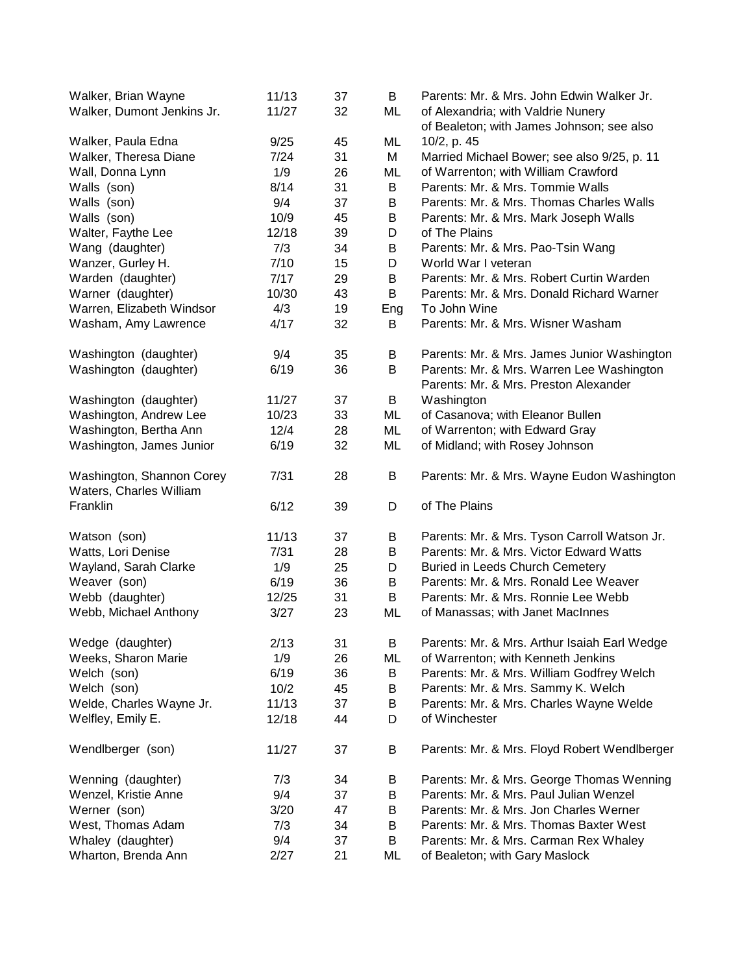| Walker, Brian Wayne        | 11/13 | 37 | B   | Parents: Mr. & Mrs. John Edwin Walker Jr.    |
|----------------------------|-------|----|-----|----------------------------------------------|
| Walker, Dumont Jenkins Jr. | 11/27 | 32 | ML  | of Alexandria; with Valdrie Nunery           |
|                            |       |    |     | of Bealeton; with James Johnson; see also    |
| Walker, Paula Edna         | 9/25  | 45 | ML  | 10/2, p. 45                                  |
| Walker, Theresa Diane      | 7/24  | 31 | M   | Married Michael Bower; see also 9/25, p. 11  |
| Wall, Donna Lynn           | 1/9   | 26 | ML  | of Warrenton; with William Crawford          |
| Walls (son)                | 8/14  | 31 | B   | Parents: Mr. & Mrs. Tommie Walls             |
| Walls (son)                | 9/4   | 37 | B   | Parents: Mr. & Mrs. Thomas Charles Walls     |
| Walls (son)                | 10/9  | 45 | B   | Parents: Mr. & Mrs. Mark Joseph Walls        |
| Walter, Faythe Lee         | 12/18 | 39 | D   | of The Plains                                |
| Wang (daughter)            | 7/3   | 34 | B   | Parents: Mr. & Mrs. Pao-Tsin Wang            |
| Wanzer, Gurley H.          | 7/10  | 15 | D   | World War I veteran                          |
| Warden (daughter)          | 7/17  | 29 | В   | Parents: Mr. & Mrs. Robert Curtin Warden     |
| Warner (daughter)          | 10/30 | 43 | B   | Parents: Mr. & Mrs. Donald Richard Warner    |
| Warren, Elizabeth Windsor  | 4/3   | 19 | Eng | To John Wine                                 |
| Washam, Amy Lawrence       | 4/17  | 32 | B   | Parents: Mr. & Mrs. Wisner Washam            |
| Washington (daughter)      | 9/4   | 35 | В   | Parents: Mr. & Mrs. James Junior Washington  |
| Washington (daughter)      | 6/19  | 36 | B   | Parents: Mr. & Mrs. Warren Lee Washington    |
|                            |       |    |     | Parents: Mr. & Mrs. Preston Alexander        |
| Washington (daughter)      | 11/27 | 37 | B   | Washington                                   |
| Washington, Andrew Lee     | 10/23 | 33 | ML  | of Casanova; with Eleanor Bullen             |
| Washington, Bertha Ann     | 12/4  | 28 | ML  | of Warrenton; with Edward Gray               |
| Washington, James Junior   | 6/19  | 32 | ML  | of Midland; with Rosey Johnson               |
| Washington, Shannon Corey  | 7/31  | 28 | B   | Parents: Mr. & Mrs. Wayne Eudon Washington   |
| Waters, Charles William    |       |    |     |                                              |
| Franklin                   | 6/12  | 39 | D   | of The Plains                                |
| Watson (son)               | 11/13 | 37 | B   | Parents: Mr. & Mrs. Tyson Carroll Watson Jr. |
| Watts, Lori Denise         | 7/31  | 28 | B   | Parents: Mr. & Mrs. Victor Edward Watts      |
| Wayland, Sarah Clarke      | 1/9   | 25 | D   | <b>Buried in Leeds Church Cemetery</b>       |
| Weaver (son)               | 6/19  | 36 | B   | Parents: Mr. & Mrs. Ronald Lee Weaver        |
| Webb (daughter)            | 12/25 | 31 | B   | Parents: Mr. & Mrs. Ronnie Lee Webb          |
| Webb, Michael Anthony      | 3/27  | 23 | ML  | of Manassas; with Janet MacInnes             |
| Wedge (daughter)           | 2/13  | 31 | В   | Parents: Mr. & Mrs. Arthur Isaiah Earl Wedge |
| Weeks, Sharon Marie        | 1/9   | 26 | ML  | of Warrenton; with Kenneth Jenkins           |
| Welch (son)                | 6/19  | 36 | В   | Parents: Mr. & Mrs. William Godfrey Welch    |
| Welch (son)                | 10/2  | 45 | B   | Parents: Mr. & Mrs. Sammy K. Welch           |
| Welde, Charles Wayne Jr.   | 11/13 | 37 | B   | Parents: Mr. & Mrs. Charles Wayne Welde      |
| Welfley, Emily E.          | 12/18 | 44 | D   | of Winchester                                |
| Wendlberger (son)          | 11/27 | 37 | B   | Parents: Mr. & Mrs. Floyd Robert Wendlberger |
| Wenning (daughter)         | 7/3   | 34 | В   | Parents: Mr. & Mrs. George Thomas Wenning    |
| Wenzel, Kristie Anne       | 9/4   | 37 | B   | Parents: Mr. & Mrs. Paul Julian Wenzel       |
| Werner (son)               | 3/20  | 47 | B   | Parents: Mr. & Mrs. Jon Charles Werner       |
| West, Thomas Adam          | 7/3   | 34 | B   | Parents: Mr. & Mrs. Thomas Baxter West       |
| Whaley (daughter)          | 9/4   | 37 | B   | Parents: Mr. & Mrs. Carman Rex Whaley        |
| Wharton, Brenda Ann        | 2/27  | 21 | ML  | of Bealeton; with Gary Maslock               |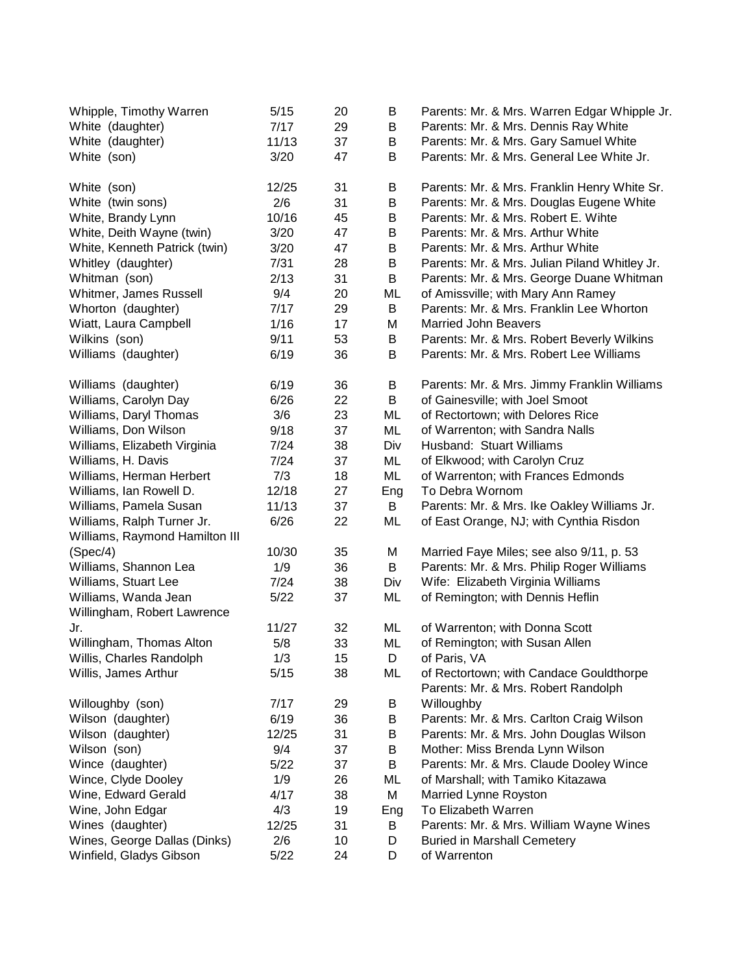| Whipple, Timothy Warren        | 5/15  | 20 | B   | Parents: Mr. & Mrs. Warren Edgar Whipple Jr.  |
|--------------------------------|-------|----|-----|-----------------------------------------------|
| White (daughter)               | 7/17  | 29 | B   | Parents: Mr. & Mrs. Dennis Ray White          |
| White (daughter)               | 11/13 | 37 | B   | Parents: Mr. & Mrs. Gary Samuel White         |
| White (son)                    | 3/20  | 47 | В   | Parents: Mr. & Mrs. General Lee White Jr.     |
| White (son)                    | 12/25 | 31 | В   | Parents: Mr. & Mrs. Franklin Henry White Sr.  |
| White (twin sons)              | 2/6   | 31 | B   | Parents: Mr. & Mrs. Douglas Eugene White      |
| White, Brandy Lynn             | 10/16 | 45 | B   | Parents: Mr. & Mrs. Robert E. Wihte           |
| White, Deith Wayne (twin)      | 3/20  | 47 | Β   | Parents: Mr. & Mrs. Arthur White              |
| White, Kenneth Patrick (twin)  | 3/20  | 47 | B   | Parents: Mr. & Mrs. Arthur White              |
| Whitley (daughter)             | 7/31  | 28 | B   | Parents: Mr. & Mrs. Julian Piland Whitley Jr. |
| Whitman (son)                  | 2/13  | 31 | B   | Parents: Mr. & Mrs. George Duane Whitman      |
| Whitmer, James Russell         | 9/4   | 20 | ML  | of Amissville; with Mary Ann Ramey            |
| Whorton (daughter)             | 7/17  | 29 | B   | Parents: Mr. & Mrs. Franklin Lee Whorton      |
| Wiatt, Laura Campbell          | 1/16  | 17 | M   | <b>Married John Beavers</b>                   |
| Wilkins (son)                  | 9/11  | 53 | B   | Parents: Mr. & Mrs. Robert Beverly Wilkins    |
| Williams (daughter)            | 6/19  | 36 | В   | Parents: Mr. & Mrs. Robert Lee Williams       |
| Williams (daughter)            | 6/19  | 36 | B   | Parents: Mr. & Mrs. Jimmy Franklin Williams   |
| Williams, Carolyn Day          | 6/26  | 22 | B   | of Gainesville; with Joel Smoot               |
| Williams, Daryl Thomas         | 3/6   | 23 | ML  | of Rectortown; with Delores Rice              |
| Williams, Don Wilson           | 9/18  | 37 | ML  | of Warrenton; with Sandra Nalls               |
| Williams, Elizabeth Virginia   | 7/24  | 38 | Div | Husband: Stuart Williams                      |
| Williams, H. Davis             | 7/24  | 37 | ML  | of Elkwood; with Carolyn Cruz                 |
| Williams, Herman Herbert       | 7/3   | 18 | ML  | of Warrenton; with Frances Edmonds            |
| Williams, Ian Rowell D.        | 12/18 | 27 | Eng | To Debra Wornom                               |
| Williams, Pamela Susan         | 11/13 | 37 | B   | Parents: Mr. & Mrs. Ike Oakley Williams Jr.   |
| Williams, Ralph Turner Jr.     | 6/26  | 22 | ML  | of East Orange, NJ; with Cynthia Risdon       |
| Williams, Raymond Hamilton III |       |    |     |                                               |
| (Spec/4)                       | 10/30 | 35 | M   | Married Faye Miles; see also 9/11, p. 53      |
| Williams, Shannon Lea          | 1/9   | 36 | B   | Parents: Mr. & Mrs. Philip Roger Williams     |
| Williams, Stuart Lee           | 7/24  | 38 | Div | Wife: Elizabeth Virginia Williams             |
| Williams, Wanda Jean           | 5/22  | 37 | ML  | of Remington; with Dennis Heflin              |
| Willingham, Robert Lawrence    |       |    |     |                                               |
| Jr.                            | 11/27 | 32 | ML  | of Warrenton; with Donna Scott                |
| Willingham, Thomas Alton       | 5/8   | 33 | ML  | of Remington; with Susan Allen                |
| Willis, Charles Randolph       | 1/3   | 15 | D   | of Paris, VA                                  |
| Willis, James Arthur           | 5/15  | 38 | ML  | of Rectortown; with Candace Gouldthorpe       |
|                                |       |    |     | Parents: Mr. & Mrs. Robert Randolph           |
| Willoughby (son)               | 7/17  | 29 | В   | Willoughby                                    |
| Wilson (daughter)              | 6/19  | 36 | Β   | Parents: Mr. & Mrs. Carlton Craig Wilson      |
| Wilson (daughter)              | 12/25 | 31 | Β   | Parents: Mr. & Mrs. John Douglas Wilson       |
| Wilson (son)                   | 9/4   | 37 | B   | Mother: Miss Brenda Lynn Wilson               |
| Wince (daughter)               | 5/22  | 37 | B   | Parents: Mr. & Mrs. Claude Dooley Wince       |
| Wince, Clyde Dooley            | 1/9   | 26 | ML  | of Marshall; with Tamiko Kitazawa             |
| Wine, Edward Gerald            | 4/17  | 38 | M   | Married Lynne Royston                         |
| Wine, John Edgar               | 4/3   | 19 | Eng | To Elizabeth Warren                           |
| Wines (daughter)               | 12/25 | 31 | B   | Parents: Mr. & Mrs. William Wayne Wines       |
| Wines, George Dallas (Dinks)   | 2/6   | 10 | D   | <b>Buried in Marshall Cemetery</b>            |
| Winfield, Gladys Gibson        | 5/22  | 24 | D   | of Warrenton                                  |